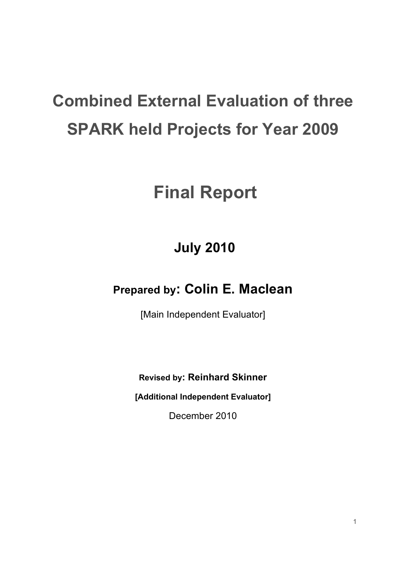# **Combined External Evaluation of three SPARK held Projects for Year 2009**

# **Final Report**

## **July 2010**

## **Prepared by: Colin E. Maclean**

[Main Independent Evaluator]

**Revised by: Reinhard Skinner**

**[Additional Independent Evaluator]**

December 2010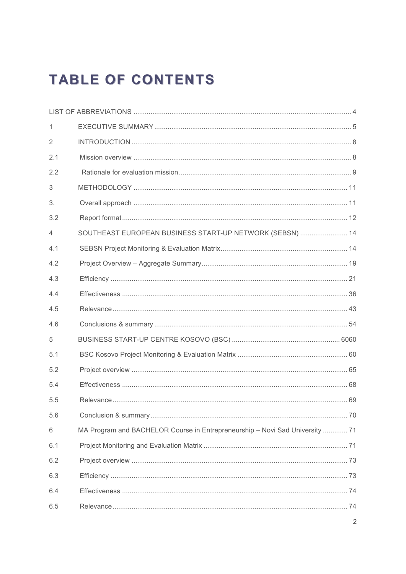## **TABLE OF CONTENTS**

| $\mathbf{1}$   |                                                                              |
|----------------|------------------------------------------------------------------------------|
| $\overline{2}$ |                                                                              |
| 2.1            |                                                                              |
| 2.2            |                                                                              |
| 3              |                                                                              |
| 3.             |                                                                              |
| 3.2            |                                                                              |
| 4              | SOUTHEAST EUROPEAN BUSINESS START-UP NETWORK (SEBSN)  14                     |
| 4.1            |                                                                              |
| 4.2            |                                                                              |
| 4.3            |                                                                              |
| 4.4            |                                                                              |
| 4.5            |                                                                              |
| 4.6            |                                                                              |
| 5              |                                                                              |
| 5.1            |                                                                              |
| 5.2            |                                                                              |
| 5.4            |                                                                              |
| 5.5            |                                                                              |
| 5.6            |                                                                              |
| 6              | MA Program and BACHELOR Course in Entrepreneurship - Novi Sad University  71 |
| 6.1            |                                                                              |
| 6.2            |                                                                              |
| 6.3            |                                                                              |
| 6.4            |                                                                              |
| 6.5            |                                                                              |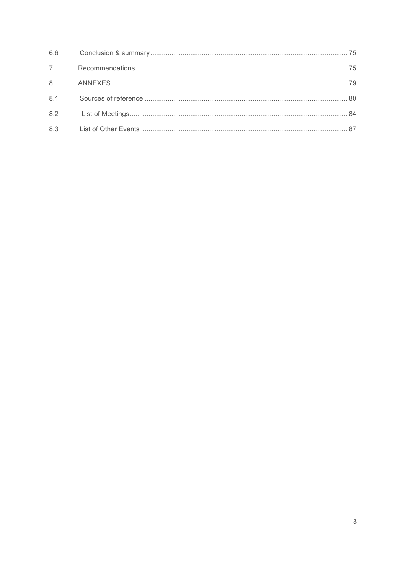| 7 |  |
|---|--|
|   |  |
|   |  |
|   |  |
|   |  |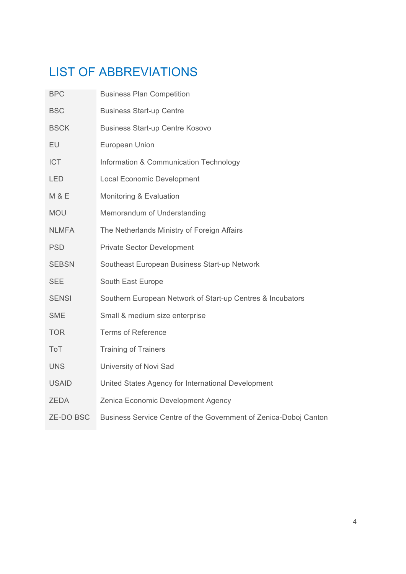## LIST OF ABBREVIATIONS

| <b>BPC</b>       | <b>Business Plan Competition</b>                                 |
|------------------|------------------------------------------------------------------|
| <b>BSC</b>       | <b>Business Start-up Centre</b>                                  |
| <b>BSCK</b>      | <b>Business Start-up Centre Kosovo</b>                           |
| EU               | European Union                                                   |
| <b>ICT</b>       | Information & Communication Technology                           |
| <b>LED</b>       | <b>Local Economic Development</b>                                |
| <b>M &amp; E</b> | Monitoring & Evaluation                                          |
| <b>MOU</b>       | Memorandum of Understanding                                      |
| <b>NLMFA</b>     | The Netherlands Ministry of Foreign Affairs                      |
| <b>PSD</b>       | <b>Private Sector Development</b>                                |
| <b>SEBSN</b>     | Southeast European Business Start-up Network                     |
| <b>SEE</b>       | South East Europe                                                |
| <b>SENSI</b>     | Southern European Network of Start-up Centres & Incubators       |
| <b>SME</b>       | Small & medium size enterprise                                   |
| <b>TOR</b>       | <b>Terms of Reference</b>                                        |
| ToT              | <b>Training of Trainers</b>                                      |
| <b>UNS</b>       | University of Novi Sad                                           |
| <b>USAID</b>     | United States Agency for International Development               |
| <b>ZEDA</b>      | Zenica Economic Development Agency                               |
| <b>ZE-DO BSC</b> | Business Service Centre of the Government of Zenica-Doboj Canton |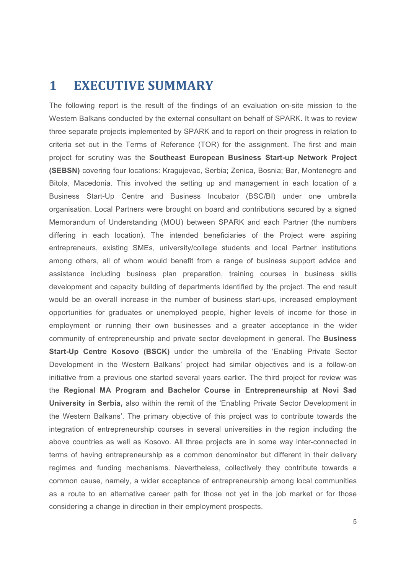### **1 EXECUTIVE SUMMARY**

The following report is the result of the findings of an evaluation on-site mission to the Western Balkans conducted by the external consultant on behalf of SPARK. It was to review three separate projects implemented by SPARK and to report on their progress in relation to criteria set out in the Terms of Reference (TOR) for the assignment. The first and main project for scrutiny was the **Southeast European Business Start-up Network Project (SEBSN)** covering four locations: Kragujevac, Serbia; Zenica, Bosnia; Bar, Montenegro and Bitola, Macedonia. This involved the setting up and management in each location of a Business Start-Up Centre and Business Incubator (BSC/BI) under one umbrella organisation. Local Partners were brought on board and contributions secured by a signed Memorandum of Understanding (MOU) between SPARK and each Partner (the numbers differing in each location). The intended beneficiaries of the Project were aspiring entrepreneurs, existing SMEs, university/college students and local Partner institutions among others, all of whom would benefit from a range of business support advice and assistance including business plan preparation, training courses in business skills development and capacity building of departments identified by the project. The end result would be an overall increase in the number of business start-ups, increased employment opportunities for graduates or unemployed people, higher levels of income for those in employment or running their own businesses and a greater acceptance in the wider community of entrepreneurship and private sector development in general. The **Business Start-Up Centre Kosovo (BSCK)** under the umbrella of the 'Enabling Private Sector Development in the Western Balkans' project had similar objectives and is a follow-on initiative from a previous one started several years earlier. The third project for review was the **Regional MA Program and Bachelor Course in Entrepreneurship at Novi Sad University in Serbia,** also within the remit of the 'Enabling Private Sector Development in the Western Balkans'. The primary objective of this project was to contribute towards the integration of entrepreneurship courses in several universities in the region including the above countries as well as Kosovo. All three projects are in some way inter-connected in terms of having entrepreneurship as a common denominator but different in their delivery regimes and funding mechanisms. Nevertheless, collectively they contribute towards a common cause, namely, a wider acceptance of entrepreneurship among local communities as a route to an alternative career path for those not yet in the job market or for those considering a change in direction in their employment prospects.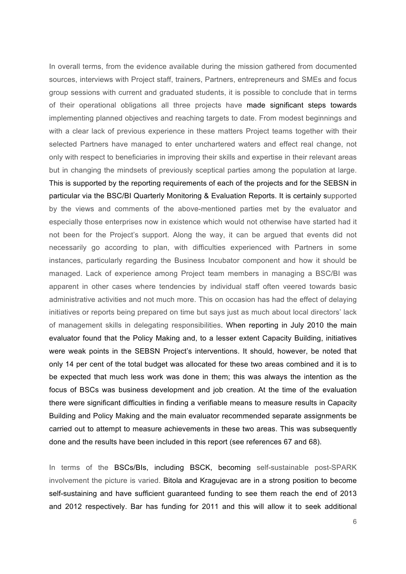In overall terms, from the evidence available during the mission gathered from documented sources, interviews with Project staff, trainers, Partners, entrepreneurs and SMEs and focus group sessions with current and graduated students, it is possible to conclude that in terms of their operational obligations all three projects have made significant steps towards implementing planned objectives and reaching targets to date. From modest beginnings and with a clear lack of previous experience in these matters Project teams together with their selected Partners have managed to enter unchartered waters and effect real change, not only with respect to beneficiaries in improving their skills and expertise in their relevant areas but in changing the mindsets of previously sceptical parties among the population at large. This is supported by the reporting requirements of each of the projects and for the SEBSN in particular via the BSC/BI Quarterly Monitoring & Evaluation Reports. It is certainly supported by the views and comments of the above-mentioned parties met by the evaluator and especially those enterprises now in existence which would not otherwise have started had it not been for the Project's support. Along the way, it can be argued that events did not necessarily go according to plan, with difficulties experienced with Partners in some instances, particularly regarding the Business Incubator component and how it should be managed. Lack of experience among Project team members in managing a BSC/BI was apparent in other cases where tendencies by individual staff often veered towards basic administrative activities and not much more. This on occasion has had the effect of delaying initiatives or reports being prepared on time but says just as much about local directors' lack of management skills in delegating responsibilities. When reporting in July 2010 the main evaluator found that the Policy Making and, to a lesser extent Capacity Building, initiatives were weak points in the SEBSN Project's interventions. It should, however, be noted that only 14 per cent of the total budget was allocated for these two areas combined and it is to be expected that much less work was done in them; this was always the intention as the focus of BSCs was business development and job creation. At the time of the evaluation there were significant difficulties in finding a verifiable means to measure results in Capacity Building and Policy Making and the main evaluator recommended separate assignments be carried out to attempt to measure achievements in these two areas. This was subsequently done and the results have been included in this report (see references 67 and 68).

In terms of the BSCs/BIs, including BSCK, becoming self-sustainable post-SPARK involvement the picture is varied. Bitola and Kragujevac are in a strong position to become self-sustaining and have sufficient guaranteed funding to see them reach the end of 2013 and 2012 respectively. Bar has funding for 2011 and this will allow it to seek additional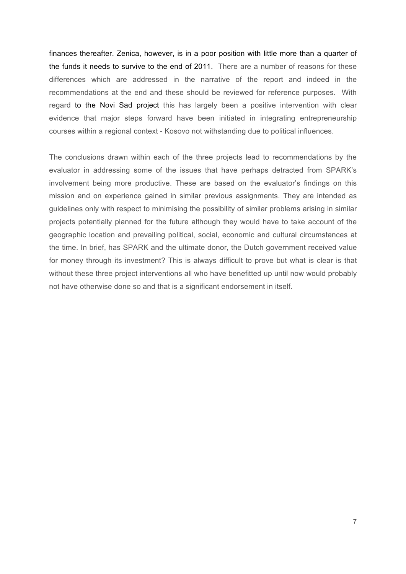finances thereafter. Zenica, however, is in a poor position with little more than a quarter of the funds it needs to survive to the end of 2011. There are a number of reasons for these differences which are addressed in the narrative of the report and indeed in the recommendations at the end and these should be reviewed for reference purposes. With regard to the Novi Sad project this has largely been a positive intervention with clear evidence that major steps forward have been initiated in integrating entrepreneurship courses within a regional context - Kosovo not withstanding due to political influences.

The conclusions drawn within each of the three projects lead to recommendations by the evaluator in addressing some of the issues that have perhaps detracted from SPARK's involvement being more productive. These are based on the evaluator's findings on this mission and on experience gained in similar previous assignments. They are intended as guidelines only with respect to minimising the possibility of similar problems arising in similar projects potentially planned for the future although they would have to take account of the geographic location and prevailing political, social, economic and cultural circumstances at the time. In brief, has SPARK and the ultimate donor, the Dutch government received value for money through its investment? This is always difficult to prove but what is clear is that without these three project interventions all who have benefitted up until now would probably not have otherwise done so and that is a significant endorsement in itself.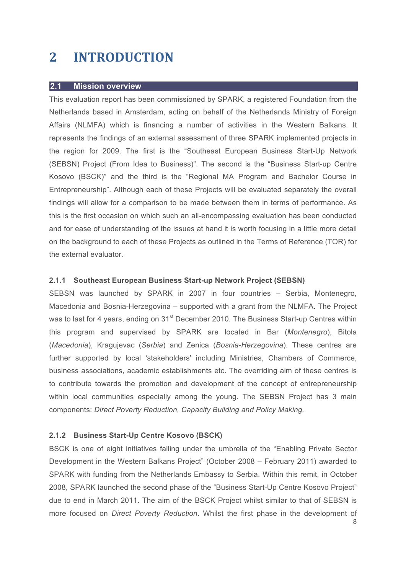## **2 INTRODUCTION**

#### **2.1 Mission overview**

This evaluation report has been commissioned by SPARK, a registered Foundation from the Netherlands based in Amsterdam, acting on behalf of the Netherlands Ministry of Foreign Affairs (NLMFA) which is financing a number of activities in the Western Balkans. It represents the findings of an external assessment of three SPARK implemented projects in the region for 2009. The first is the "Southeast European Business Start-Up Network (SEBSN) Project (From Idea to Business)". The second is the "Business Start-up Centre Kosovo (BSCK)" and the third is the "Regional MA Program and Bachelor Course in Entrepreneurship". Although each of these Projects will be evaluated separately the overall findings will allow for a comparison to be made between them in terms of performance. As this is the first occasion on which such an all-encompassing evaluation has been conducted and for ease of understanding of the issues at hand it is worth focusing in a little more detail on the background to each of these Projects as outlined in the Terms of Reference (TOR) for the external evaluator.

#### **2.1.1 Southeast European Business Start-up Network Project (SEBSN)**

SEBSN was launched by SPARK in 2007 in four countries – Serbia, Montenegro, Macedonia and Bosnia-Herzegovina – supported with a grant from the NLMFA. The Project was to last for 4 years, ending on 31<sup>st</sup> December 2010. The Business Start-up Centres within this program and supervised by SPARK are located in Bar (*Montenegro*), Bitola (*Macedonia*), Kragujevac (*Serbia*) and Zenica (*Bosnia-Herzegovina*). These centres are further supported by local 'stakeholders' including Ministries, Chambers of Commerce, business associations, academic establishments etc. The overriding aim of these centres is to contribute towards the promotion and development of the concept of entrepreneurship within local communities especially among the young. The SEBSN Project has 3 main components: *Direct Poverty Reduction, Capacity Building and Policy Making.*

#### **2.1.2 Business Start-Up Centre Kosovo (BSCK)**

BSCK is one of eight initiatives falling under the umbrella of the "Enabling Private Sector Development in the Western Balkans Project" (October 2008 – February 2011) awarded to SPARK with funding from the Netherlands Embassy to Serbia. Within this remit, in October 2008, SPARK launched the second phase of the "Business Start-Up Centre Kosovo Project" due to end in March 2011. The aim of the BSCK Project whilst similar to that of SEBSN is more focused on *Direct Poverty Reduction*. Whilst the first phase in the development of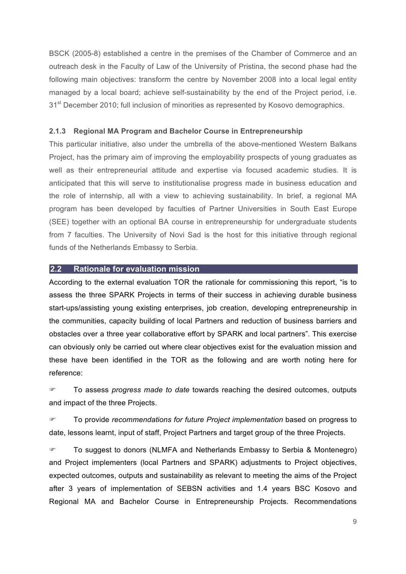BSCK (2005-8) established a centre in the premises of the Chamber of Commerce and an outreach desk in the Faculty of Law of the University of Pristina, the second phase had the following main objectives: transform the centre by November 2008 into a local legal entity managed by a local board; achieve self-sustainability by the end of the Project period, i.e. 31<sup>st</sup> December 2010; full inclusion of minorities as represented by Kosovo demographics.

#### **2.1.3 Regional MA Program and Bachelor Course in Entrepreneurship**

This particular initiative, also under the umbrella of the above-mentioned Western Balkans Project, has the primary aim of improving the employability prospects of young graduates as well as their entrepreneurial attitude and expertise via focused academic studies. It is anticipated that this will serve to institutionalise progress made in business education and the role of internship, all with a view to achieving sustainability. In brief, a regional MA program has been developed by faculties of Partner Universities in South East Europe (SEE) together with an optional BA course in entrepreneurship for undergraduate students from 7 faculties. The University of Novi Sad is the host for this initiative through regional funds of the Netherlands Embassy to Serbia.

#### **2.2 Rationale for evaluation mission**

According to the external evaluation TOR the rationale for commissioning this report, "is to assess the three SPARK Projects in terms of their success in achieving durable business start-ups/assisting young existing enterprises, job creation, developing entrepreneurship in the communities, capacity building of local Partners and reduction of business barriers and obstacles over a three year collaborative effort by SPARK and local partners". This exercise can obviously only be carried out where clear objectives exist for the evaluation mission and these have been identified in the TOR as the following and are worth noting here for reference:

 To assess *progress made to date* towards reaching the desired outcomes, outputs and impact of the three Projects.

 To provide *recommendations for future Project implementation* based on progress to date, lessons learnt, input of staff, Project Partners and target group of the three Projects.

 To suggest to donors (NLMFA and Netherlands Embassy to Serbia & Montenegro) and Project implementers (local Partners and SPARK) adjustments to Project objectives, expected outcomes, outputs and sustainability as relevant to meeting the aims of the Project after 3 years of implementation of SEBSN activities and 1.4 years BSC Kosovo and Regional MA and Bachelor Course in Entrepreneurship Projects. Recommendations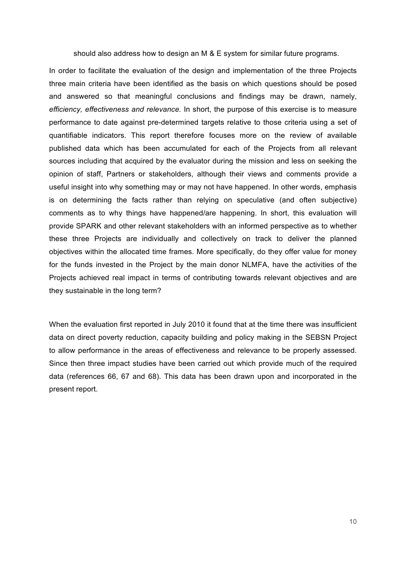should also address how to design an M & E system for similar future programs.

In order to facilitate the evaluation of the design and implementation of the three Projects three main criteria have been identified as the basis on which questions should be posed and answered so that meaningful conclusions and findings may be drawn, namely, *efficiency, effectiveness and relevance.* In short, the purpose of this exercise is to measure performance to date against pre-determined targets relative to those criteria using a set of quantifiable indicators. This report therefore focuses more on the review of available published data which has been accumulated for each of the Projects from all relevant sources including that acquired by the evaluator during the mission and less on seeking the opinion of staff, Partners or stakeholders, although their views and comments provide a useful insight into why something may or may not have happened. In other words, emphasis is on determining the facts rather than relying on speculative (and often subjective) comments as to why things have happened/are happening. In short, this evaluation will provide SPARK and other relevant stakeholders with an informed perspective as to whether these three Projects are individually and collectively on track to deliver the planned objectives within the allocated time frames. More specifically, do they offer value for money for the funds invested in the Project by the main donor NLMFA, have the activities of the Projects achieved real impact in terms of contributing towards relevant objectives and are they sustainable in the long term?

When the evaluation first reported in July 2010 it found that at the time there was insufficient data on direct poverty reduction, capacity building and policy making in the SEBSN Project to allow performance in the areas of effectiveness and relevance to be properly assessed. Since then three impact studies have been carried out which provide much of the required data (references 66, 67 and 68). This data has been drawn upon and incorporated in the present report.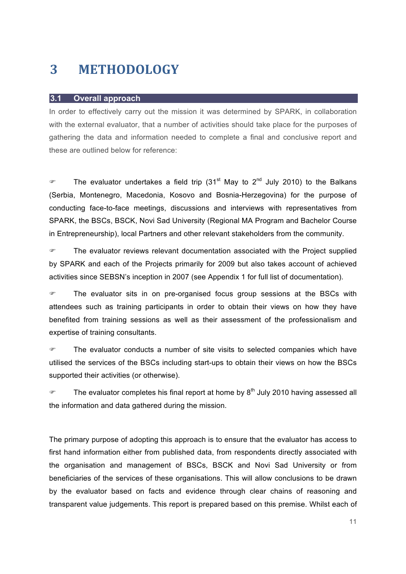### **3 METHODOLOGY**

#### **3.1 Overall approach**

In order to effectively carry out the mission it was determined by SPARK, in collaboration with the external evaluator, that a number of activities should take place for the purposes of gathering the data and information needed to complete a final and conclusive report and these are outlined below for reference:

**The evaluator undertakes a field trip (31<sup>st</sup> May to 2<sup>nd</sup> July 2010) to the Balkans** (Serbia, Montenegro, Macedonia, Kosovo and Bosnia-Herzegovina) for the purpose of conducting face-to-face meetings, discussions and interviews with representatives from SPARK, the BSCs, BSCK, Novi Sad University (Regional MA Program and Bachelor Course in Entrepreneurship), local Partners and other relevant stakeholders from the community.

 The evaluator reviews relevant documentation associated with the Project supplied by SPARK and each of the Projects primarily for 2009 but also takes account of achieved activities since SEBSN's inception in 2007 (see Appendix 1 for full list of documentation).

**The evaluator sits in on pre-organised focus group sessions at the BSCs with** attendees such as training participants in order to obtain their views on how they have benefited from training sessions as well as their assessment of the professionalism and expertise of training consultants.

 The evaluator conducts a number of site visits to selected companies which have utilised the services of the BSCs including start-ups to obtain their views on how the BSCs supported their activities (or otherwise).

 $\degree$  The evaluator completes his final report at home by  $8^{th}$  July 2010 having assessed all the information and data gathered during the mission.

The primary purpose of adopting this approach is to ensure that the evaluator has access to first hand information either from published data, from respondents directly associated with the organisation and management of BSCs, BSCK and Novi Sad University or from beneficiaries of the services of these organisations. This will allow conclusions to be drawn by the evaluator based on facts and evidence through clear chains of reasoning and transparent value judgements. This report is prepared based on this premise. Whilst each of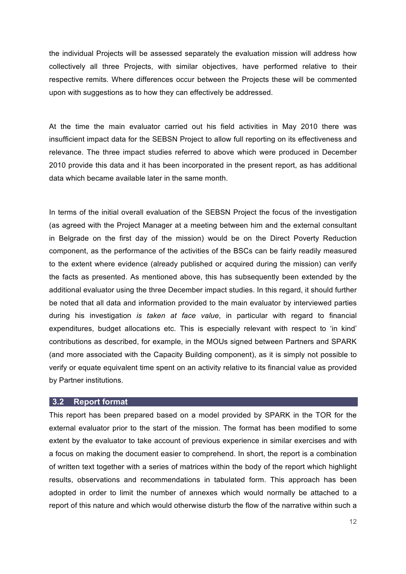the individual Projects will be assessed separately the evaluation mission will address how collectively all three Projects, with similar objectives, have performed relative to their respective remits. Where differences occur between the Projects these will be commented upon with suggestions as to how they can effectively be addressed.

At the time the main evaluator carried out his field activities in May 2010 there was insufficient impact data for the SEBSN Project to allow full reporting on its effectiveness and relevance. The three impact studies referred to above which were produced in December 2010 provide this data and it has been incorporated in the present report, as has additional data which became available later in the same month.

In terms of the initial overall evaluation of the SEBSN Project the focus of the investigation (as agreed with the Project Manager at a meeting between him and the external consultant in Belgrade on the first day of the mission) would be on the Direct Poverty Reduction component, as the performance of the activities of the BSCs can be fairly readily measured to the extent where evidence (already published or acquired during the mission) can verify the facts as presented. As mentioned above, this has subsequently been extended by the additional evaluator using the three December impact studies. In this regard, it should further be noted that all data and information provided to the main evaluator by interviewed parties during his investigation *is taken at face value*, in particular with regard to financial expenditures, budget allocations etc. This is especially relevant with respect to 'in kind' contributions as described, for example, in the MOUs signed between Partners and SPARK (and more associated with the Capacity Building component), as it is simply not possible to verify or equate equivalent time spent on an activity relative to its financial value as provided by Partner institutions.

#### **3.2 Report format**

This report has been prepared based on a model provided by SPARK in the TOR for the external evaluator prior to the start of the mission. The format has been modified to some extent by the evaluator to take account of previous experience in similar exercises and with a focus on making the document easier to comprehend. In short, the report is a combination of written text together with a series of matrices within the body of the report which highlight results, observations and recommendations in tabulated form. This approach has been adopted in order to limit the number of annexes which would normally be attached to a report of this nature and which would otherwise disturb the flow of the narrative within such a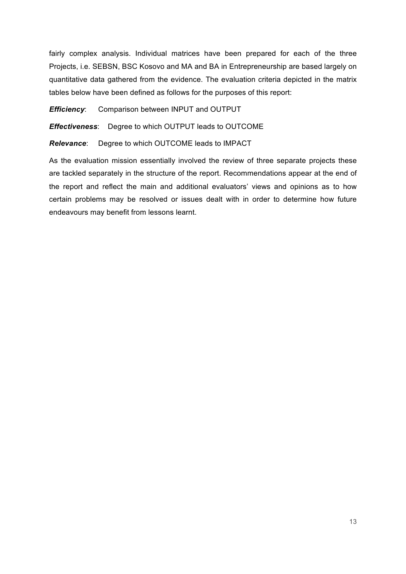fairly complex analysis. Individual matrices have been prepared for each of the three Projects, i.e. SEBSN, BSC Kosovo and MA and BA in Entrepreneurship are based largely on quantitative data gathered from the evidence. The evaluation criteria depicted in the matrix tables below have been defined as follows for the purposes of this report:

*Efficiency*: Comparison between INPUT and OUTPUT

*Effectiveness*: Degree to which OUTPUT leads to OUTCOME

*Relevance*: Degree to which OUTCOME leads to IMPACT

As the evaluation mission essentially involved the review of three separate projects these are tackled separately in the structure of the report. Recommendations appear at the end of the report and reflect the main and additional evaluators' views and opinions as to how certain problems may be resolved or issues dealt with in order to determine how future endeavours may benefit from lessons learnt.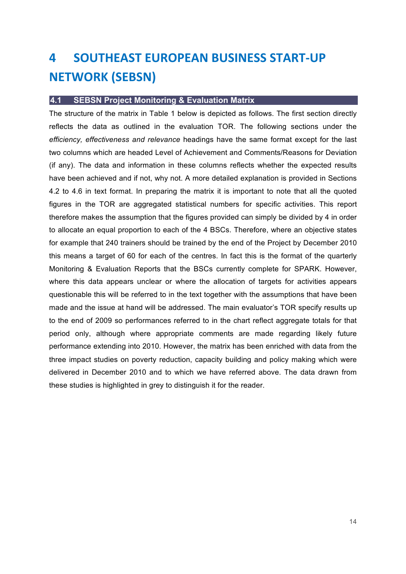## **4** SOUTHEAST EUROPEAN BUSINESS START-UP **NETWORK (SEBSN)**

#### **4.1 SEBSN Project Monitoring & Evaluation Matrix**

The structure of the matrix in Table 1 below is depicted as follows. The first section directly reflects the data as outlined in the evaluation TOR. The following sections under the *efficiency, effectiveness and relevance* headings have the same format except for the last two columns which are headed Level of Achievement and Comments/Reasons for Deviation (if any). The data and information in these columns reflects whether the expected results have been achieved and if not, why not. A more detailed explanation is provided in Sections 4.2 to 4.6 in text format. In preparing the matrix it is important to note that all the quoted figures in the TOR are aggregated statistical numbers for specific activities. This report therefore makes the assumption that the figures provided can simply be divided by 4 in order to allocate an equal proportion to each of the 4 BSCs. Therefore, where an objective states for example that 240 trainers should be trained by the end of the Project by December 2010 this means a target of 60 for each of the centres. In fact this is the format of the quarterly Monitoring & Evaluation Reports that the BSCs currently complete for SPARK. However, where this data appears unclear or where the allocation of targets for activities appears questionable this will be referred to in the text together with the assumptions that have been made and the issue at hand will be addressed. The main evaluator's TOR specify results up to the end of 2009 so performances referred to in the chart reflect aggregate totals for that period only, although where appropriate comments are made regarding likely future performance extending into 2010. However, the matrix has been enriched with data from the three impact studies on poverty reduction, capacity building and policy making which were delivered in December 2010 and to which we have referred above. The data drawn from these studies is highlighted in grey to distinguish it for the reader.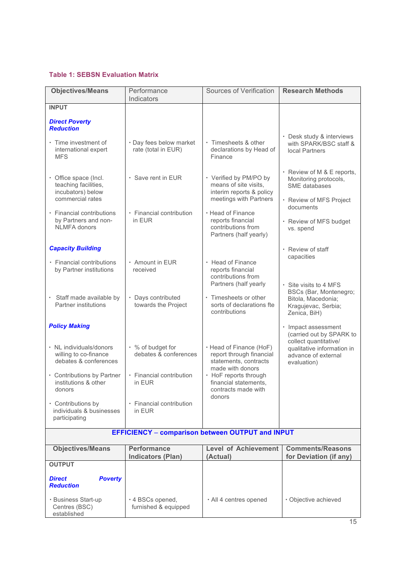#### **Table 1: SEBSN Evaluation Matrix**

| <b>Objectives/Means</b>                                                                                                         | Performance                                                                      | Sources of Verification                                                                                                                            | <b>Research Methods</b>                                                                                               |  |  |
|---------------------------------------------------------------------------------------------------------------------------------|----------------------------------------------------------------------------------|----------------------------------------------------------------------------------------------------------------------------------------------------|-----------------------------------------------------------------------------------------------------------------------|--|--|
|                                                                                                                                 | Indicators                                                                       |                                                                                                                                                    |                                                                                                                       |  |  |
| <b>INPUT</b>                                                                                                                    |                                                                                  |                                                                                                                                                    |                                                                                                                       |  |  |
| <b>Direct Poverty</b><br><b>Reduction</b>                                                                                       |                                                                                  |                                                                                                                                                    |                                                                                                                       |  |  |
| · Time investment of<br>international expert<br><b>MFS</b>                                                                      | · Day fees below market<br>rate (total in EUR)                                   | · Timesheets & other<br>declarations by Head of<br>Finance                                                                                         | • Desk study & interviews<br>with SPARK/BSC staff &<br>local Partners                                                 |  |  |
| • Office space (Incl.<br>teaching facilities,<br>incubators) below<br>commercial rates                                          | $\cdot$ Save rent in EUR                                                         | • Verified by PM/PO by<br>means of site visits,<br>interim reports & policy<br>meetings with Partners                                              | • Review of M & E reports,<br>Monitoring protocols,<br>SME databases<br>· Review of MFS Project                       |  |  |
| • Financial contributions<br>by Partners and non-<br><b>NLMFA</b> donors                                                        | • Financial contribution<br>in EUR                                               | • Head of Finance<br>reports financial<br>contributions from<br>Partners (half yearly)                                                             | documents<br>· Review of MFS budget<br>vs. spend                                                                      |  |  |
| <b>Capacity Building</b>                                                                                                        |                                                                                  |                                                                                                                                                    | • Review of staff                                                                                                     |  |  |
| · Financial contributions<br>by Partner institutions                                                                            | • Amount in EUR<br>received                                                      | • Head of Finance<br>reports financial<br>contributions from<br>Partners (half yearly                                                              | capacities<br>• Site visits to 4 MFS                                                                                  |  |  |
| Staff made available by<br>$\bullet$<br>Partner institutions                                                                    | · Days contributed<br>towards the Project                                        | • Timesheets or other<br>sorts of declarations fte<br>contributions                                                                                | BSCs (Bar, Montenegro;<br>Bitola, Macedonia;<br>Kragujevac, Serbia;<br>Zenica, BiH)                                   |  |  |
| <b>Policy Making</b>                                                                                                            |                                                                                  |                                                                                                                                                    | · Impact assessment                                                                                                   |  |  |
| · NL individuals/donors<br>willing to co-finance<br>debates & conferences<br>• Contributions by Partner<br>institutions & other | • % of budget for<br>debates & conferences<br>• Financial contribution<br>in EUR | · Head of Finance (HoF)<br>report through financial<br>statements, contracts<br>made with donors<br>• HoF reports through<br>financial statements. | (carried out by SPARK to<br>collect quantitative/<br>qualitative information in<br>advance of external<br>evaluation) |  |  |
| donors                                                                                                                          |                                                                                  | contracts made with                                                                                                                                |                                                                                                                       |  |  |
| • Contributions by<br>individuals & businesses<br>participating                                                                 | • Financial contribution<br>in EUR                                               | donors                                                                                                                                             |                                                                                                                       |  |  |
|                                                                                                                                 | <b>EFFICIENCY - comparison between OUTPUT and INPUT</b>                          |                                                                                                                                                    |                                                                                                                       |  |  |
| <b>Objectives/Means</b>                                                                                                         | <b>Performance</b><br><b>Indicators (Plan)</b>                                   | <b>Level of Achievement</b><br>(Actual)                                                                                                            | <b>Comments/Reasons</b><br>for Deviation (if any)                                                                     |  |  |
| <b>OUTPUT</b>                                                                                                                   |                                                                                  |                                                                                                                                                    |                                                                                                                       |  |  |
| <b>Direct</b><br><b>Poverty</b><br><b>Reduction</b>                                                                             |                                                                                  |                                                                                                                                                    |                                                                                                                       |  |  |
| · Business Start-up<br>Centres (BSC)<br>established                                                                             | $\cdot$ 4 BSCs opened,<br>furnished & equipped                                   | · All 4 centres opened                                                                                                                             | · Objective achieved                                                                                                  |  |  |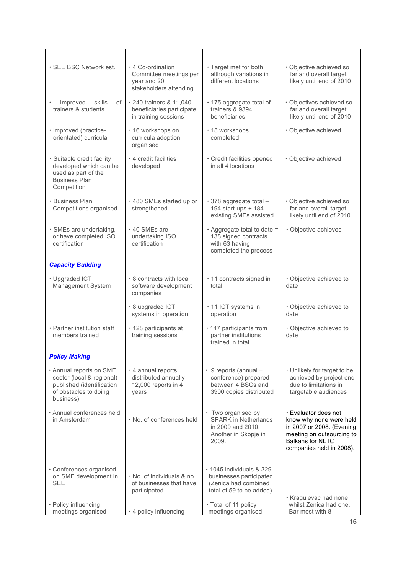| · SEE BSC Network est.                                                                                                  | ⋅ 4 Co-ordination<br>Committee meetings per<br>year and 20<br>stakeholders attending | · Target met for both<br>although variations in<br>different locations                                  | · Objective achieved so<br>far and overall target<br>likely until end of 2010                                                                               |
|-------------------------------------------------------------------------------------------------------------------------|--------------------------------------------------------------------------------------|---------------------------------------------------------------------------------------------------------|-------------------------------------------------------------------------------------------------------------------------------------------------------------|
| Improved<br>skills<br>of<br>trainers & students                                                                         | · 240 trainers & 11,040<br>beneficiaries participate<br>in training sessions         | · 175 aggregate total of<br>trainers & 9394<br>beneficiaries                                            | · Objectives achieved so<br>far and overall target<br>likely until end of 2010                                                                              |
| · Improved (practice-<br>orientated) curricula                                                                          | · 16 workshops on<br>curricula adoption<br>organised                                 | · 18 workshops<br>completed                                                                             | · Objective achieved                                                                                                                                        |
| · Suitable credit facility<br>developed which can be<br>used as part of the<br><b>Business Plan</b><br>Competition      | · 4 credit facilities<br>developed                                                   | · Credit facilities opened<br>in all 4 locations                                                        | · Objective achieved                                                                                                                                        |
| · Business Plan<br>Competitions organised                                                                               | .480 SMEs started up or<br>strengthened                                              | · 378 aggregate total -<br>194 start-ups + 184<br>existing SMEs assisted                                | · Objective achieved so<br>far and overall target<br>likely until end of 2010                                                                               |
| · SMEs are undertaking,<br>or have completed ISO<br>certification                                                       | $\cdot$ 40 SMEs are<br>undertaking ISO<br>certification                              | · Aggregate total to date =<br>138 signed contracts<br>with 63 having<br>completed the process          | · Objective achieved                                                                                                                                        |
| <b>Capacity Building</b>                                                                                                |                                                                                      |                                                                                                         |                                                                                                                                                             |
| · Upgraded ICT<br>Management System                                                                                     | .8 contracts with local<br>software development<br>companies                         | · 11 contracts signed in<br>total                                                                       | · Objective achieved to<br>date                                                                                                                             |
|                                                                                                                         | · 8 upgraded ICT<br>systems in operation                                             | · 11 ICT systems in<br>operation                                                                        | · Objective achieved to<br>date                                                                                                                             |
| · Partner institution staff<br>members trained                                                                          | · 128 participants at<br>training sessions                                           | · 147 participants from<br>partner institutions<br>trained in total                                     | · Objective achieved to<br>date                                                                                                                             |
| <b>Policy Making</b>                                                                                                    |                                                                                      |                                                                                                         |                                                                                                                                                             |
| · Annual reports on SME<br>sector (local & regional)<br>published (identification<br>of obstacles to doing<br>business) | · 4 annual reports<br>distributed annually -<br>12,000 reports in 4<br>years         | · 9 reports (annual +<br>conference) prepared<br>between 4 BSCs and<br>3900 copies distributed          | • Unlikely for target to be<br>achieved by project end<br>due to limitations in<br>targetable audiences                                                     |
| · Annual conferences held<br>in Amsterdam                                                                               | . No. of conferences held                                                            | • Two organised by<br><b>SPARK in Netherlands</b><br>in 2009 and 2010.<br>Another in Skopje in<br>2009. | · Evaluator does not<br>know why none were held<br>in 2007 or 2008. (Evening<br>meeting on outsourcing to<br>Balkans for NL ICT<br>companies held in 2008). |
| · Conferences organised<br>on SME development in<br><b>SEE</b>                                                          | . No. of individuals & no.<br>of businesses that have<br>participated                | · 1045 individuals & 329<br>businesses participated<br>(Zenica had combined<br>total of 59 to be added) | · Kragujevac had none                                                                                                                                       |
| • Policy influencing<br>meetings organised                                                                              | · 4 policy influencing                                                               | · Total of 11 policy<br>meetings organised                                                              | whilst Zenica had one.<br>Bar most with 8                                                                                                                   |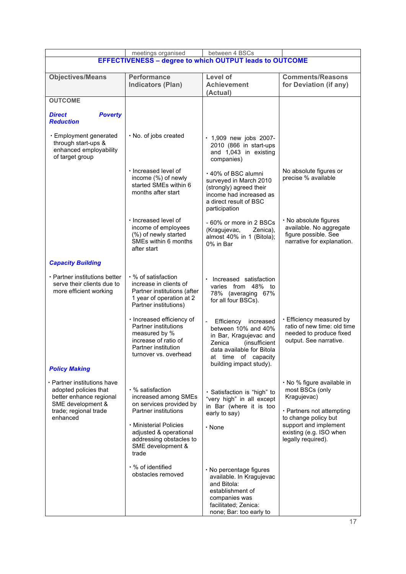|                                                                                                                                                                   | meetings organised                                                                                                                                                                                              | between 4 BSCs                                                                                                                                                                  |                                                                                                                                                                                             |  |
|-------------------------------------------------------------------------------------------------------------------------------------------------------------------|-----------------------------------------------------------------------------------------------------------------------------------------------------------------------------------------------------------------|---------------------------------------------------------------------------------------------------------------------------------------------------------------------------------|---------------------------------------------------------------------------------------------------------------------------------------------------------------------------------------------|--|
| <b>EFFECTIVENESS - degree to which OUTPUT leads to OUTCOME</b>                                                                                                    |                                                                                                                                                                                                                 |                                                                                                                                                                                 |                                                                                                                                                                                             |  |
| <b>Objectives/Means</b>                                                                                                                                           | <b>Performance</b><br><b>Indicators (Plan)</b>                                                                                                                                                                  | Level of<br><b>Achievement</b><br>(Actual)                                                                                                                                      | <b>Comments/Reasons</b><br>for Deviation (if any)                                                                                                                                           |  |
| <b>OUTCOME</b>                                                                                                                                                    |                                                                                                                                                                                                                 |                                                                                                                                                                                 |                                                                                                                                                                                             |  |
| <b>Direct</b><br><b>Poverty</b><br><b>Reduction</b>                                                                                                               |                                                                                                                                                                                                                 |                                                                                                                                                                                 |                                                                                                                                                                                             |  |
| · Employment generated<br>through start-ups &<br>enhanced employability<br>of target group                                                                        | · No. of jobs created                                                                                                                                                                                           | · 1,909 new jobs 2007-<br>2010 (866 in start-ups<br>and 1,043 in existing<br>companies)                                                                                         |                                                                                                                                                                                             |  |
|                                                                                                                                                                   | · Increased level of<br>income (%) of newly<br>started SMEs within 6<br>months after start                                                                                                                      | ⋅ 40% of BSC alumni<br>surveyed in March 2010<br>(strongly) agreed their<br>income had increased as<br>a direct result of BSC<br>participation                                  | No absolute figures or<br>precise % available                                                                                                                                               |  |
|                                                                                                                                                                   | $\cdot$ Increased level of<br>income of employees<br>(%) of newly started<br>SMEs within 6 months<br>after start                                                                                                | - 60% or more in 2 BSCs<br>(Kragujevac,<br>Zenica),<br>almost 40% in 1 (Bitola);<br>0% in Bar                                                                                   | · No absolute figures<br>available. No aggregate<br>figure possible. See<br>narrative for explanation.                                                                                      |  |
| <b>Capacity Building</b>                                                                                                                                          |                                                                                                                                                                                                                 |                                                                                                                                                                                 |                                                                                                                                                                                             |  |
| · Partner institutions better<br>serve their clients due to<br>more efficient working                                                                             | ⋅ % of satisfaction<br>increase in clients of<br>Partner institutions (after<br>1 year of operation at 2<br>Partner institutions)                                                                               | Increased satisfaction<br>$\bullet$<br>varies from 48% to<br>78% (averaging 67%<br>for all four BSCs).                                                                          |                                                                                                                                                                                             |  |
|                                                                                                                                                                   | · Increased efficiency of<br>Partner institutions<br>measured by %<br>increase of ratio of<br>Partner institution<br>turnover vs. overnead                                                                      | Efficiency increased<br>between 10% and 40%<br>in Bar, Kragujevac and<br>Zenica<br>(insufficient<br>data available for Bitola<br>at time of capacity<br>building impact study). | · Efficiency measured by<br>ratio of new time: old time<br>needed to produce fixed<br>output. See narrative.                                                                                |  |
| <b>Policy Making</b><br>• Partner institutions have<br>adopted policies that<br>better enhance regional<br>SME development &<br>trade; regional trade<br>enhanced | ⋅ % satisfaction<br>increased among SMEs<br>on services provided by<br><b>Partner institutions</b><br>· Ministerial Policies<br>adjusted & operational<br>addressing obstacles to<br>SME development &<br>trade | · Satisfaction is "high" to<br>"very high" in all except<br>in Bar (where it is too<br>early to say)<br>$\cdot$ None                                                            | · No % figure available in<br>most BSCs (only<br>Kragujevac)<br>· Partners not attempting<br>to change policy but<br>support and implement<br>existing (e.g. ISO when<br>legally required). |  |
|                                                                                                                                                                   | · % of identified<br>obstacles removed                                                                                                                                                                          | · No percentage figures<br>available. In Kragujevac<br>and Bitola:<br>establishment of<br>companies was<br>facilitated; Zenica:<br>none; Bar: too early to                      |                                                                                                                                                                                             |  |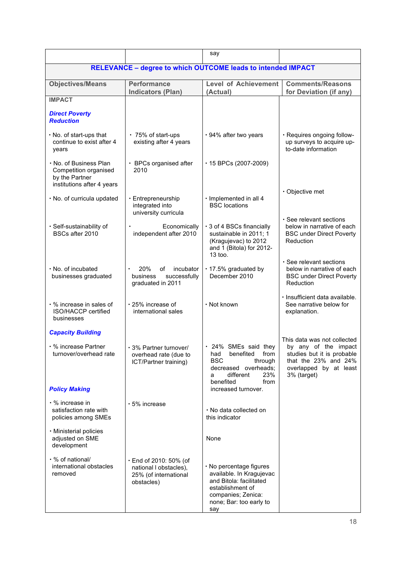|                                                                                                 |                                                                                               | say                                                                                                                                                        |                                                                                                                                                    |  |
|-------------------------------------------------------------------------------------------------|-----------------------------------------------------------------------------------------------|------------------------------------------------------------------------------------------------------------------------------------------------------------|----------------------------------------------------------------------------------------------------------------------------------------------------|--|
| <b>RELEVANCE - degree to which OUTCOME leads to intended IMPACT</b>                             |                                                                                               |                                                                                                                                                            |                                                                                                                                                    |  |
| <b>Objectives/Means</b>                                                                         | <b>Performance</b><br><b>Indicators (Plan)</b>                                                | <b>Level of Achievement</b><br>(Actual)                                                                                                                    | <b>Comments/Reasons</b><br>for Deviation (if any)                                                                                                  |  |
| <b>IMPACT</b>                                                                                   |                                                                                               |                                                                                                                                                            |                                                                                                                                                    |  |
| <b>Direct Poverty</b><br><b>Reduction</b>                                                       |                                                                                               |                                                                                                                                                            |                                                                                                                                                    |  |
| • No. of start-ups that<br>continue to exist after 4<br>years                                   | ⋅ 75% of start-ups<br>existing after 4 years                                                  | · 94% after two years                                                                                                                                      | · Requires ongoing follow-<br>up surveys to acquire up-<br>to-date information                                                                     |  |
| . No. of Business Plan<br>Competition organised<br>by the Partner<br>institutions after 4 years | · BPCs organised after<br>2010                                                                | $\cdot$ 15 BPCs (2007-2009)                                                                                                                                |                                                                                                                                                    |  |
| · No. of curricula updated                                                                      | · Entrepreneurship<br>integrated into<br>university curricula                                 | · Implemented in all 4<br><b>BSC</b> locations                                                                                                             | · Objective met                                                                                                                                    |  |
| · Self-sustainability of<br>BSCs after 2010                                                     | Economically<br>independent after 2010                                                        | ⋅ 3 of 4 BSCs financially<br>sustainable in 2011; 1<br>(Kragujevac) to 2012<br>and 1 (Bitola) for 2012-<br>$13$ too.                                       | · See relevant sections<br>below in narrative of each<br><b>BSC under Direct Poverty</b><br>Reduction                                              |  |
| · No. of incubated<br>businesses graduated                                                      | 20%<br>οf<br>incubator<br>business<br>successfully<br>graduated in 2011                       | · 17.5% graduated by<br>December 2010                                                                                                                      | · See relevant sections<br>below in narrative of each<br><b>BSC under Direct Poverty</b><br>Reduction                                              |  |
| ⋅ % increase in sales of<br>ISO/HACCP certified<br>businesses                                   | $\cdot$ 25% increase of<br>international sales                                                | · Not known                                                                                                                                                | · Insufficient data available.<br>See narrative below for<br>explanation.                                                                          |  |
| <b>Capacity Building</b>                                                                        |                                                                                               |                                                                                                                                                            |                                                                                                                                                    |  |
| • % increase Partner<br>turnover/overhead rate                                                  | · 3% Partner turnover/<br>overhead rate (due to<br>ICT/Partner training)                      | · 24% SMEs said they<br>had benefited from<br><b>BSC</b><br>through<br>decreased overheads;<br>different<br>23%<br>a<br>benefited<br>from                  | This data was not collected<br>by any of the impact<br>studies but it is probable<br>that the 23% and 24%<br>overlapped by at least<br>3% (target) |  |
| <b>Policy Making</b>                                                                            |                                                                                               | increased turnover.                                                                                                                                        |                                                                                                                                                    |  |
| • % increase in<br>satisfaction rate with<br>policies among SMEs                                | $\cdot$ 5% increase                                                                           | . No data collected on<br>this indicator                                                                                                                   |                                                                                                                                                    |  |
| · Ministerial policies<br>adjusted on SME<br>development                                        |                                                                                               | None                                                                                                                                                       |                                                                                                                                                    |  |
| · % of national/<br>international obstacles<br>removed                                          | $\cdot$ End of 2010: 50% (of<br>national I obstacles),<br>25% (of international<br>obstacles) | · No percentage figures<br>available. In Kragujevac<br>and Bitola: facilitated<br>establishment of<br>companies; Zenica:<br>none; Bar: too early to<br>say |                                                                                                                                                    |  |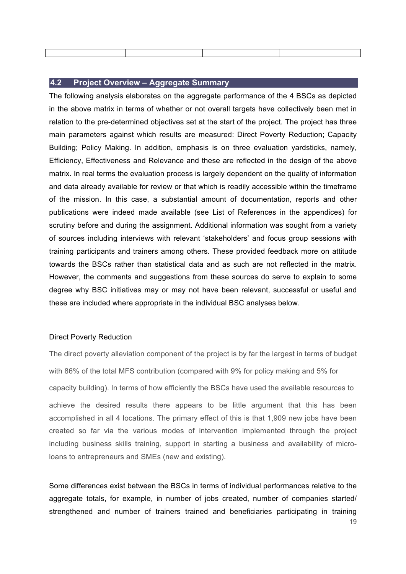#### **4.2 Project Overview – Aggregate Summary**

The following analysis elaborates on the aggregate performance of the 4 BSCs as depicted in the above matrix in terms of whether or not overall targets have collectively been met in relation to the pre-determined objectives set at the start of the project. The project has three main parameters against which results are measured: Direct Poverty Reduction; Capacity Building; Policy Making. In addition, emphasis is on three evaluation yardsticks, namely, Efficiency, Effectiveness and Relevance and these are reflected in the design of the above matrix. In real terms the evaluation process is largely dependent on the quality of information and data already available for review or that which is readily accessible within the timeframe of the mission. In this case, a substantial amount of documentation, reports and other publications were indeed made available (see List of References in the appendices) for scrutiny before and during the assignment. Additional information was sought from a variety of sources including interviews with relevant 'stakeholders' and focus group sessions with training participants and trainers among others. These provided feedback more on attitude towards the BSCs rather than statistical data and as such are not reflected in the matrix. However, the comments and suggestions from these sources do serve to explain to some degree why BSC initiatives may or may not have been relevant, successful or useful and these are included where appropriate in the individual BSC analyses below.

#### Direct Poverty Reduction

The direct poverty alleviation component of the project is by far the largest in terms of budget with 86% of the total MFS contribution (compared with 9% for policy making and 5% for capacity building). In terms of how efficiently the BSCs have used the available resources to achieve the desired results there appears to be little argument that this has been accomplished in all 4 locations. The primary effect of this is that 1,909 new jobs have been created so far via the various modes of intervention implemented through the project including business skills training, support in starting a business and availability of microloans to entrepreneurs and SMEs (new and existing).

Some differences exist between the BSCs in terms of individual performances relative to the aggregate totals, for example, in number of jobs created, number of companies started/ strengthened and number of trainers trained and beneficiaries participating in training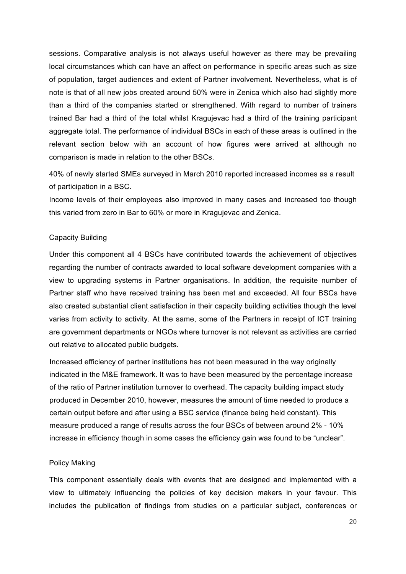sessions. Comparative analysis is not always useful however as there may be prevailing local circumstances which can have an affect on performance in specific areas such as size of population, target audiences and extent of Partner involvement. Nevertheless, what is of note is that of all new jobs created around 50% were in Zenica which also had slightly more than a third of the companies started or strengthened. With regard to number of trainers trained Bar had a third of the total whilst Kragujevac had a third of the training participant aggregate total. The performance of individual BSCs in each of these areas is outlined in the relevant section below with an account of how figures were arrived at although no comparison is made in relation to the other BSCs.

40% of newly started SMEs surveyed in March 2010 reported increased incomes as a result of participation in a BSC.

Income levels of their employees also improved in many cases and increased too though this varied from zero in Bar to 60% or more in Kragujevac and Zenica.

#### Capacity Building

Under this component all 4 BSCs have contributed towards the achievement of objectives regarding the number of contracts awarded to local software development companies with a view to upgrading systems in Partner organisations. In addition, the requisite number of Partner staff who have received training has been met and exceeded. All four BSCs have also created substantial client satisfaction in their capacity building activities though the level varies from activity to activity. At the same, some of the Partners in receipt of ICT training are government departments or NGOs where turnover is not relevant as activities are carried out relative to allocated public budgets.

Increased efficiency of partner institutions has not been measured in the way originally indicated in the M&E framework. It was to have been measured by the percentage increase of the ratio of Partner institution turnover to overhead. The capacity building impact study produced in December 2010, however, measures the amount of time needed to produce a certain output before and after using a BSC service (finance being held constant). This measure produced a range of results across the four BSCs of between around 2% - 10% increase in efficiency though in some cases the efficiency gain was found to be "unclear".

#### Policy Making

This component essentially deals with events that are designed and implemented with a view to ultimately influencing the policies of key decision makers in your favour. This includes the publication of findings from studies on a particular subject, conferences or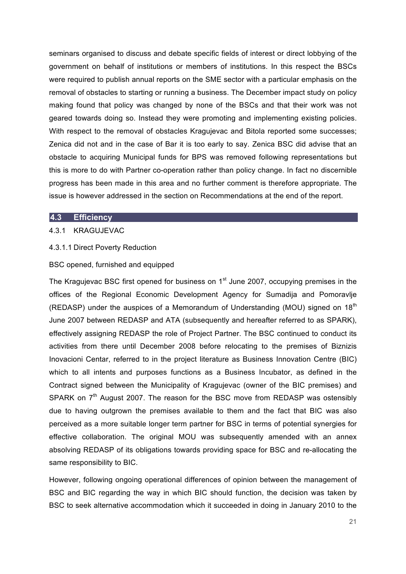seminars organised to discuss and debate specific fields of interest or direct lobbying of the government on behalf of institutions or members of institutions. In this respect the BSCs were required to publish annual reports on the SME sector with a particular emphasis on the removal of obstacles to starting or running a business. The December impact study on policy making found that policy was changed by none of the BSCs and that their work was not geared towards doing so. Instead they were promoting and implementing existing policies. With respect to the removal of obstacles Kragujevac and Bitola reported some successes; Zenica did not and in the case of Bar it is too early to say. Zenica BSC did advise that an obstacle to acquiring Municipal funds for BPS was removed following representations but this is more to do with Partner co-operation rather than policy change. In fact no discernible progress has been made in this area and no further comment is therefore appropriate. The issue is however addressed in the section on Recommendations at the end of the report.

#### **4.3 Efficiency**

#### 4.3.1 KRAGUJEVAC

#### 4.3.1.1 Direct Poverty Reduction

#### BSC opened, furnished and equipped

The Kragujevac BSC first opened for business on  $1<sup>st</sup>$  June 2007, occupying premises in the offices of the Regional Economic Development Agency for Sumadija and Pomoravlje (REDASP) under the auspices of a Memorandum of Understanding (MOU) signed on  $18<sup>th</sup>$ June 2007 between REDASP and ATA (subsequently and hereafter referred to as SPARK), effectively assigning REDASP the role of Project Partner. The BSC continued to conduct its activities from there until December 2008 before relocating to the premises of Biznizis Inovacioni Centar, referred to in the project literature as Business Innovation Centre (BIC) which to all intents and purposes functions as a Business Incubator, as defined in the Contract signed between the Municipality of Kragujevac (owner of the BIC premises) and SPARK on  $7<sup>th</sup>$  August 2007. The reason for the BSC move from REDASP was ostensibly due to having outgrown the premises available to them and the fact that BIC was also perceived as a more suitable longer term partner for BSC in terms of potential synergies for effective collaboration. The original MOU was subsequently amended with an annex absolving REDASP of its obligations towards providing space for BSC and re-allocating the same responsibility to BIC.

However, following ongoing operational differences of opinion between the management of BSC and BIC regarding the way in which BIC should function, the decision was taken by BSC to seek alternative accommodation which it succeeded in doing in January 2010 to the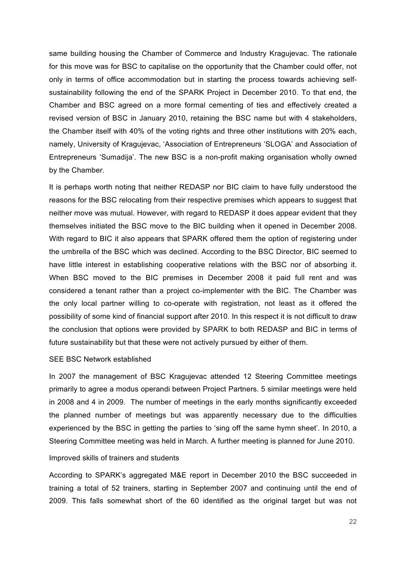same building housing the Chamber of Commerce and Industry Kragujevac. The rationale for this move was for BSC to capitalise on the opportunity that the Chamber could offer, not only in terms of office accommodation but in starting the process towards achieving selfsustainability following the end of the SPARK Project in December 2010. To that end, the Chamber and BSC agreed on a more formal cementing of ties and effectively created a revised version of BSC in January 2010, retaining the BSC name but with 4 stakeholders, the Chamber itself with 40% of the voting rights and three other institutions with 20% each, namely, University of Kragujevac, 'Association of Entrepreneurs 'SLOGA' and Association of Entrepreneurs 'Sumadija'. The new BSC is a non-profit making organisation wholly owned by the Chamber.

It is perhaps worth noting that neither REDASP nor BIC claim to have fully understood the reasons for the BSC relocating from their respective premises which appears to suggest that neither move was mutual. However, with regard to REDASP it does appear evident that they themselves initiated the BSC move to the BIC building when it opened in December 2008. With regard to BIC it also appears that SPARK offered them the option of registering under the umbrella of the BSC which was declined. According to the BSC Director, BIC seemed to have little interest in establishing cooperative relations with the BSC nor of absorbing it. When BSC moved to the BIC premises in December 2008 it paid full rent and was considered a tenant rather than a project co-implementer with the BIC. The Chamber was the only local partner willing to co-operate with registration, not least as it offered the possibility of some kind of financial support after 2010. In this respect it is not difficult to draw the conclusion that options were provided by SPARK to both REDASP and BIC in terms of future sustainability but that these were not actively pursued by either of them.

#### SEE BSC Network established

In 2007 the management of BSC Kragujevac attended 12 Steering Committee meetings primarily to agree a modus operandi between Project Partners. 5 similar meetings were held in 2008 and 4 in 2009. The number of meetings in the early months significantly exceeded the planned number of meetings but was apparently necessary due to the difficulties experienced by the BSC in getting the parties to 'sing off the same hymn sheet'. In 2010, a Steering Committee meeting was held in March. A further meeting is planned for June 2010.

#### Improved skills of trainers and students

According to SPARK's aggregated M&E report in December 2010 the BSC succeeded in training a total of 52 trainers, starting in September 2007 and continuing until the end of 2009. This falls somewhat short of the 60 identified as the original target but was not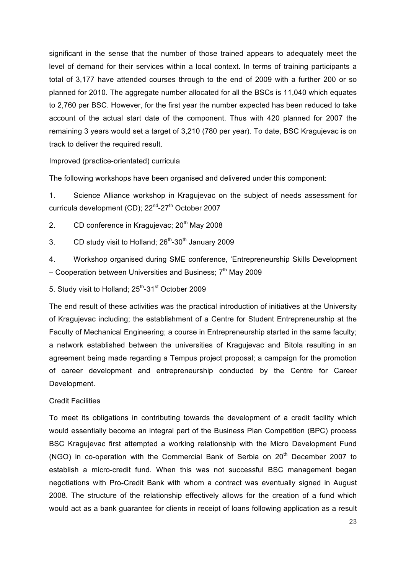significant in the sense that the number of those trained appears to adequately meet the level of demand for their services within a local context. In terms of training participants a total of 3,177 have attended courses through to the end of 2009 with a further 200 or so planned for 2010. The aggregate number allocated for all the BSCs is 11,040 which equates to 2,760 per BSC. However, for the first year the number expected has been reduced to take account of the actual start date of the component. Thus with 420 planned for 2007 the remaining 3 years would set a target of 3,210 (780 per year). To date, BSC Kragujevac is on track to deliver the required result.

#### Improved (practice-orientated) curricula

The following workshops have been organised and delivered under this component:

1. Science Alliance workshop in Kragujevac on the subject of needs assessment for curricula development (CD); 22<sup>nd</sup>-27<sup>th</sup> October 2007

2. CD conference in Kragujevac;  $20<sup>th</sup>$  May 2008

3. CD study visit to Holland;  $26<sup>th</sup>$ -30<sup>th</sup> January 2009

4. Workshop organised during SME conference, 'Entrepreneurship Skills Development – Cooperation between Universities and Business;  $7<sup>th</sup>$  May 2009

5. Study visit to Holland: 25<sup>th</sup>-31<sup>st</sup> October 2009

The end result of these activities was the practical introduction of initiatives at the University of Kragujevac including; the establishment of a Centre for Student Entrepreneurship at the Faculty of Mechanical Engineering; a course in Entrepreneurship started in the same faculty; a network established between the universities of Kragujevac and Bitola resulting in an agreement being made regarding a Tempus project proposal; a campaign for the promotion of career development and entrepreneurship conducted by the Centre for Career Development.

#### Credit Facilities

To meet its obligations in contributing towards the development of a credit facility which would essentially become an integral part of the Business Plan Competition (BPC) process BSC Kragujevac first attempted a working relationship with the Micro Development Fund (NGO) in co-operation with the Commercial Bank of Serbia on  $20<sup>th</sup>$  December 2007 to establish a micro-credit fund. When this was not successful BSC management began negotiations with Pro-Credit Bank with whom a contract was eventually signed in August 2008. The structure of the relationship effectively allows for the creation of a fund which would act as a bank guarantee for clients in receipt of loans following application as a result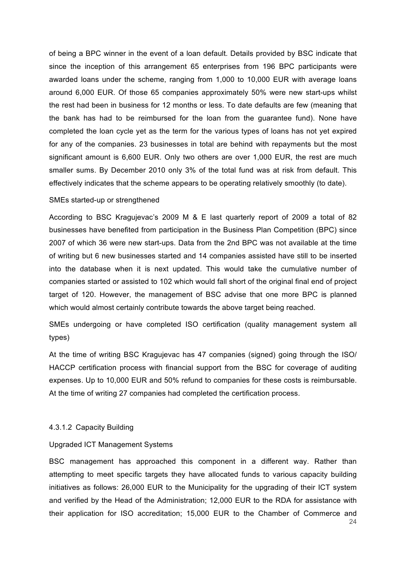of being a BPC winner in the event of a loan default. Details provided by BSC indicate that since the inception of this arrangement 65 enterprises from 196 BPC participants were awarded loans under the scheme, ranging from 1,000 to 10,000 EUR with average loans around 6,000 EUR. Of those 65 companies approximately 50% were new start-ups whilst the rest had been in business for 12 months or less. To date defaults are few (meaning that the bank has had to be reimbursed for the loan from the guarantee fund). None have completed the loan cycle yet as the term for the various types of loans has not yet expired for any of the companies. 23 businesses in total are behind with repayments but the most significant amount is 6,600 EUR. Only two others are over 1,000 EUR, the rest are much smaller sums. By December 2010 only 3% of the total fund was at risk from default. This effectively indicates that the scheme appears to be operating relatively smoothly (to date).

#### SMEs started-up or strengthened

According to BSC Kragujevac's 2009 M & E last quarterly report of 2009 a total of 82 businesses have benefited from participation in the Business Plan Competition (BPC) since 2007 of which 36 were new start-ups. Data from the 2nd BPC was not available at the time of writing but 6 new businesses started and 14 companies assisted have still to be inserted into the database when it is next updated. This would take the cumulative number of companies started or assisted to 102 which would fall short of the original final end of project target of 120. However, the management of BSC advise that one more BPC is planned which would almost certainly contribute towards the above target being reached.

SMEs undergoing or have completed ISO certification (quality management system all types)

At the time of writing BSC Kragujevac has 47 companies (signed) going through the ISO/ HACCP certification process with financial support from the BSC for coverage of auditing expenses. Up to 10,000 EUR and 50% refund to companies for these costs is reimbursable. At the time of writing 27 companies had completed the certification process.

#### 4.3.1.2 Capacity Building

#### Upgraded ICT Management Systems

24 BSC management has approached this component in a different way. Rather than attempting to meet specific targets they have allocated funds to various capacity building initiatives as follows: 26,000 EUR to the Municipality for the upgrading of their ICT system and verified by the Head of the Administration; 12,000 EUR to the RDA for assistance with their application for ISO accreditation; 15,000 EUR to the Chamber of Commerce and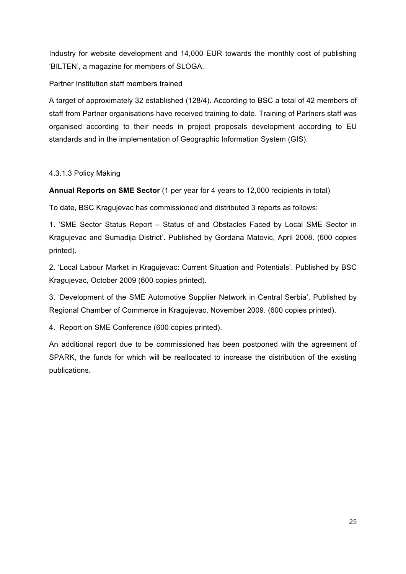Industry for website development and 14,000 EUR towards the monthly cost of publishing 'BILTEN', a magazine for members of SLOGA.

#### Partner Institution staff members trained

A target of approximately 32 established (128/4). According to BSC a total of 42 members of staff from Partner organisations have received training to date. Training of Partners staff was organised according to their needs in project proposals development according to EU standards and in the implementation of Geographic Information System (GIS).

#### 4.3.1.3 Policy Making

**Annual Reports on SME Sector** (1 per year for 4 years to 12,000 recipients in total)

To date, BSC Kragujevac has commissioned and distributed 3 reports as follows:

1. 'SME Sector Status Report – Status of and Obstacles Faced by Local SME Sector in Kragujevac and Sumadija District'. Published by Gordana Matovic, April 2008. (600 copies printed).

2. 'Local Labour Market in Kragujevac: Current Situation and Potentials'. Published by BSC Kragujevac, October 2009 (600 copies printed).

3. 'Development of the SME Automotive Supplier Network in Central Serbia'. Published by Regional Chamber of Commerce in Kragujevac, November 2009. (600 copies printed).

4. Report on SME Conference (600 copies printed).

An additional report due to be commissioned has been postponed with the agreement of SPARK, the funds for which will be reallocated to increase the distribution of the existing publications.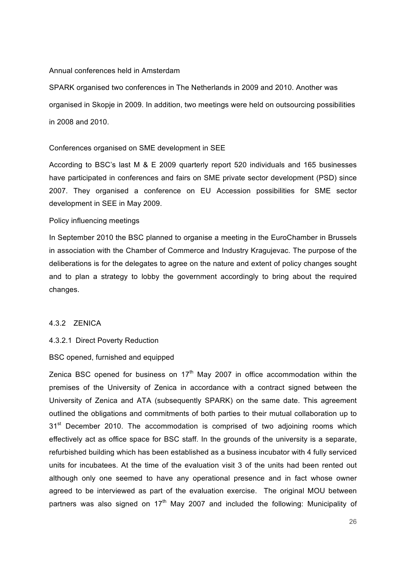#### Annual conferences held in Amsterdam

SPARK organised two conferences in The Netherlands in 2009 and 2010. Another was organised in Skopje in 2009. In addition, two meetings were held on outsourcing possibilities in 2008 and 2010.

#### Conferences organised on SME development in SEE

According to BSC's last M & E 2009 quarterly report 520 individuals and 165 businesses have participated in conferences and fairs on SME private sector development (PSD) since 2007. They organised a conference on EU Accession possibilities for SME sector development in SEE in May 2009.

#### Policy influencing meetings

In September 2010 the BSC planned to organise a meeting in the EuroChamber in Brussels in association with the Chamber of Commerce and Industry Kragujevac. The purpose of the deliberations is for the delegates to agree on the nature and extent of policy changes sought and to plan a strategy to lobby the government accordingly to bring about the required changes.

#### 4.3.2 ZENICA

#### 4.3.2.1 Direct Poverty Reduction

#### BSC opened, furnished and equipped

Zenica BSC opened for business on  $17<sup>th</sup>$  May 2007 in office accommodation within the premises of the University of Zenica in accordance with a contract signed between the University of Zenica and ATA (subsequently SPARK) on the same date. This agreement outlined the obligations and commitments of both parties to their mutual collaboration up to  $31<sup>st</sup>$  December 2010. The accommodation is comprised of two adjoining rooms which effectively act as office space for BSC staff. In the grounds of the university is a separate, refurbished building which has been established as a business incubator with 4 fully serviced units for incubatees. At the time of the evaluation visit 3 of the units had been rented out although only one seemed to have any operational presence and in fact whose owner agreed to be interviewed as part of the evaluation exercise. The original MOU between partners was also signed on  $17<sup>th</sup>$  May 2007 and included the following: Municipality of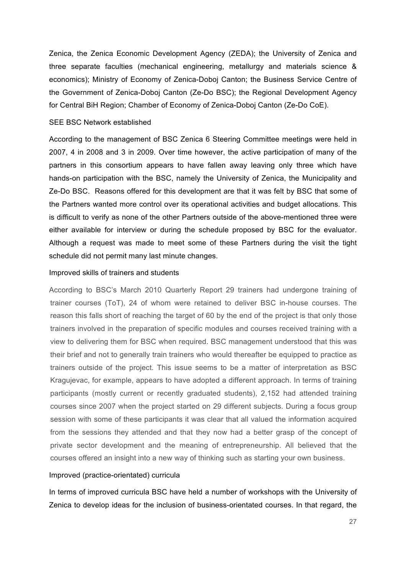Zenica, the Zenica Economic Development Agency (ZEDA); the University of Zenica and three separate faculties (mechanical engineering, metallurgy and materials science & economics); Ministry of Economy of Zenica-Doboj Canton; the Business Service Centre of the Government of Zenica-Doboj Canton (Ze-Do BSC); the Regional Development Agency for Central BiH Region; Chamber of Economy of Zenica-Doboj Canton (Ze-Do CoE).

#### SEE BSC Network established

According to the management of BSC Zenica 6 Steering Committee meetings were held in 2007, 4 in 2008 and 3 in 2009. Over time however, the active participation of many of the partners in this consortium appears to have fallen away leaving only three which have hands-on participation with the BSC, namely the University of Zenica, the Municipality and Ze-Do BSC. Reasons offered for this development are that it was felt by BSC that some of the Partners wanted more control over its operational activities and budget allocations. This is difficult to verify as none of the other Partners outside of the above-mentioned three were either available for interview or during the schedule proposed by BSC for the evaluator. Although a request was made to meet some of these Partners during the visit the tight schedule did not permit many last minute changes.

#### Improved skills of trainers and students

According to BSC's March 2010 Quarterly Report 29 trainers had undergone training of trainer courses (ToT), 24 of whom were retained to deliver BSC in-house courses. The reason this falls short of reaching the target of 60 by the end of the project is that only those trainers involved in the preparation of specific modules and courses received training with a view to delivering them for BSC when required. BSC management understood that this was their brief and not to generally train trainers who would thereafter be equipped to practice as trainers outside of the project. This issue seems to be a matter of interpretation as BSC Kragujevac, for example, appears to have adopted a different approach. In terms of training participants (mostly current or recently graduated students), 2,152 had attended training courses since 2007 when the project started on 29 different subjects. During a focus group session with some of these participants it was clear that all valued the information acquired from the sessions they attended and that they now had a better grasp of the concept of private sector development and the meaning of entrepreneurship. All believed that the courses offered an insight into a new way of thinking such as starting your own business.

#### Improved (practice-orientated) curricula

In terms of improved curricula BSC have held a number of workshops with the University of Zenica to develop ideas for the inclusion of business-orientated courses. In that regard, the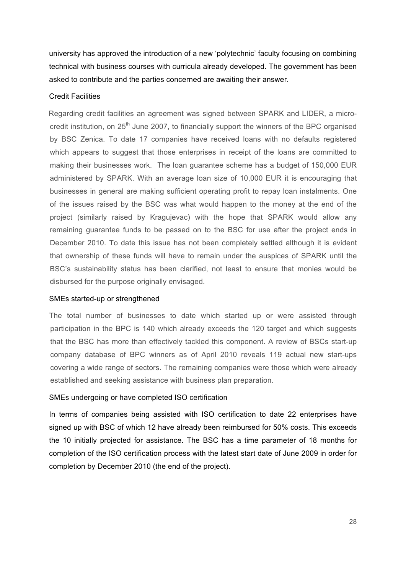university has approved the introduction of a new 'polytechnic' faculty focusing on combining technical with business courses with curricula already developed. The government has been asked to contribute and the parties concerned are awaiting their answer.

#### Credit Facilities

Regarding credit facilities an agreement was signed between SPARK and LIDER, a microcredit institution, on 25<sup>th</sup> June 2007, to financially support the winners of the BPC organised by BSC Zenica. To date 17 companies have received loans with no defaults registered which appears to suggest that those enterprises in receipt of the loans are committed to making their businesses work. The loan guarantee scheme has a budget of 150,000 EUR administered by SPARK. With an average loan size of 10,000 EUR it is encouraging that businesses in general are making sufficient operating profit to repay loan instalments. One of the issues raised by the BSC was what would happen to the money at the end of the project (similarly raised by Kragujevac) with the hope that SPARK would allow any remaining guarantee funds to be passed on to the BSC for use after the project ends in December 2010. To date this issue has not been completely settled although it is evident that ownership of these funds will have to remain under the auspices of SPARK until the BSC's sustainability status has been clarified, not least to ensure that monies would be disbursed for the purpose originally envisaged.

#### SMEs started-up or strengthened

The total number of businesses to date which started up or were assisted through participation in the BPC is 140 which already exceeds the 120 target and which suggests that the BSC has more than effectively tackled this component. A review of BSCs start-up company database of BPC winners as of April 2010 reveals 119 actual new start-ups covering a wide range of sectors. The remaining companies were those which were already established and seeking assistance with business plan preparation.

#### SMEs undergoing or have completed ISO certification

In terms of companies being assisted with ISO certification to date 22 enterprises have signed up with BSC of which 12 have already been reimbursed for 50% costs. This exceeds the 10 initially projected for assistance. The BSC has a time parameter of 18 months for completion of the ISO certification process with the latest start date of June 2009 in order for completion by December 2010 (the end of the project).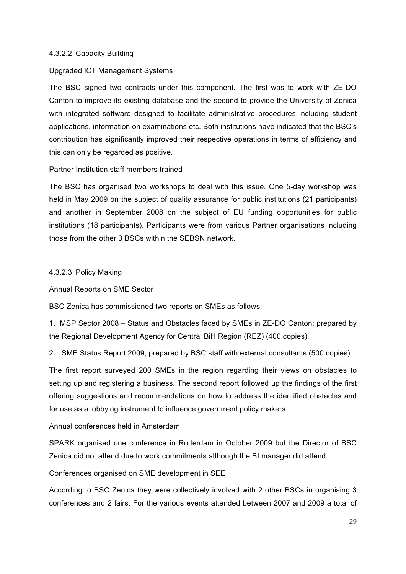#### 4.3.2.2 Capacity Building

#### Upgraded ICT Management Systems

The BSC signed two contracts under this component. The first was to work with ZE-DO Canton to improve its existing database and the second to provide the University of Zenica with integrated software designed to facilitate administrative procedures including student applications, information on examinations etc. Both institutions have indicated that the BSC's contribution has significantly improved their respective operations in terms of efficiency and this can only be regarded as positive.

#### Partner Institution staff members trained

The BSC has organised two workshops to deal with this issue. One 5-day workshop was held in May 2009 on the subject of quality assurance for public institutions (21 participants) and another in September 2008 on the subject of EU funding opportunities for public institutions (18 participants). Participants were from various Partner organisations including those from the other 3 BSCs within the SEBSN network.

#### 4.3.2.3 Policy Making

Annual Reports on SME Sector

BSC Zenica has commissioned two reports on SMEs as follows:

1. MSP Sector 2008 – Status and Obstacles faced by SMEs in ZE-DO Canton; prepared by the Regional Development Agency for Central BiH Region (REZ) (400 copies).

2. SME Status Report 2009; prepared by BSC staff with external consultants (500 copies).

The first report surveyed 200 SMEs in the region regarding their views on obstacles to setting up and registering a business. The second report followed up the findings of the first offering suggestions and recommendations on how to address the identified obstacles and for use as a lobbying instrument to influence government policy makers.

#### Annual conferences held in Amsterdam

SPARK organised one conference in Rotterdam in October 2009 but the Director of BSC Zenica did not attend due to work commitments although the BI manager did attend.

Conferences organised on SME development in SEE

According to BSC Zenica they were collectively involved with 2 other BSCs in organising 3 conferences and 2 fairs. For the various events attended between 2007 and 2009 a total of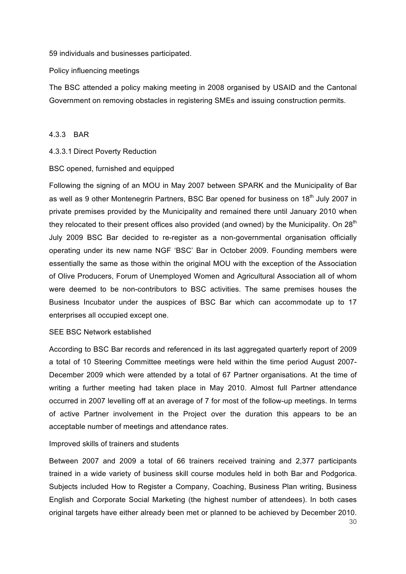59 individuals and businesses participated.

Policy influencing meetings

The BSC attended a policy making meeting in 2008 organised by USAID and the Cantonal Government on removing obstacles in registering SMEs and issuing construction permits.

#### 4.3.3 BAR

#### 4.3.3.1 Direct Poverty Reduction

#### BSC opened, furnished and equipped

Following the signing of an MOU in May 2007 between SPARK and the Municipality of Bar as well as 9 other Montenegrin Partners, BSC Bar opened for business on 18<sup>th</sup> July 2007 in private premises provided by the Municipality and remained there until January 2010 when they relocated to their present offices also provided (and owned) by the Municipality. On  $28<sup>th</sup>$ July 2009 BSC Bar decided to re-register as a non-governmental organisation officially operating under its new name NGF 'BSC' Bar in October 2009. Founding members were essentially the same as those within the original MOU with the exception of the Association of Olive Producers, Forum of Unemployed Women and Agricultural Association all of whom were deemed to be non-contributors to BSC activities. The same premises houses the Business Incubator under the auspices of BSC Bar which can accommodate up to 17 enterprises all occupied except one.

#### SEE BSC Network established

According to BSC Bar records and referenced in its last aggregated quarterly report of 2009 a total of 10 Steering Committee meetings were held within the time period August 2007- December 2009 which were attended by a total of 67 Partner organisations. At the time of writing a further meeting had taken place in May 2010. Almost full Partner attendance occurred in 2007 levelling off at an average of 7 for most of the follow-up meetings. In terms of active Partner involvement in the Project over the duration this appears to be an acceptable number of meetings and attendance rates.

#### Improved skills of trainers and students

Between 2007 and 2009 a total of 66 trainers received training and 2,377 participants trained in a wide variety of business skill course modules held in both Bar and Podgorica. Subjects included How to Register a Company, Coaching, Business Plan writing, Business English and Corporate Social Marketing (the highest number of attendees). In both cases original targets have either already been met or planned to be achieved by December 2010.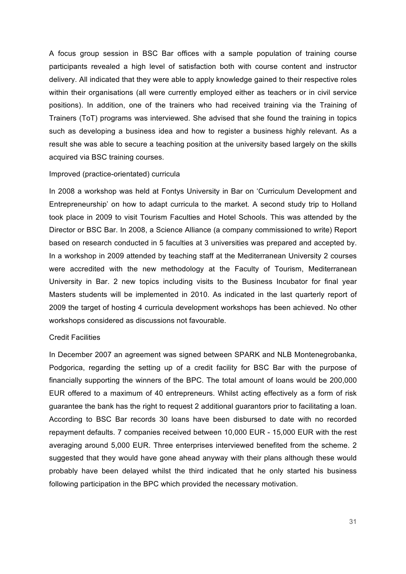A focus group session in BSC Bar offices with a sample population of training course participants revealed a high level of satisfaction both with course content and instructor delivery. All indicated that they were able to apply knowledge gained to their respective roles within their organisations (all were currently employed either as teachers or in civil service positions). In addition, one of the trainers who had received training via the Training of Trainers (ToT) programs was interviewed. She advised that she found the training in topics such as developing a business idea and how to register a business highly relevant. As a result she was able to secure a teaching position at the university based largely on the skills acquired via BSC training courses.

#### Improved (practice-orientated) curricula

In 2008 a workshop was held at Fontys University in Bar on 'Curriculum Development and Entrepreneurship' on how to adapt curricula to the market. A second study trip to Holland took place in 2009 to visit Tourism Faculties and Hotel Schools. This was attended by the Director or BSC Bar. In 2008, a Science Alliance (a company commissioned to write) Report based on research conducted in 5 faculties at 3 universities was prepared and accepted by. In a workshop in 2009 attended by teaching staff at the Mediterranean University 2 courses were accredited with the new methodology at the Faculty of Tourism, Mediterranean University in Bar. 2 new topics including visits to the Business Incubator for final year Masters students will be implemented in 2010. As indicated in the last quarterly report of 2009 the target of hosting 4 curricula development workshops has been achieved. No other workshops considered as discussions not favourable.

#### Credit Facilities

In December 2007 an agreement was signed between SPARK and NLB Montenegrobanka, Podgorica, regarding the setting up of a credit facility for BSC Bar with the purpose of financially supporting the winners of the BPC. The total amount of loans would be 200,000 EUR offered to a maximum of 40 entrepreneurs. Whilst acting effectively as a form of risk guarantee the bank has the right to request 2 additional guarantors prior to facilitating a loan. According to BSC Bar records 30 loans have been disbursed to date with no recorded repayment defaults. 7 companies received between 10,000 EUR - 15,000 EUR with the rest averaging around 5,000 EUR. Three enterprises interviewed benefited from the scheme. 2 suggested that they would have gone ahead anyway with their plans although these would probably have been delayed whilst the third indicated that he only started his business following participation in the BPC which provided the necessary motivation.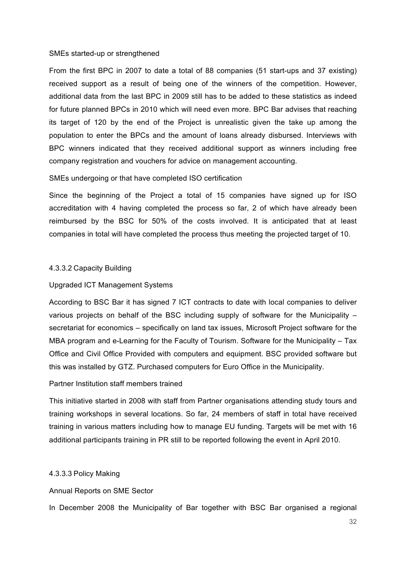#### SMEs started-up or strengthened

From the first BPC in 2007 to date a total of 88 companies (51 start-ups and 37 existing) received support as a result of being one of the winners of the competition. However, additional data from the last BPC in 2009 still has to be added to these statistics as indeed for future planned BPCs in 2010 which will need even more. BPC Bar advises that reaching its target of 120 by the end of the Project is unrealistic given the take up among the population to enter the BPCs and the amount of loans already disbursed. Interviews with BPC winners indicated that they received additional support as winners including free company registration and vouchers for advice on management accounting.

#### SMEs undergoing or that have completed ISO certification

Since the beginning of the Project a total of 15 companies have signed up for ISO accreditation with 4 having completed the process so far, 2 of which have already been reimbursed by the BSC for 50% of the costs involved. It is anticipated that at least companies in total will have completed the process thus meeting the projected target of 10.

#### 4.3.3.2 Capacity Building

#### Upgraded ICT Management Systems

According to BSC Bar it has signed 7 ICT contracts to date with local companies to deliver various projects on behalf of the BSC including supply of software for the Municipality – secretariat for economics – specifically on land tax issues, Microsoft Project software for the MBA program and e-Learning for the Faculty of Tourism. Software for the Municipality – Tax Office and Civil Office Provided with computers and equipment. BSC provided software but this was installed by GTZ. Purchased computers for Euro Office in the Municipality.

#### Partner Institution staff members trained

This initiative started in 2008 with staff from Partner organisations attending study tours and training workshops in several locations. So far, 24 members of staff in total have received training in various matters including how to manage EU funding. Targets will be met with 16 additional participants training in PR still to be reported following the event in April 2010.

#### 4.3.3.3 Policy Making

Annual Reports on SME Sector

In December 2008 the Municipality of Bar together with BSC Bar organised a regional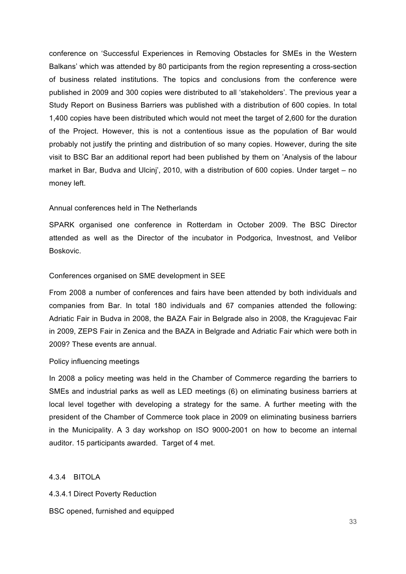conference on 'Successful Experiences in Removing Obstacles for SMEs in the Western Balkans' which was attended by 80 participants from the region representing a cross-section of business related institutions. The topics and conclusions from the conference were published in 2009 and 300 copies were distributed to all 'stakeholders'. The previous year a Study Report on Business Barriers was published with a distribution of 600 copies. In total 1,400 copies have been distributed which would not meet the target of 2,600 for the duration of the Project. However, this is not a contentious issue as the population of Bar would probably not justify the printing and distribution of so many copies. However, during the site visit to BSC Bar an additional report had been published by them on 'Analysis of the labour market in Bar, Budva and Ulcinj', 2010, with a distribution of 600 copies. Under target – no money left.

#### Annual conferences held in The Netherlands

SPARK organised one conference in Rotterdam in October 2009. The BSC Director attended as well as the Director of the incubator in Podgorica, Investnost, and Velibor Boskovic.

#### Conferences organised on SME development in SEE

From 2008 a number of conferences and fairs have been attended by both individuals and companies from Bar. In total 180 individuals and 67 companies attended the following: Adriatic Fair in Budva in 2008, the BAZA Fair in Belgrade also in 2008, the Kragujevac Fair in 2009, ZEPS Fair in Zenica and the BAZA in Belgrade and Adriatic Fair which were both in 2009? These events are annual.

#### Policy influencing meetings

In 2008 a policy meeting was held in the Chamber of Commerce regarding the barriers to SMEs and industrial parks as well as LED meetings (6) on eliminating business barriers at local level together with developing a strategy for the same. A further meeting with the president of the Chamber of Commerce took place in 2009 on eliminating business barriers in the Municipality. A 3 day workshop on ISO 9000-2001 on how to become an internal auditor. 15 participants awarded. Target of 4 met.

4.3.4 BITOLA

4.3.4.1 Direct Poverty Reduction

BSC opened, furnished and equipped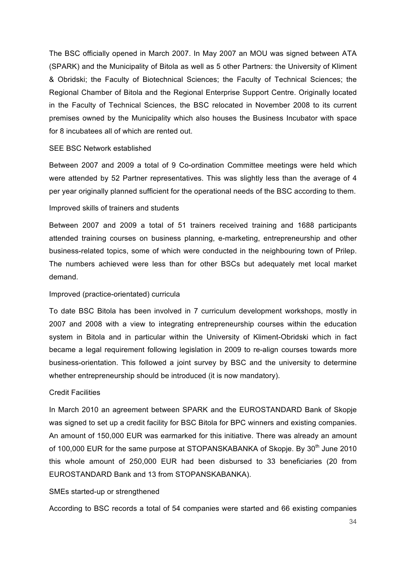The BSC officially opened in March 2007. In May 2007 an MOU was signed between ATA (SPARK) and the Municipality of Bitola as well as 5 other Partners: the University of Kliment & Obridski; the Faculty of Biotechnical Sciences; the Faculty of Technical Sciences; the Regional Chamber of Bitola and the Regional Enterprise Support Centre. Originally located in the Faculty of Technical Sciences, the BSC relocated in November 2008 to its current premises owned by the Municipality which also houses the Business Incubator with space for 8 incubatees all of which are rented out.

#### SEE BSC Network established

Between 2007 and 2009 a total of 9 Co-ordination Committee meetings were held which were attended by 52 Partner representatives. This was slightly less than the average of 4 per year originally planned sufficient for the operational needs of the BSC according to them.

#### Improved skills of trainers and students

Between 2007 and 2009 a total of 51 trainers received training and 1688 participants attended training courses on business planning, e-marketing, entrepreneurship and other business-related topics, some of which were conducted in the neighbouring town of Prilep. The numbers achieved were less than for other BSCs but adequately met local market demand.

#### Improved (practice-orientated) curricula

To date BSC Bitola has been involved in 7 curriculum development workshops, mostly in 2007 and 2008 with a view to integrating entrepreneurship courses within the education system in Bitola and in particular within the University of Kliment-Obridski which in fact became a legal requirement following legislation in 2009 to re-align courses towards more business-orientation. This followed a joint survey by BSC and the university to determine whether entrepreneurship should be introduced (it is now mandatory).

#### Credit Facilities

In March 2010 an agreement between SPARK and the EUROSTANDARD Bank of Skopje was signed to set up a credit facility for BSC Bitola for BPC winners and existing companies. An amount of 150,000 EUR was earmarked for this initiative. There was already an amount of 100,000 EUR for the same purpose at STOPANSKABANKA of Skopje. By 30<sup>th</sup> June 2010 this whole amount of 250,000 EUR had been disbursed to 33 beneficiaries (20 from EUROSTANDARD Bank and 13 from STOPANSKABANKA).

#### SMEs started-up or strengthened

According to BSC records a total of 54 companies were started and 66 existing companies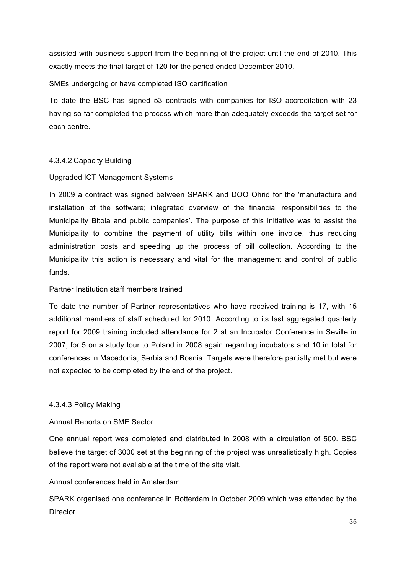assisted with business support from the beginning of the project until the end of 2010. This exactly meets the final target of 120 for the period ended December 2010.

#### SMEs undergoing or have completed ISO certification

To date the BSC has signed 53 contracts with companies for ISO accreditation with 23 having so far completed the process which more than adequately exceeds the target set for each centre.

#### 4.3.4.2 Capacity Building

#### Upgraded ICT Management Systems

In 2009 a contract was signed between SPARK and DOO Ohrid for the 'manufacture and installation of the software; integrated overview of the financial responsibilities to the Municipality Bitola and public companies'. The purpose of this initiative was to assist the Municipality to combine the payment of utility bills within one invoice, thus reducing administration costs and speeding up the process of bill collection. According to the Municipality this action is necessary and vital for the management and control of public funds.

#### Partner Institution staff members trained

To date the number of Partner representatives who have received training is 17, with 15 additional members of staff scheduled for 2010. According to its last aggregated quarterly report for 2009 training included attendance for 2 at an Incubator Conference in Seville in 2007, for 5 on a study tour to Poland in 2008 again regarding incubators and 10 in total for conferences in Macedonia, Serbia and Bosnia. Targets were therefore partially met but were not expected to be completed by the end of the project.

#### 4.3.4.3 Policy Making

#### Annual Reports on SME Sector

One annual report was completed and distributed in 2008 with a circulation of 500. BSC believe the target of 3000 set at the beginning of the project was unrealistically high. Copies of the report were not available at the time of the site visit.

#### Annual conferences held in Amsterdam

SPARK organised one conference in Rotterdam in October 2009 which was attended by the Director.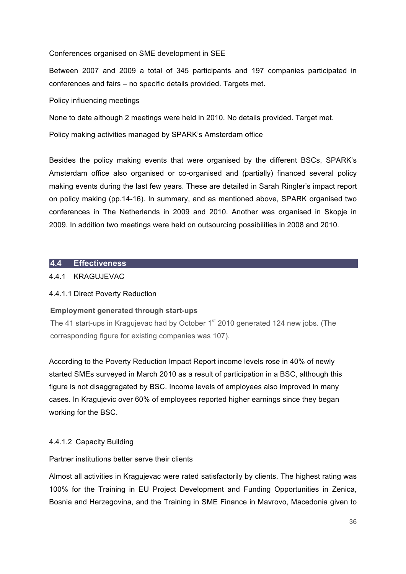Conferences organised on SME development in SEE

Between 2007 and 2009 a total of 345 participants and 197 companies participated in conferences and fairs – no specific details provided. Targets met.

Policy influencing meetings

None to date although 2 meetings were held in 2010. No details provided. Target met.

Policy making activities managed by SPARK's Amsterdam office

Besides the policy making events that were organised by the different BSCs, SPARK's Amsterdam office also organised or co-organised and (partially) financed several policy making events during the last few years. These are detailed in Sarah Ringler's impact report on policy making (pp.14-16). In summary, and as mentioned above, SPARK organised two conferences in The Netherlands in 2009 and 2010. Another was organised in Skopje in 2009. In addition two meetings were held on outsourcing possibilities in 2008 and 2010.

#### **4.4 Effectiveness**

#### 4.4.1 KRAGUJEVAC

#### 4.4.1.1 Direct Poverty Reduction

#### **Employment generated through start-ups**

The 41 start-ups in Kragujevac had by October 1<sup>st</sup> 2010 generated 124 new jobs. (The corresponding figure for existing companies was 107).

According to the Poverty Reduction Impact Report income levels rose in 40% of newly started SMEs surveyed in March 2010 as a result of participation in a BSC, although this figure is not disaggregated by BSC. Income levels of employees also improved in many cases. In Kragujevic over 60% of employees reported higher earnings since they began working for the BSC.

#### 4.4.1.2 Capacity Building

#### Partner institutions better serve their clients

Almost all activities in Kragujevac were rated satisfactorily by clients. The highest rating was 100% for the Training in EU Project Development and Funding Opportunities in Zenica, Bosnia and Herzegovina, and the Training in SME Finance in Mavrovo, Macedonia given to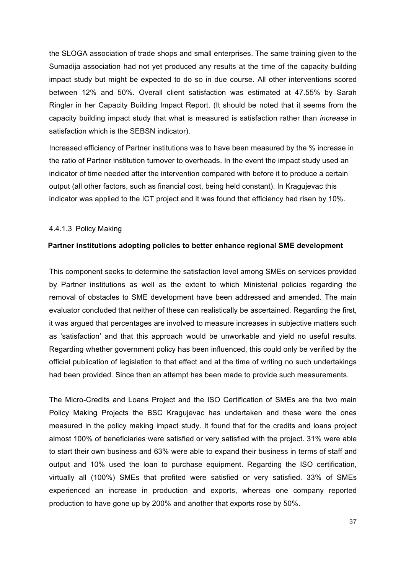the SLOGA association of trade shops and small enterprises. The same training given to the Sumadija association had not yet produced any results at the time of the capacity building impact study but might be expected to do so in due course. All other interventions scored between 12% and 50%. Overall client satisfaction was estimated at 47.55% by Sarah Ringler in her Capacity Building Impact Report. (It should be noted that it seems from the capacity building impact study that what is measured is satisfaction rather than *increase* in satisfaction which is the SEBSN indicator).

Increased efficiency of Partner institutions was to have been measured by the % increase in the ratio of Partner institution turnover to overheads. In the event the impact study used an indicator of time needed after the intervention compared with before it to produce a certain output (all other factors, such as financial cost, being held constant). In Kragujevac this indicator was applied to the ICT project and it was found that efficiency had risen by 10%.

#### 4.4.1.3 Policy Making

#### **Partner institutions adopting policies to better enhance regional SME development**

This component seeks to determine the satisfaction level among SMEs on services provided by Partner institutions as well as the extent to which Ministerial policies regarding the removal of obstacles to SME development have been addressed and amended. The main evaluator concluded that neither of these can realistically be ascertained. Regarding the first, it was argued that percentages are involved to measure increases in subjective matters such as 'satisfaction' and that this approach would be unworkable and yield no useful results. Regarding whether government policy has been influenced, this could only be verified by the official publication of legislation to that effect and at the time of writing no such undertakings had been provided. Since then an attempt has been made to provide such measurements.

The Micro-Credits and Loans Project and the ISO Certification of SMEs are the two main Policy Making Projects the BSC Kragujevac has undertaken and these were the ones measured in the policy making impact study. It found that for the credits and loans project almost 100% of beneficiaries were satisfied or very satisfied with the project. 31% were able to start their own business and 63% were able to expand their business in terms of staff and output and 10% used the loan to purchase equipment. Regarding the ISO certification, virtually all (100%) SMEs that profited were satisfied or very satisfied. 33% of SMEs experienced an increase in production and exports, whereas one company reported production to have gone up by 200% and another that exports rose by 50%.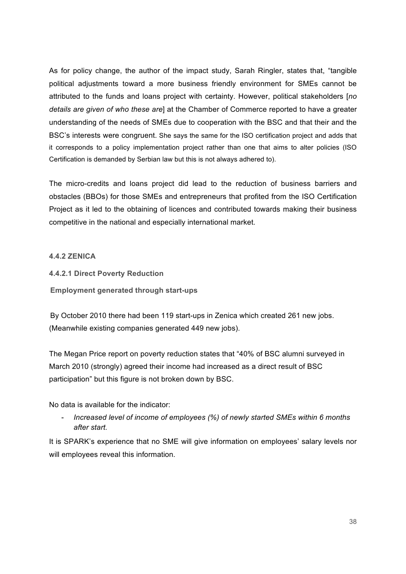As for policy change, the author of the impact study, Sarah Ringler, states that, "tangible political adjustments toward a more business friendly environment for SMEs cannot be attributed to the funds and loans project with certainty. However, political stakeholders [*no details are given of who these are*] at the Chamber of Commerce reported to have a greater understanding of the needs of SMEs due to cooperation with the BSC and that their and the BSC's interests were congruent. She says the same for the ISO certification project and adds that it corresponds to a policy implementation project rather than one that aims to alter policies (ISO Certification is demanded by Serbian law but this is not always adhered to).

The micro-credits and loans project did lead to the reduction of business barriers and obstacles (BBOs) for those SMEs and entrepreneurs that profited from the ISO Certification Project as it led to the obtaining of licences and contributed towards making their business competitive in the national and especially international market.

## **4.4.2 ZENICA**

- **4.4.2.1 Direct Poverty Reduction**
- **Employment generated through start-ups**

By October 2010 there had been 119 start-ups in Zenica which created 261 new jobs. (Meanwhile existing companies generated 449 new jobs).

The Megan Price report on poverty reduction states that "40% of BSC alumni surveyed in March 2010 (strongly) agreed their income had increased as a direct result of BSC participation" but this figure is not broken down by BSC.

No data is available for the indicator:

- *Increased level of income of employees (%) of newly started SMEs within 6 months after start.*

It is SPARK's experience that no SME will give information on employees' salary levels nor will employees reveal this information.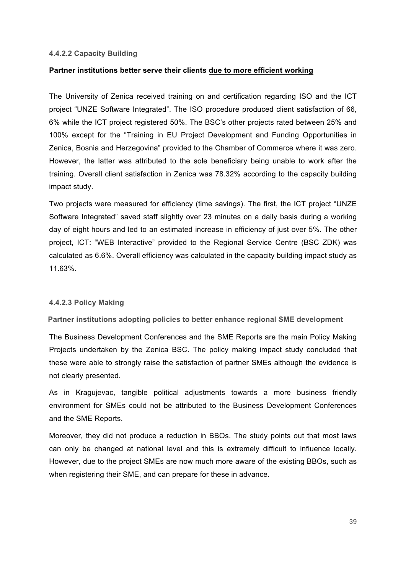#### **4.4.2.2 Capacity Building**

### **Partner institutions better serve their clients due to more efficient working**

The University of Zenica received training on and certification regarding ISO and the ICT project "UNZE Software Integrated". The ISO procedure produced client satisfaction of 66, 6% while the ICT project registered 50%. The BSC's other projects rated between 25% and 100% except for the "Training in EU Project Development and Funding Opportunities in Zenica, Bosnia and Herzegovina" provided to the Chamber of Commerce where it was zero. However, the latter was attributed to the sole beneficiary being unable to work after the training. Overall client satisfaction in Zenica was 78.32% according to the capacity building impact study.

Two projects were measured for efficiency (time savings). The first, the ICT project "UNZE Software Integrated" saved staff slightly over 23 minutes on a daily basis during a working day of eight hours and led to an estimated increase in efficiency of just over 5%. The other project, ICT: "WEB Interactive" provided to the Regional Service Centre (BSC ZDK) was calculated as 6.6%. Overall efficiency was calculated in the capacity building impact study as 11.63%.

#### **4.4.2.3 Policy Making**

**Partner institutions adopting policies to better enhance regional SME development** 

The Business Development Conferences and the SME Reports are the main Policy Making Projects undertaken by the Zenica BSC. The policy making impact study concluded that these were able to strongly raise the satisfaction of partner SMEs although the evidence is not clearly presented.

As in Kragujevac, tangible political adjustments towards a more business friendly environment for SMEs could not be attributed to the Business Development Conferences and the SME Reports.

Moreover, they did not produce a reduction in BBOs. The study points out that most laws can only be changed at national level and this is extremely difficult to influence locally. However, due to the project SMEs are now much more aware of the existing BBOs, such as when registering their SME, and can prepare for these in advance.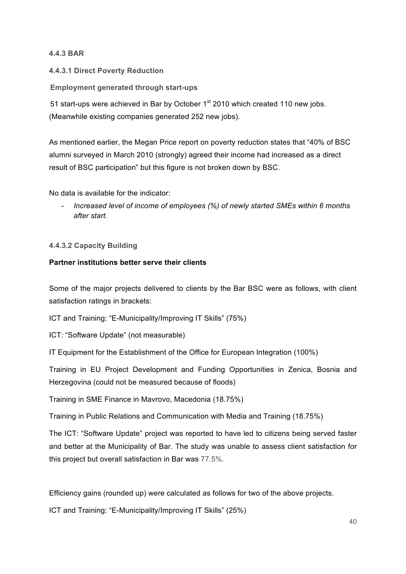## **4.4.3 BAR**

# **4.4.3.1 Direct Poverty Reduction**

# **Employment generated through start-ups**

51 start-ups were achieved in Bar by October 1<sup>st</sup> 2010 which created 110 new jobs. (Meanwhile existing companies generated 252 new jobs).

As mentioned earlier, the Megan Price report on poverty reduction states that "40% of BSC alumni surveyed in March 2010 (strongly) agreed their income had increased as a direct result of BSC participation" but this figure is not broken down by BSC.

No data is available for the indicator:

- *Increased level of income of employees (%) of newly started SMEs within 6 months after start.*

# **4.4.3.2 Capacity Building**

# **Partner institutions better serve their clients**

Some of the major projects delivered to clients by the Bar BSC were as follows, with client satisfaction ratings in brackets:

ICT and Training: "E-Municipality/Improving IT Skills" (75%)

ICT: "Software Update" (not measurable)

IT Equipment for the Establishment of the Office for European Integration (100%)

Training in EU Project Development and Funding Opportunities in Zenica, Bosnia and Herzegovina (could not be measured because of floods)

Training in SME Finance in Mavrovo, Macedonia (18.75%)

Training in Public Relations and Communication with Media and Training (18.75%)

The ICT: "Software Update" project was reported to have led to citizens being served faster and better at the Municipality of Bar. The study was unable to assess client satisfaction for this project but overall satisfaction in Bar was 77.5%.

Efficiency gains (rounded up) were calculated as follows for two of the above projects.

ICT and Training: "E-Municipality/Improving IT Skills" (25%)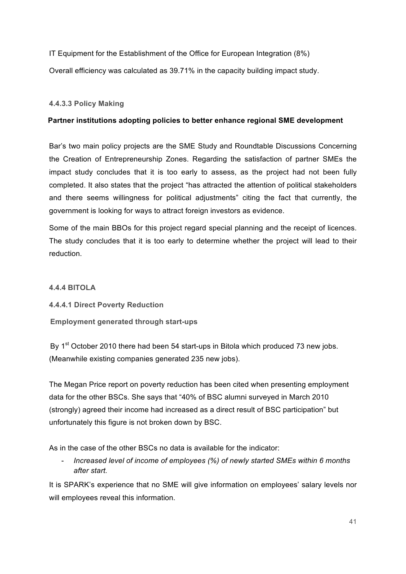IT Equipment for the Establishment of the Office for European Integration (8%)

Overall efficiency was calculated as 39.71% in the capacity building impact study.

## **4.4.3.3 Policy Making**

## **Partner institutions adopting policies to better enhance regional SME development**

Bar's two main policy projects are the SME Study and Roundtable Discussions Concerning the Creation of Entrepreneurship Zones. Regarding the satisfaction of partner SMEs the impact study concludes that it is too early to assess, as the project had not been fully completed. It also states that the project "has attracted the attention of political stakeholders and there seems willingness for political adjustments" citing the fact that currently, the government is looking for ways to attract foreign investors as evidence.

Some of the main BBOs for this project regard special planning and the receipt of licences. The study concludes that it is too early to determine whether the project will lead to their reduction.

## **4.4.4 BITOLA**

**4.4.4.1 Direct Poverty Reduction**

**Employment generated through start-ups** 

By  $1<sup>st</sup>$  October 2010 there had been 54 start-ups in Bitola which produced 73 new jobs. (Meanwhile existing companies generated 235 new jobs).

The Megan Price report on poverty reduction has been cited when presenting employment data for the other BSCs. She says that "40% of BSC alumni surveyed in March 2010 (strongly) agreed their income had increased as a direct result of BSC participation" but unfortunately this figure is not broken down by BSC.

As in the case of the other BSCs no data is available for the indicator:

- *Increased level of income of employees (%) of newly started SMEs within 6 months after start.*

It is SPARK's experience that no SME will give information on employees' salary levels nor will employees reveal this information.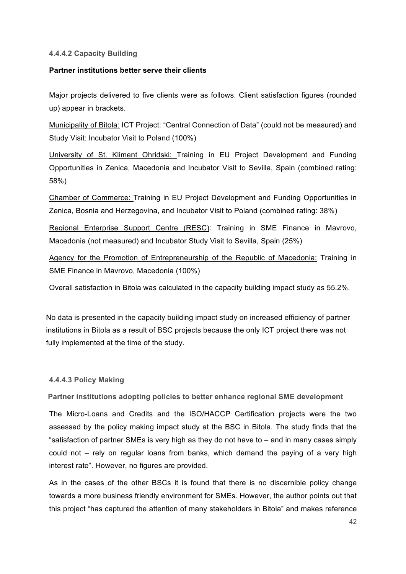#### **4.4.4.2 Capacity Building**

#### **Partner institutions better serve their clients**

Major projects delivered to five clients were as follows. Client satisfaction figures (rounded up) appear in brackets.

Municipality of Bitola: ICT Project: "Central Connection of Data" (could not be measured) and Study Visit: Incubator Visit to Poland (100%)

University of St. Kliment Ohridski: Training in EU Project Development and Funding Opportunities in Zenica, Macedonia and Incubator Visit to Sevilla, Spain (combined rating: 58%)

Chamber of Commerce: Training in EU Project Development and Funding Opportunities in Zenica, Bosnia and Herzegovina, and Incubator Visit to Poland (combined rating: 38%)

Regional Enterprise Support Centre (RESC): Training in SME Finance in Mavrovo, Macedonia (not measured) and Incubator Study Visit to Sevilla, Spain (25%)

Agency for the Promotion of Entrepreneurship of the Republic of Macedonia: Training in SME Finance in Mavrovo, Macedonia (100%)

Overall satisfaction in Bitola was calculated in the capacity building impact study as 55.2%.

No data is presented in the capacity building impact study on increased efficiency of partner institutions in Bitola as a result of BSC projects because the only ICT project there was not fully implemented at the time of the study.

#### **4.4.4.3 Policy Making**

**Partner institutions adopting policies to better enhance regional SME development** 

The Micro-Loans and Credits and the ISO/HACCP Certification projects were the two assessed by the policy making impact study at the BSC in Bitola. The study finds that the "satisfaction of partner SMEs is very high as they do not have to – and in many cases simply could not – rely on regular loans from banks, which demand the paying of a very high interest rate". However, no figures are provided.

As in the cases of the other BSCs it is found that there is no discernible policy change towards a more business friendly environment for SMEs. However, the author points out that this project "has captured the attention of many stakeholders in Bitola" and makes reference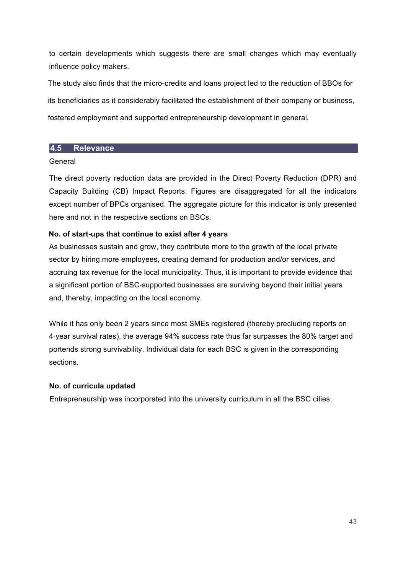to certain developments which suggests there are small changes which may eventually influence policy makers.

The study also finds that the micro-credits and loans project led to the reduction of BBOs for its beneficiaries as it considerably facilitated the establishment of their company or business, fostered employment and supported entrepreneurship development in general.

# **4.5 Relevance**

## General

The direct poverty reduction data are provided in the Direct Poverty Reduction (DPR) and Capacity Building (CB) Impact Reports. Figures are disaggregated for all the indicators except number of BPCs organised. The aggregate picture for this indicator is only presented here and not in the respective sections on BSCs.

# **No. of start-ups that continue to exist after 4 years**

As businesses sustain and grow, they contribute more to the growth of the local private sector by hiring more employees, creating demand for production and/or services, and accruing tax revenue for the local municipality. Thus, it is important to provide evidence that a significant portion of BSC-supported businesses are surviving beyond their initial years and, thereby, impacting on the local economy.

While it has only been 2 years since most SMEs registered (thereby precluding reports on 4-year survival rates), the average 94% success rate thus far surpasses the 80% target and portends strong survivability. Individual data for each BSC is given in the corresponding sections.

## **No. of curricula updated**

Entrepreneurship was incorporated into the university curriculum in all the BSC cities.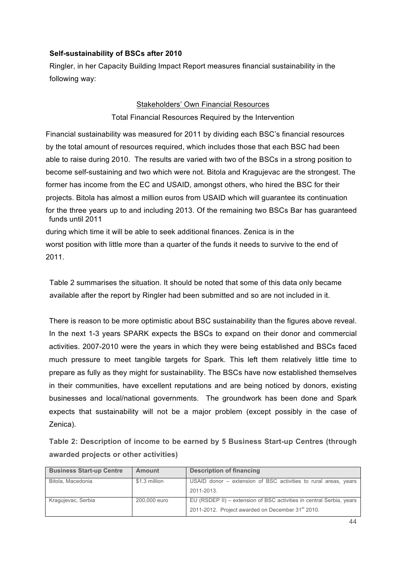# **Self-sustainability of BSCs after 2010**

Ringler, in her Capacity Building Impact Report measures financial sustainability in the following way:

## Stakeholders' Own Financial Resources

## Total Financial Resources Required by the Intervention

Financial sustainability was measured for 2011 by dividing each BSC's financial resources by the total amount of resources required, which includes those that each BSC had been able to raise during 2010. The results are varied with two of the BSCs in a strong position to become self-sustaining and two which were not. Bitola and Kragujevac are the strongest. The former has income from the EC and USAID, amongst others, who hired the BSC for their projects. Bitola has almost a million euros from USAID which will guarantee its continuation for the three years up to and including 2013. Of the remaining two BSCs Bar has guaranteed funds until 2011 during which time it will be able to seek additional finances. Zenica is in the

worst position with little more than a quarter of the funds it needs to survive to the end of 2011.

Table 2 summarises the situation. It should be noted that some of this data only became available after the report by Ringler had been submitted and so are not included in it.

There is reason to be more optimistic about BSC sustainability than the figures above reveal. In the next 1-3 years SPARK expects the BSCs to expand on their donor and commercial activities. 2007-2010 were the years in which they were being established and BSCs faced much pressure to meet tangible targets for Spark. This left them relatively little time to prepare as fully as they might for sustainability. The BSCs have now established themselves in their communities, have excellent reputations and are being noticed by donors, existing businesses and local/national governments. The groundwork has been done and Spark expects that sustainability will not be a major problem (except possibly in the case of Zenica).

**Table 2: Description of income to be earned by 5 Business Start-up Centres (through awarded projects or other activities)**

| <b>Business Start-up Centre</b> | <b>Amount</b> | <b>Description of financing</b>                                      |
|---------------------------------|---------------|----------------------------------------------------------------------|
| Bitola, Macedonia               | \$1.3 million | USAID donor – extension of BSC activities to rural areas, years      |
|                                 |               | 2011-2013.                                                           |
| Kragujevac, Serbia              | 200,000 euro  | EU (RSDEP II) – extension of BSC activities in central Serbia, years |
|                                 |               | 2011-2012. Project awarded on December 31 <sup>st</sup> 2010.        |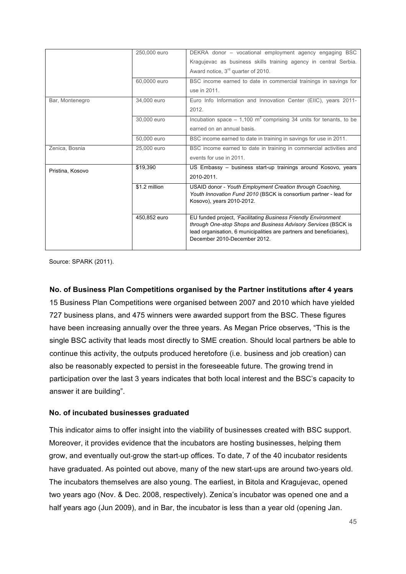|                  | 250,000 euro  | DEKRA donor - vocational employment agency engaging BSC                                                                                                                                                                                  |
|------------------|---------------|------------------------------------------------------------------------------------------------------------------------------------------------------------------------------------------------------------------------------------------|
|                  |               | Kragujevac as business skills training agency in central Serbia.                                                                                                                                                                         |
|                  |               | Award notice, 3 <sup>rd</sup> quarter of 2010.                                                                                                                                                                                           |
|                  | 60,0000 euro  | BSC income earned to date in commercial trainings in savings for                                                                                                                                                                         |
|                  |               | use in 2011.                                                                                                                                                                                                                             |
| Bar, Montenegro  | 34,000 euro   | Euro Info Information and Innovation Center (EIIC), years 2011-                                                                                                                                                                          |
|                  |               | 2012.                                                                                                                                                                                                                                    |
|                  | 30,000 euro   | Incubation space $-1,100$ m <sup>2</sup> comprising 34 units for tenants, to be                                                                                                                                                          |
|                  |               | earned on an annual basis.                                                                                                                                                                                                               |
|                  | 50,000 euro   | BSC income earned to date in training in savings for use in 2011.                                                                                                                                                                        |
| Zenica, Bosnia   | 25,000 euro   | BSC income earned to date in training in commercial activities and                                                                                                                                                                       |
|                  |               | events for use in 2011.                                                                                                                                                                                                                  |
| Pristina, Kosovo | \$19,390      | US Embassy – business start-up trainings around Kosovo, years                                                                                                                                                                            |
|                  |               | 2010-2011                                                                                                                                                                                                                                |
|                  | \$1.2 million | USAID donor - Youth Employment Creation through Coaching,<br>Youth Innovation Fund 2010 (BSCK is consortium partner - lead for<br>Kosovo), years 2010-2012.                                                                              |
|                  | 450,852 euro  | EU funded project, 'Facilitating Business Friendly Environment<br>through One-stop Shops and Business Advisory Services (BSCK is<br>lead organisation, 6 municipalities are partners and beneficiaries),<br>December 2010-December 2012. |

Source: SPARK (2011).

## **No. of Business Plan Competitions organised by the Partner institutions after 4 years**

15 Business Plan Competitions were organised between 2007 and 2010 which have yielded 727 business plans, and 475 winners were awarded support from the BSC. These figures have been increasing annually over the three years. As Megan Price observes, "This is the single BSC activity that leads most directly to SME creation. Should local partners be able to continue this activity, the outputs produced heretofore (i.e. business and job creation) can also be reasonably expected to persist in the foreseeable future. The growing trend in participation over the last 3 years indicates that both local interest and the BSC's capacity to answer it are building".

## **No. of incubated businesses graduated**

This indicator aims to offer insight into the viability of businesses created with BSC support. Moreover, it provides evidence that the incubators are hosting businesses, helping them grow, and eventually out-grow the start-up offices. To date, 7 of the 40 incubator residents have graduated. As pointed out above, many of the new start-ups are around two-years old. The incubators themselves are also young. The earliest, in Bitola and Kragujevac, opened two years ago (Nov. & Dec. 2008, respectively). Zenica's incubator was opened one and a half years ago (Jun 2009), and in Bar, the incubator is less than a year old (opening Jan.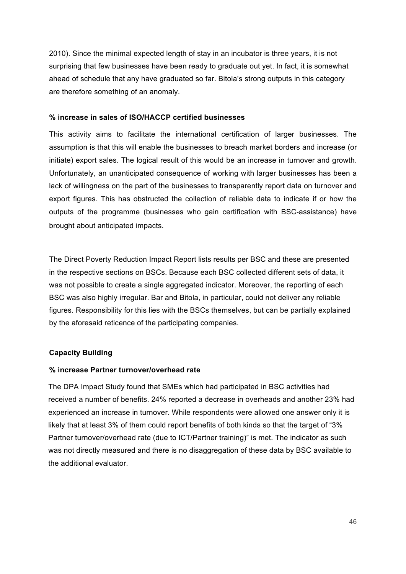2010). Since the minimal expected length of stay in an incubator is three years, it is not surprising that few businesses have been ready to graduate out yet. In fact, it is somewhat ahead of schedule that any have graduated so far. Bitola's strong outputs in this category are therefore something of an anomaly.

### **% increase in sales of ISO/HACCP certified businesses**

This activity aims to facilitate the international certification of larger businesses. The assumption is that this will enable the businesses to breach market borders and increase (or initiate) export sales. The logical result of this would be an increase in turnover and growth. Unfortunately, an unanticipated consequence of working with larger businesses has been a lack of willingness on the part of the businesses to transparently report data on turnover and export figures. This has obstructed the collection of reliable data to indicate if or how the outputs of the programme (businesses who gain certification with BSC-assistance) have brought about anticipated impacts.

The Direct Poverty Reduction Impact Report lists results per BSC and these are presented in the respective sections on BSCs. Because each BSC collected different sets of data, it was not possible to create a single aggregated indicator. Moreover, the reporting of each BSC was also highly irregular. Bar and Bitola, in particular, could not deliver any reliable figures. Responsibility for this lies with the BSCs themselves, but can be partially explained by the aforesaid reticence of the participating companies.

## **Capacity Building**

#### **% increase Partner turnover/overhead rate**

The DPA Impact Study found that SMEs which had participated in BSC activities had received a number of benefits. 24% reported a decrease in overheads and another 23% had experienced an increase in turnover. While respondents were allowed one answer only it is likely that at least 3% of them could report benefits of both kinds so that the target of "3% Partner turnover/overhead rate (due to ICT/Partner training)" is met. The indicator as such was not directly measured and there is no disaggregation of these data by BSC available to the additional evaluator.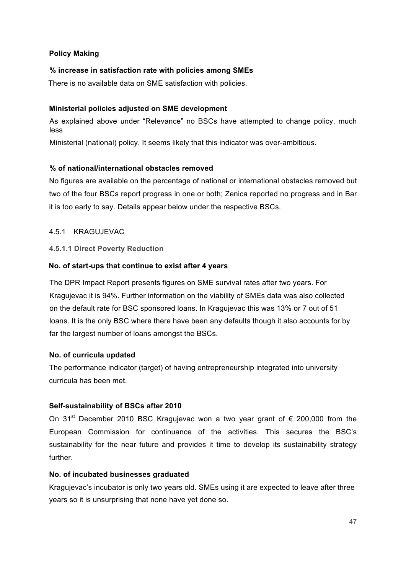# **Policy Making**

## **% increase in satisfaction rate with policies among SMEs**

There is no available data on SME satisfaction with policies.

## **Ministerial policies adjusted on SME development**

As explained above under "Relevance" no BSCs have attempted to change policy, much less

Ministerial (national) policy. It seems likely that this indicator was over-ambitious.

# **% of national/international obstacles removed**

No figures are available on the percentage of national or international obstacles removed but two of the four BSCs report progress in one or both; Zenica reported no progress and in Bar it is too early to say. Details appear below under the respective BSCs.

## 4.5.1 KRAGUJEVAC

# **4.5.1.1 Direct Poverty Reduction**

# **No. of start-ups that continue to exist after 4 years**

The DPR Impact Report presents figures on SME survival rates after two years. For Kragujevac it is 94%. Further information on the viability of SMEs data was also collected on the default rate for BSC sponsored loans. In Kragujevac this was 13% or 7 out of 51 loans. It is the only BSC where there have been any defaults though it also accounts for by far the largest number of loans amongst the BSCs.

## **No. of curricula updated**

The performance indicator (target) of having entrepreneurship integrated into university curricula has been met.

# **Self-sustainability of BSCs after 2010**

On 31<sup>st</sup> December 2010 BSC Kragujevac won a two year grant of  $\epsilon$  200,000 from the European Commission for continuance of the activities. This secures the BSC's sustainability for the near future and provides it time to develop its sustainability strategy further.

## **No. of incubated businesses graduated**

Kragujevac's incubator is only two years old. SMEs using it are expected to leave after three years so it is unsurprising that none have yet done so.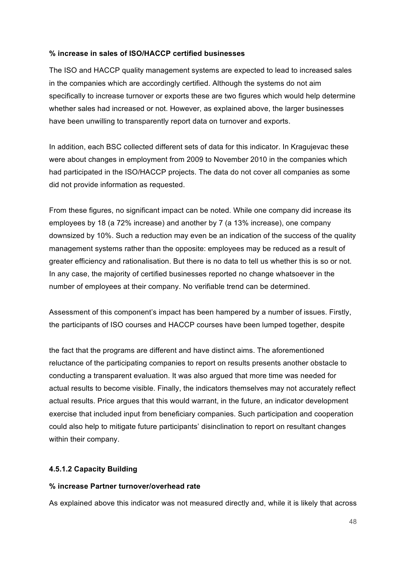## **% increase in sales of ISO/HACCP certified businesses**

The ISO and HACCP quality management systems are expected to lead to increased sales in the companies which are accordingly certified. Although the systems do not aim specifically to increase turnover or exports these are two figures which would help determine whether sales had increased or not. However, as explained above, the larger businesses have been unwilling to transparently report data on turnover and exports.

In addition, each BSC collected different sets of data for this indicator. In Kragujevac these were about changes in employment from 2009 to November 2010 in the companies which had participated in the ISO/HACCP projects. The data do not cover all companies as some did not provide information as requested.

From these figures, no significant impact can be noted. While one company did increase its employees by 18 (a 72% increase) and another by 7 (a 13% increase), one company downsized by 10%. Such a reduction may even be an indication of the success of the quality management systems rather than the opposite: employees may be reduced as a result of greater efficiency and rationalisation. But there is no data to tell us whether this is so or not. In any case, the majority of certified businesses reported no change whatsoever in the number of employees at their company. No verifiable trend can be determined.

Assessment of this component's impact has been hampered by a number of issues. Firstly, the participants of ISO courses and HACCP courses have been lumped together, despite

the fact that the programs are different and have distinct aims. The aforementioned reluctance of the participating companies to report on results presents another obstacle to conducting a transparent evaluation. It was also argued that more time was needed for actual results to become visible. Finally, the indicators themselves may not accurately reflect actual results. Price argues that this would warrant, in the future, an indicator development exercise that included input from beneficiary companies. Such participation and cooperation could also help to mitigate future participants' disinclination to report on resultant changes within their company.

## **4.5.1.2 Capacity Building**

#### **% increase Partner turnover/overhead rate**

As explained above this indicator was not measured directly and, while it is likely that across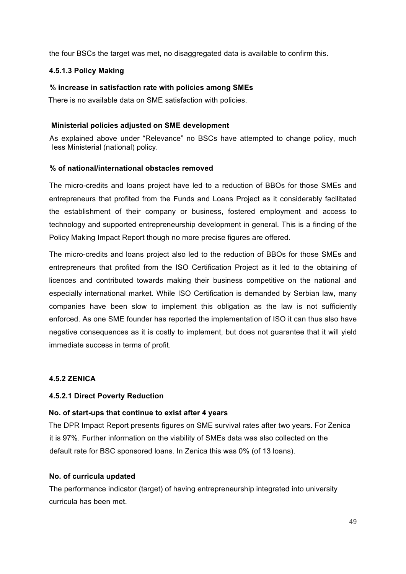the four BSCs the target was met, no disaggregated data is available to confirm this.

#### **4.5.1.3 Policy Making**

#### **% increase in satisfaction rate with policies among SMEs**

There is no available data on SME satisfaction with policies.

### **Ministerial policies adjusted on SME development**

As explained above under "Relevance" no BSCs have attempted to change policy, much less Ministerial (national) policy.

#### **% of national/international obstacles removed**

The micro-credits and loans project have led to a reduction of BBOs for those SMEs and entrepreneurs that profited from the Funds and Loans Project as it considerably facilitated the establishment of their company or business, fostered employment and access to technology and supported entrepreneurship development in general. This is a finding of the Policy Making Impact Report though no more precise figures are offered.

The micro-credits and loans project also led to the reduction of BBOs for those SMEs and entrepreneurs that profited from the ISO Certification Project as it led to the obtaining of licences and contributed towards making their business competitive on the national and especially international market. While ISO Certification is demanded by Serbian law, many companies have been slow to implement this obligation as the law is not sufficiently enforced. As one SME founder has reported the implementation of ISO it can thus also have negative consequences as it is costly to implement, but does not guarantee that it will yield immediate success in terms of profit.

#### **4.5.2 ZENICA**

## **4.5.2.1 Direct Poverty Reduction**

## **No. of start-ups that continue to exist after 4 years**

The DPR Impact Report presents figures on SME survival rates after two years. For Zenica it is 97%. Further information on the viability of SMEs data was also collected on the default rate for BSC sponsored loans. In Zenica this was 0% (of 13 loans).

#### **No. of curricula updated**

The performance indicator (target) of having entrepreneurship integrated into university curricula has been met.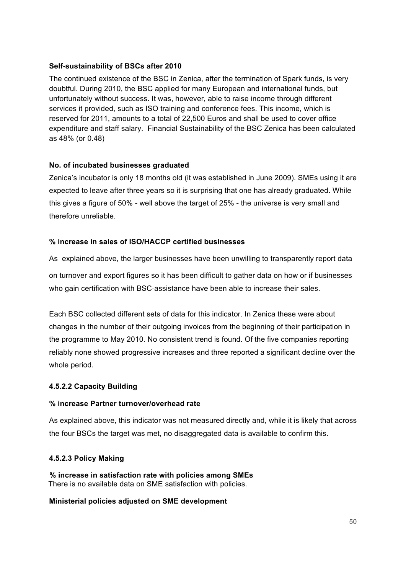# **Self-sustainability of BSCs after 2010**

The continued existence of the BSC in Zenica, after the termination of Spark funds, is very doubtful. During 2010, the BSC applied for many European and international funds, but unfortunately without success. It was, however, able to raise income through different services it provided, such as ISO training and conference fees. This income, which is reserved for 2011, amounts to a total of 22,500 Euros and shall be used to cover office expenditure and staff salary. Financial Sustainability of the BSC Zenica has been calculated as 48% (or 0.48)

## **No. of incubated businesses graduated**

Zenica's incubator is only 18 months old (it was established in June 2009). SMEs using it are expected to leave after three years so it is surprising that one has already graduated. While this gives a figure of 50% - well above the target of 25% - the universe is very small and therefore unreliable.

# **% increase in sales of ISO/HACCP certified businesses**

As explained above, the larger businesses have been unwilling to transparently report data

on turnover and export figures so it has been difficult to gather data on how or if businesses who gain certification with BSC-assistance have been able to increase their sales.

Each BSC collected different sets of data for this indicator. In Zenica these were about changes in the number of their outgoing invoices from the beginning of their participation in the programme to May 2010. No consistent trend is found. Of the five companies reporting reliably none showed progressive increases and three reported a significant decline over the whole period.

## **4.5.2.2 Capacity Building**

## **% increase Partner turnover/overhead rate**

As explained above, this indicator was not measured directly and, while it is likely that across the four BSCs the target was met, no disaggregated data is available to confirm this.

## **4.5.2.3 Policy Making**

**% increase in satisfaction rate with policies among SMEs**  There is no available data on SME satisfaction with policies.

## **Ministerial policies adjusted on SME development**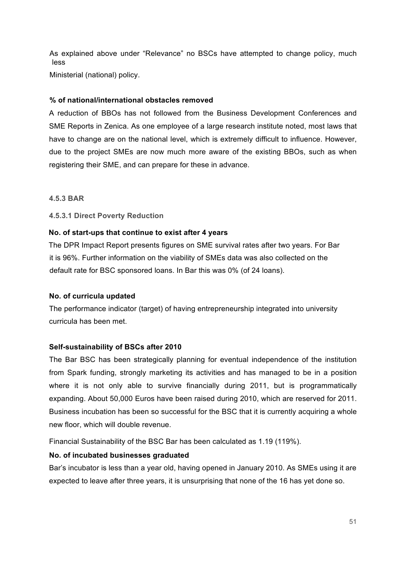As explained above under "Relevance" no BSCs have attempted to change policy, much less

Ministerial (national) policy.

## **% of national/international obstacles removed**

A reduction of BBOs has not followed from the Business Development Conferences and SME Reports in Zenica. As one employee of a large research institute noted, most laws that have to change are on the national level, which is extremely difficult to influence. However, due to the project SMEs are now much more aware of the existing BBOs, such as when registering their SME, and can prepare for these in advance.

## **4.5.3 BAR**

## **4.5.3.1 Direct Poverty Reduction**

# **No. of start-ups that continue to exist after 4 years**

The DPR Impact Report presents figures on SME survival rates after two years. For Bar it is 96%. Further information on the viability of SMEs data was also collected on the default rate for BSC sponsored loans. In Bar this was 0% (of 24 loans).

## **No. of curricula updated**

The performance indicator (target) of having entrepreneurship integrated into university curricula has been met.

## **Self-sustainability of BSCs after 2010**

The Bar BSC has been strategically planning for eventual independence of the institution from Spark funding, strongly marketing its activities and has managed to be in a position where it is not only able to survive financially during 2011, but is programmatically expanding. About 50,000 Euros have been raised during 2010, which are reserved for 2011. Business incubation has been so successful for the BSC that it is currently acquiring a whole new floor, which will double revenue.

Financial Sustainability of the BSC Bar has been calculated as 1.19 (119%).

## **No. of incubated businesses graduated**

Bar's incubator is less than a year old, having opened in January 2010. As SMEs using it are expected to leave after three years, it is unsurprising that none of the 16 has yet done so.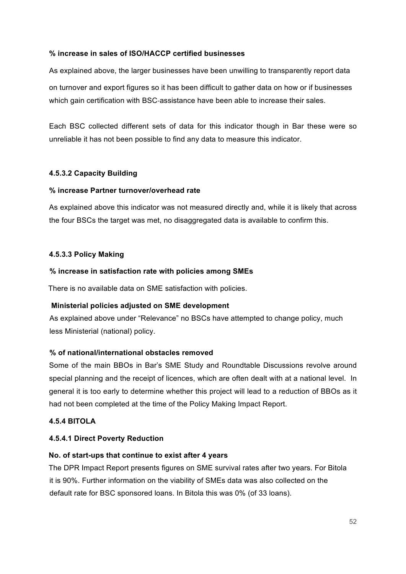## **% increase in sales of ISO/HACCP certified businesses**

As explained above, the larger businesses have been unwilling to transparently report data on turnover and export figures so it has been difficult to gather data on how or if businesses which gain certification with BSC-assistance have been able to increase their sales.

Each BSC collected different sets of data for this indicator though in Bar these were so unreliable it has not been possible to find any data to measure this indicator.

# **4.5.3.2 Capacity Building**

# **% increase Partner turnover/overhead rate**

As explained above this indicator was not measured directly and, while it is likely that across the four BSCs the target was met, no disaggregated data is available to confirm this.

# **4.5.3.3 Policy Making**

## **% increase in satisfaction rate with policies among SMEs**

There is no available data on SME satisfaction with policies.

## **Ministerial policies adjusted on SME development**

As explained above under "Relevance" no BSCs have attempted to change policy, much less Ministerial (national) policy.

## **% of national/international obstacles removed**

Some of the main BBOs in Bar's SME Study and Roundtable Discussions revolve around special planning and the receipt of licences, which are often dealt with at a national level. In general it is too early to determine whether this project will lead to a reduction of BBOs as it had not been completed at the time of the Policy Making Impact Report.

## **4.5.4 BITOLA**

## **4.5.4.1 Direct Poverty Reduction**

## **No. of start-ups that continue to exist after 4 years**

The DPR Impact Report presents figures on SME survival rates after two years. For Bitola it is 90%. Further information on the viability of SMEs data was also collected on the default rate for BSC sponsored loans. In Bitola this was 0% (of 33 loans).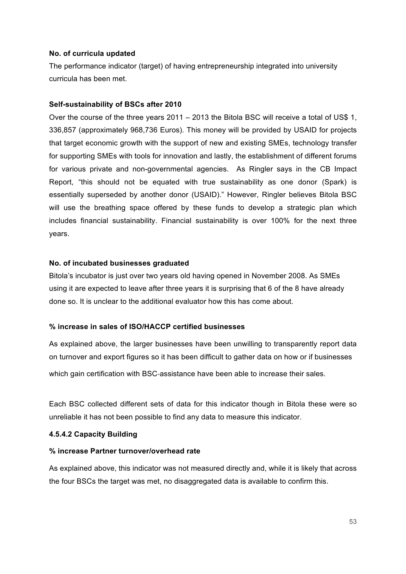#### **No. of curricula updated**

The performance indicator (target) of having entrepreneurship integrated into university curricula has been met.

### **Self-sustainability of BSCs after 2010**

Over the course of the three years 2011 – 2013 the Bitola BSC will receive a total of US\$ 1, 336,857 (approximately 968,736 Euros). This money will be provided by USAID for projects that target economic growth with the support of new and existing SMEs, technology transfer for supporting SMEs with tools for innovation and lastly, the establishment of different forums for various private and non-governmental agencies. As Ringler says in the CB Impact Report, "this should not be equated with true sustainability as one donor (Spark) is essentially superseded by another donor (USAID)." However, Ringler believes Bitola BSC will use the breathing space offered by these funds to develop a strategic plan which includes financial sustainability. Financial sustainability is over 100% for the next three years.

#### **No. of incubated businesses graduated**

Bitola's incubator is just over two years old having opened in November 2008. As SMEs using it are expected to leave after three years it is surprising that 6 of the 8 have already done so. It is unclear to the additional evaluator how this has come about.

## **% increase in sales of ISO/HACCP certified businesses**

As explained above, the larger businesses have been unwilling to transparently report data on turnover and export figures so it has been difficult to gather data on how or if businesses

which gain certification with BSC-assistance have been able to increase their sales.

Each BSC collected different sets of data for this indicator though in Bitola these were so unreliable it has not been possible to find any data to measure this indicator.

## **4.5.4.2 Capacity Building**

#### **% increase Partner turnover/overhead rate**

As explained above, this indicator was not measured directly and, while it is likely that across the four BSCs the target was met, no disaggregated data is available to confirm this.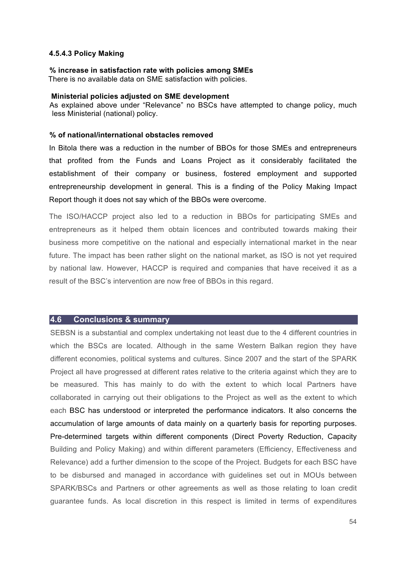#### **4.5.4.3 Policy Making**

# **% increase in satisfaction rate with policies among SMEs**

There is no available data on SME satisfaction with policies.

#### **Ministerial policies adjusted on SME development**

As explained above under "Relevance" no BSCs have attempted to change policy, much less Ministerial (national) policy.

#### **% of national/international obstacles removed**

In Bitola there was a reduction in the number of BBOs for those SMEs and entrepreneurs that profited from the Funds and Loans Project as it considerably facilitated the establishment of their company or business, fostered employment and supported entrepreneurship development in general. This is a finding of the Policy Making Impact Report though it does not say which of the BBOs were overcome.

The ISO/HACCP project also led to a reduction in BBOs for participating SMEs and entrepreneurs as it helped them obtain licences and contributed towards making their business more competitive on the national and especially international market in the near future. The impact has been rather slight on the national market, as ISO is not yet required by national law. However, HACCP is required and companies that have received it as a result of the BSC's intervention are now free of BBOs in this regard.

#### **4.6 Conclusions & summary**

SEBSN is a substantial and complex undertaking not least due to the 4 different countries in which the BSCs are located. Although in the same Western Balkan region they have different economies, political systems and cultures. Since 2007 and the start of the SPARK Project all have progressed at different rates relative to the criteria against which they are to be measured. This has mainly to do with the extent to which local Partners have collaborated in carrying out their obligations to the Project as well as the extent to which each BSC has understood or interpreted the performance indicators. It also concerns the accumulation of large amounts of data mainly on a quarterly basis for reporting purposes. Pre-determined targets within different components (Direct Poverty Reduction, Capacity Building and Policy Making) and within different parameters (Efficiency, Effectiveness and Relevance) add a further dimension to the scope of the Project. Budgets for each BSC have to be disbursed and managed in accordance with guidelines set out in MOUs between SPARK/BSCs and Partners or other agreements as well as those relating to loan credit guarantee funds. As local discretion in this respect is limited in terms of expenditures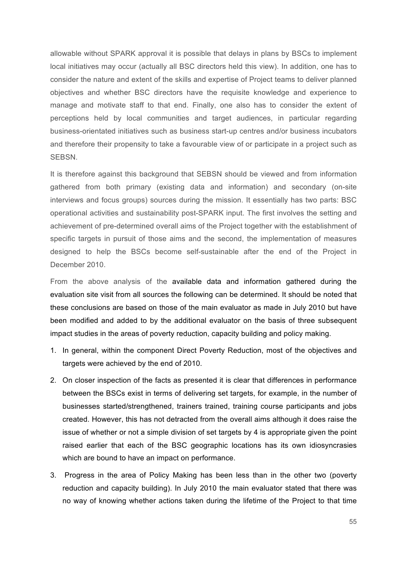allowable without SPARK approval it is possible that delays in plans by BSCs to implement local initiatives may occur (actually all BSC directors held this view). In addition, one has to consider the nature and extent of the skills and expertise of Project teams to deliver planned objectives and whether BSC directors have the requisite knowledge and experience to manage and motivate staff to that end. Finally, one also has to consider the extent of perceptions held by local communities and target audiences, in particular regarding business-orientated initiatives such as business start-up centres and/or business incubators and therefore their propensity to take a favourable view of or participate in a project such as SEBSN.

It is therefore against this background that SEBSN should be viewed and from information gathered from both primary (existing data and information) and secondary (on-site interviews and focus groups) sources during the mission. It essentially has two parts: BSC operational activities and sustainability post-SPARK input. The first involves the setting and achievement of pre-determined overall aims of the Project together with the establishment of specific targets in pursuit of those aims and the second, the implementation of measures designed to help the BSCs become self-sustainable after the end of the Project in December 2010.

From the above analysis of the available data and information gathered during the evaluation site visit from all sources the following can be determined. It should be noted that these conclusions are based on those of the main evaluator as made in July 2010 but have been modified and added to by the additional evaluator on the basis of three subsequent impact studies in the areas of poverty reduction, capacity building and policy making.

- 1. In general, within the component Direct Poverty Reduction, most of the objectives and targets were achieved by the end of 2010.
- 2. On closer inspection of the facts as presented it is clear that differences in performance between the BSCs exist in terms of delivering set targets, for example, in the number of businesses started/strengthened, trainers trained, training course participants and jobs created. However, this has not detracted from the overall aims although it does raise the issue of whether or not a simple division of set targets by 4 is appropriate given the point raised earlier that each of the BSC geographic locations has its own idiosyncrasies which are bound to have an impact on performance.
- 3. Progress in the area of Policy Making has been less than in the other two (poverty reduction and capacity building). In July 2010 the main evaluator stated that there was no way of knowing whether actions taken during the lifetime of the Project to that time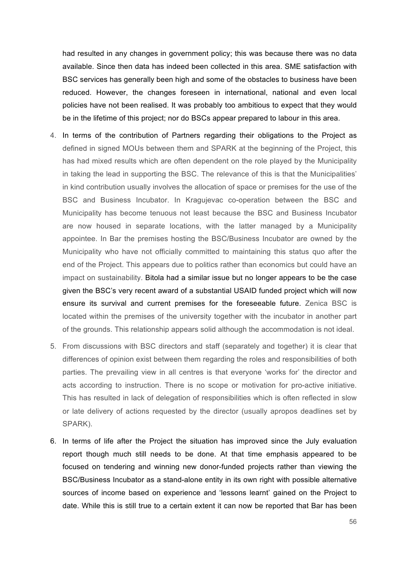had resulted in any changes in government policy; this was because there was no data available. Since then data has indeed been collected in this area. SME satisfaction with BSC services has generally been high and some of the obstacles to business have been reduced. However, the changes foreseen in international, national and even local policies have not been realised. It was probably too ambitious to expect that they would be in the lifetime of this project; nor do BSCs appear prepared to labour in this area.

- 4. In terms of the contribution of Partners regarding their obligations to the Project as defined in signed MOUs between them and SPARK at the beginning of the Project, this has had mixed results which are often dependent on the role played by the Municipality in taking the lead in supporting the BSC. The relevance of this is that the Municipalities' in kind contribution usually involves the allocation of space or premises for the use of the BSC and Business Incubator. In Kragujevac co-operation between the BSC and Municipality has become tenuous not least because the BSC and Business Incubator are now housed in separate locations, with the latter managed by a Municipality appointee. In Bar the premises hosting the BSC/Business Incubator are owned by the Municipality who have not officially committed to maintaining this status quo after the end of the Project. This appears due to politics rather than economics but could have an impact on sustainability. Bitola had a similar issue but no longer appears to be the case given the BSC's very recent award of a substantial USAID funded project which will now ensure its survival and current premises for the foreseeable future. Zenica BSC is located within the premises of the university together with the incubator in another part of the grounds. This relationship appears solid although the accommodation is not ideal.
- 5. From discussions with BSC directors and staff (separately and together) it is clear that differences of opinion exist between them regarding the roles and responsibilities of both parties. The prevailing view in all centres is that everyone 'works for' the director and acts according to instruction. There is no scope or motivation for pro-active initiative. This has resulted in lack of delegation of responsibilities which is often reflected in slow or late delivery of actions requested by the director (usually apropos deadlines set by SPARK).
- 6. In terms of life after the Project the situation has improved since the July evaluation report though much still needs to be done. At that time emphasis appeared to be focused on tendering and winning new donor-funded projects rather than viewing the BSC/Business Incubator as a stand-alone entity in its own right with possible alternative sources of income based on experience and 'lessons learnt' gained on the Project to date. While this is still true to a certain extent it can now be reported that Bar has been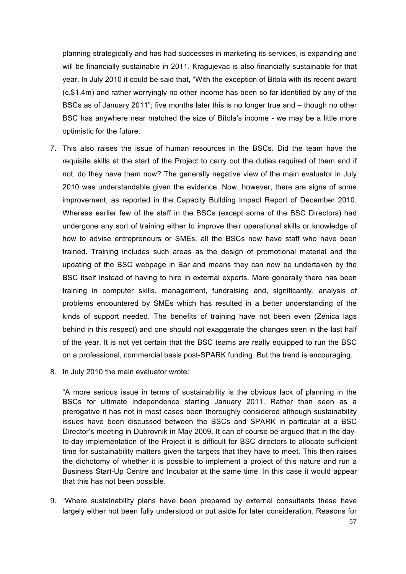planning strategically and has had successes in marketing its services, is expanding and will be financially sustainable in 2011. Kragujevac is also financially sustainable for that year. In July 2010 it could be said that, "With the exception of Bitola with its recent award (c.\$1.4m) and rather worryingly no other income has been so far identified by any of the BSCs as of January 2011"; five months later this is no longer true and – though no other BSC has anywhere near matched the size of Bitola's income - we may be a little more optimistic for the future.

- 7. This also raises the issue of human resources in the BSCs. Did the team have the requisite skills at the start of the Project to carry out the duties required of them and if not, do they have them now? The generally negative view of the main evaluator in July 2010 was understandable given the evidence. Now, however, there are signs of some improvement, as reported in the Capacity Building Impact Report of December 2010. Whereas earlier few of the staff in the BSCs (except some of the BSC Directors) had undergone any sort of training either to improve their operational skills or knowledge of how to advise entrepreneurs or SMEs, all the BSCs now have staff who have been trained. Training includes such areas as the design of promotional material and the updating of the BSC webpage in Bar and means they can now be undertaken by the BSC itself instead of having to hire in external experts. More generally there has been training in computer skills, management, fundraising and, significantly, analysis of problems encountered by SMEs which has resulted in a better understanding of the kinds of support needed. The benefits of training have not been even (Zenica lags behind in this respect) and one should not exaggerate the changes seen in the last half of the year. It is not yet certain that the BSC teams are really equipped to run the BSC on a professional, commercial basis post-SPARK funding. But the trend is encouraging.
- 8. In July 2010 the main evaluator wrote:

"A more serious issue in terms of sustainability is the obvious lack of planning in the BSCs for ultimate independence starting January 2011. Rather than seen as a prerogative it has not in most cases been thoroughly considered although sustainability issues have been discussed between the BSCs and SPARK in particular at a BSC Director's meeting in Dubrovnik in May 2009. It can of course be argued that in the dayto-day implementation of the Project it is difficult for BSC directors to allocate sufficient time for sustainability matters given the targets that they have to meet. This then raises the dichotomy of whether it is possible to implement a project of this nature and run a Business Start-Up Centre and Incubator at the same time. In this case it would appear that this has not been possible.

9. "Where sustainability plans have been prepared by external consultants these have largely either not been fully understood or put aside for later consideration. Reasons for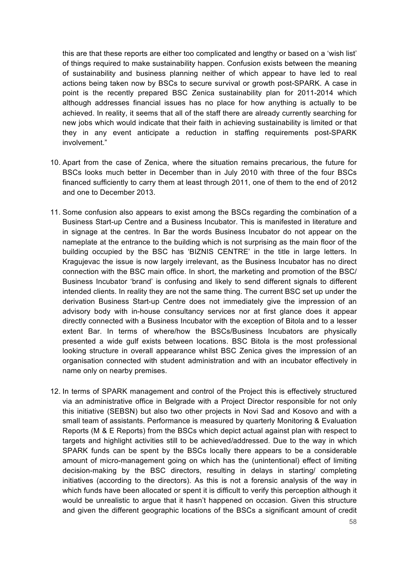this are that these reports are either too complicated and lengthy or based on a 'wish list' of things required to make sustainability happen. Confusion exists between the meaning of sustainability and business planning neither of which appear to have led to real actions being taken now by BSCs to secure survival or growth post-SPARK. A case in point is the recently prepared BSC Zenica sustainability plan for 2011-2014 which although addresses financial issues has no place for how anything is actually to be achieved. In reality, it seems that all of the staff there are already currently searching for new jobs which would indicate that their faith in achieving sustainability is limited or that they in any event anticipate a reduction in staffing requirements post-SPARK involvement."

- 10. Apart from the case of Zenica, where the situation remains precarious, the future for BSCs looks much better in December than in July 2010 with three of the four BSCs financed sufficiently to carry them at least through 2011, one of them to the end of 2012 and one to December 2013.
- 11. Some confusion also appears to exist among the BSCs regarding the combination of a Business Start-up Centre and a Business Incubator. This is manifested in literature and in signage at the centres. In Bar the words Business Incubator do not appear on the nameplate at the entrance to the building which is not surprising as the main floor of the building occupied by the BSC has 'BIZNIS CENTRE' in the title in large letters. In Kragujevac the issue is now largely irrelevant, as the Business Incubator has no direct connection with the BSC main office. In short, the marketing and promotion of the BSC/ Business Incubator 'brand' is confusing and likely to send different signals to different intended clients. In reality they are not the same thing. The current BSC set up under the derivation Business Start-up Centre does not immediately give the impression of an advisory body with in-house consultancy services nor at first glance does it appear directly connected with a Business Incubator with the exception of Bitola and to a lesser extent Bar. In terms of where/how the BSCs/Business Incubators are physically presented a wide gulf exists between locations. BSC Bitola is the most professional looking structure in overall appearance whilst BSC Zenica gives the impression of an organisation connected with student administration and with an incubator effectively in name only on nearby premises.
- 12. In terms of SPARK management and control of the Project this is effectively structured via an administrative office in Belgrade with a Project Director responsible for not only this initiative (SEBSN) but also two other projects in Novi Sad and Kosovo and with a small team of assistants. Performance is measured by quarterly Monitoring & Evaluation Reports (M & E Reports) from the BSCs which depict actual against plan with respect to targets and highlight activities still to be achieved/addressed. Due to the way in which SPARK funds can be spent by the BSCs locally there appears to be a considerable amount of micro-management going on which has the (unintentional) effect of limiting decision-making by the BSC directors, resulting in delays in starting/ completing initiatives (according to the directors). As this is not a forensic analysis of the way in which funds have been allocated or spent it is difficult to verify this perception although it would be unrealistic to argue that it hasn't happened on occasion. Given this structure and given the different geographic locations of the BSCs a significant amount of credit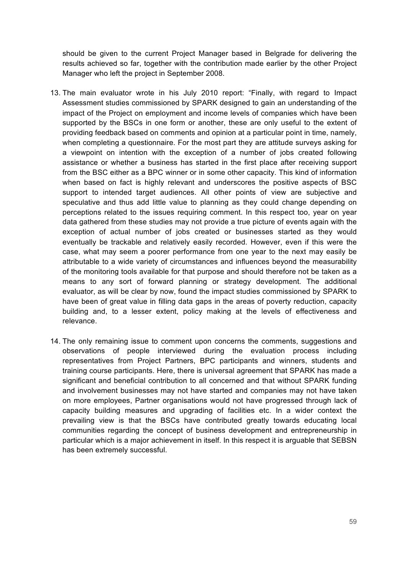should be given to the current Project Manager based in Belgrade for delivering the results achieved so far, together with the contribution made earlier by the other Project Manager who left the project in September 2008.

- 13. The main evaluator wrote in his July 2010 report: "Finally, with regard to Impact Assessment studies commissioned by SPARK designed to gain an understanding of the impact of the Project on employment and income levels of companies which have been supported by the BSCs in one form or another, these are only useful to the extent of providing feedback based on comments and opinion at a particular point in time, namely, when completing a questionnaire. For the most part they are attitude surveys asking for a viewpoint on intention with the exception of a number of jobs created following assistance or whether a business has started in the first place after receiving support from the BSC either as a BPC winner or in some other capacity. This kind of information when based on fact is highly relevant and underscores the positive aspects of BSC support to intended target audiences. All other points of view are subjective and speculative and thus add little value to planning as they could change depending on perceptions related to the issues requiring comment. In this respect too, year on year data gathered from these studies may not provide a true picture of events again with the exception of actual number of jobs created or businesses started as they would eventually be trackable and relatively easily recorded. However, even if this were the case, what may seem a poorer performance from one year to the next may easily be attributable to a wide variety of circumstances and influences beyond the measurability of the monitoring tools available for that purpose and should therefore not be taken as a means to any sort of forward planning or strategy development. The additional evaluator, as will be clear by now, found the impact studies commissioned by SPARK to have been of great value in filling data gaps in the areas of poverty reduction, capacity building and, to a lesser extent, policy making at the levels of effectiveness and relevance.
- 14. The only remaining issue to comment upon concerns the comments, suggestions and observations of people interviewed during the evaluation process including representatives from Project Partners, BPC participants and winners, students and training course participants. Here, there is universal agreement that SPARK has made a significant and beneficial contribution to all concerned and that without SPARK funding and involvement businesses may not have started and companies may not have taken on more employees, Partner organisations would not have progressed through lack of capacity building measures and upgrading of facilities etc. In a wider context the prevailing view is that the BSCs have contributed greatly towards educating local communities regarding the concept of business development and entrepreneurship in particular which is a major achievement in itself. In this respect it is arguable that SEBSN has been extremely successful.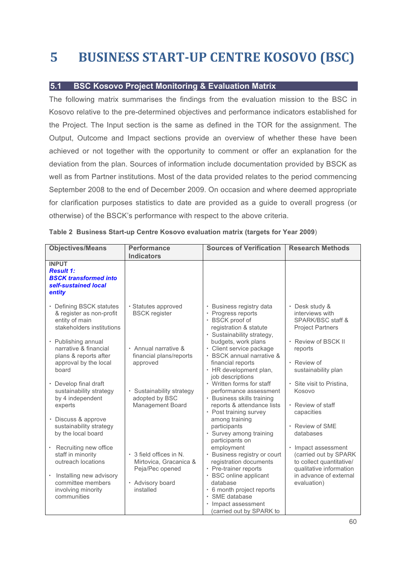# **5 BUSINESS START-UP CENTRE KOSOVO (BSC)**

# **5.1 BSC Kosovo Project Monitoring & Evaluation Matrix**

The following matrix summarises the findings from the evaluation mission to the BSC in Kosovo relative to the pre-determined objectives and performance indicators established for the Project. The Input section is the same as defined in the TOR for the assignment. The Output, Outcome and Impact sections provide an overview of whether these have been achieved or not together with the opportunity to comment or offer an explanation for the deviation from the plan. Sources of information include documentation provided by BSCK as well as from Partner institutions. Most of the data provided relates to the period commencing September 2008 to the end of December 2009. On occasion and where deemed appropriate for clarification purposes statistics to date are provided as a guide to overall progress (or otherwise) of the BSCK's performance with respect to the above criteria.

| <b>Objectives/Means</b>                                                                                                                                                            | <b>Performance</b><br><b>Indicators</b>                                                               | <b>Sources of Verification</b>                                                                                                                                                                                      | <b>Research Methods</b>                                                                                               |
|------------------------------------------------------------------------------------------------------------------------------------------------------------------------------------|-------------------------------------------------------------------------------------------------------|---------------------------------------------------------------------------------------------------------------------------------------------------------------------------------------------------------------------|-----------------------------------------------------------------------------------------------------------------------|
| <b>INPUT</b><br><b>Result 1:</b><br><b>BSCK transformed into</b><br>self-sustained local<br>entity                                                                                 |                                                                                                       |                                                                                                                                                                                                                     |                                                                                                                       |
| • Defining BSCK statutes<br>& register as non-profit<br>entity of main<br>stakeholders institutions<br>$\cdot$ Publishing annual<br>narrative & financial<br>plans & reports after | · Statutes approved<br><b>BSCK register</b><br>· Annual narrative &<br>financial plans/reports        | • Business registry data<br>• Progress reports<br>· BSCK proof of<br>registration & statute<br>· Sustainability strategy,<br>budgets, work plans<br>· Client service package<br>BSCK annual narrative &             | · Desk study &<br>interviews with<br>SPARK/BSC staff &<br><b>Project Partners</b><br>· Review of BSCK II<br>reports   |
| approval by the local<br>board<br>• Develop final draft<br>sustainability strategy<br>by 4 independent<br>experts                                                                  | approved<br>· Sustainability strategy<br>adopted by BSC<br>Management Board                           | financial reports<br>· HR development plan,<br>job descriptions<br>• Written forms for staff<br>performance assessment<br>· Business skills training<br>reports & attendance lists<br>• Post training survey        | · Review of<br>sustainability plan<br>· Site visit to Pristina,<br>Kosovo<br>• Review of staff<br>capacities          |
| · Discuss & approve<br>sustainability strategy<br>by the local board<br>• Recruiting new office                                                                                    |                                                                                                       | among training<br>participants<br>· Survey among training<br>participants on<br>employment                                                                                                                          | • Review of SME<br>databases<br>· Impact assessment                                                                   |
| staff in minority<br>outreach locations<br>Installing new advisory<br>$\bullet$<br>committee members<br>involving minority<br>communities                                          | • 3 field offices in N.<br>Mirtovica, Gracanica &<br>Peja/Pec opened<br>· Advisory board<br>installed | • Business registry or court<br>registration documents<br>• Pre-trainer reports<br>• BSC online applicant<br>database<br>• 6 month project reports<br>SME database<br>Impact assessment<br>(carried out by SPARK to | (carried out by SPARK<br>to collect quantitative/<br>qualitative information<br>in advance of external<br>evaluation) |

|  |  | Table 2 Business Start-up Centre Kosovo evaluation matrix (targets for Year 2009) |  |  |  |
|--|--|-----------------------------------------------------------------------------------|--|--|--|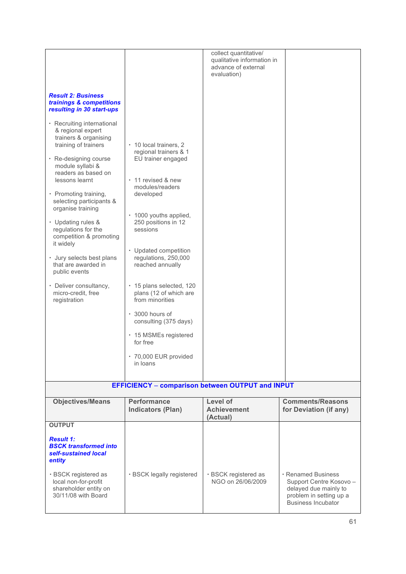| <b>Result 2: Business</b><br>trainings & competitions<br>resulting in 30 start-ups<br>• Recruiting international<br>& regional expert<br>trainers & organising<br>training of trainers<br>• Re-designing course<br>module syllabi &<br>readers as based on<br>lessons learnt<br>• Promoting training,<br>selecting participants &<br>organise training<br>• Updating rules &<br>regulations for the<br>competition & promoting<br>it widely<br>· Jury selects best plans<br>that are awarded in<br>public events<br>• Deliver consultancy,<br>micro-credit, free<br>registration | • 10 local trainers, 2<br>regional trainers & 1<br>EU trainer engaged<br>• 11 revised & new<br>modules/readers<br>developed<br>• 1000 youths applied,<br>250 positions in 12<br>sessions<br>• Updated competition<br>regulations, 250,000<br>reached annually<br>· 15 plans selected, 120<br>plans (12 of which are<br>from minorities | collect quantitative/<br>qualitative information in<br>advance of external<br>evaluation) |                                                                                                                                |
|----------------------------------------------------------------------------------------------------------------------------------------------------------------------------------------------------------------------------------------------------------------------------------------------------------------------------------------------------------------------------------------------------------------------------------------------------------------------------------------------------------------------------------------------------------------------------------|----------------------------------------------------------------------------------------------------------------------------------------------------------------------------------------------------------------------------------------------------------------------------------------------------------------------------------------|-------------------------------------------------------------------------------------------|--------------------------------------------------------------------------------------------------------------------------------|
|                                                                                                                                                                                                                                                                                                                                                                                                                                                                                                                                                                                  | consulting (375 days)<br>• 15 MSMEs registered<br>for free<br>· 70,000 EUR provided                                                                                                                                                                                                                                                    |                                                                                           |                                                                                                                                |
|                                                                                                                                                                                                                                                                                                                                                                                                                                                                                                                                                                                  | in loans                                                                                                                                                                                                                                                                                                                               |                                                                                           |                                                                                                                                |
|                                                                                                                                                                                                                                                                                                                                                                                                                                                                                                                                                                                  | <b>EFFICIENCY - comparison between OUTPUT and INPUT</b>                                                                                                                                                                                                                                                                                |                                                                                           |                                                                                                                                |
| <b>Objectives/Means</b>                                                                                                                                                                                                                                                                                                                                                                                                                                                                                                                                                          | <b>Performance</b><br><b>Indicators (Plan)</b>                                                                                                                                                                                                                                                                                         | Level of<br><b>Achievement</b><br>(Actual)                                                | <b>Comments/Reasons</b><br>for Deviation (if any)                                                                              |
| <b>OUTPUT</b>                                                                                                                                                                                                                                                                                                                                                                                                                                                                                                                                                                    |                                                                                                                                                                                                                                                                                                                                        |                                                                                           |                                                                                                                                |
| <b>Result 1:</b><br><b>BSCK transformed into</b><br>self-sustained local<br>entity                                                                                                                                                                                                                                                                                                                                                                                                                                                                                               |                                                                                                                                                                                                                                                                                                                                        |                                                                                           |                                                                                                                                |
| · BSCK registered as<br>local non-for-profit<br>shareholder entity on<br>30/11/08 with Board                                                                                                                                                                                                                                                                                                                                                                                                                                                                                     | · BSCK legally registered                                                                                                                                                                                                                                                                                                              | · BSCK registered as<br>NGO on 26/06/2009                                                 | · Renamed Business<br>Support Centre Kosovo -<br>delayed due mainly to<br>problem in setting up a<br><b>Business Incubator</b> |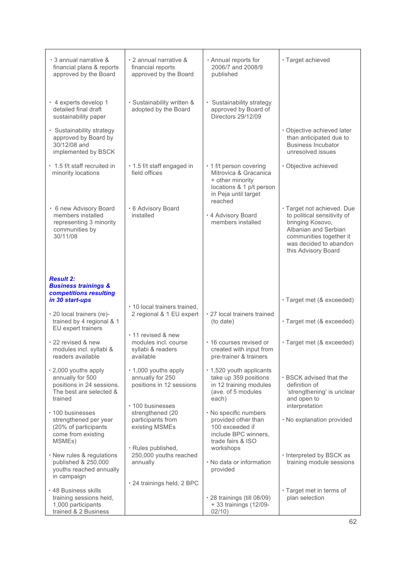| • 3 annual narrative &<br>financial plans & reports<br>approved by the Board                                                                                      | $\cdot$ 2 annual narrative &<br>financial reports<br>approved by the Board   | · Annual reports for<br>2006/7 and 2008/9<br>published                                                                   | · Target achieved                                                                                                                                                                 |
|-------------------------------------------------------------------------------------------------------------------------------------------------------------------|------------------------------------------------------------------------------|--------------------------------------------------------------------------------------------------------------------------|-----------------------------------------------------------------------------------------------------------------------------------------------------------------------------------|
| · 4 experts develop 1<br>detailed final draft<br>sustainability paper<br>· Sustainability strategy<br>approved by Board by<br>30/12/08 and<br>implemented by BSCK | · Sustainability written &<br>adopted by the Board                           | · Sustainability strategy<br>approved by Board of<br>Directors 29/12/09                                                  | · Objective achieved later<br>than anticipated due to<br><b>Business Incubator</b><br>unresolved issues                                                                           |
| • 1.5 f/t staff recruited in<br>minority locations                                                                                                                | · 1.5 f/t staff engaged in<br>field offices                                  | • 1 f/t person covering<br>Mitrovica & Gracanica<br>+ other minority<br>locations & 1 p/t person<br>in Peja until target | · Objective achieved                                                                                                                                                              |
| • 6 new Advisory Board<br>members installed<br>representing 3 minority<br>communities by<br>30/11/08                                                              | · 6 Advisory Board<br>installed                                              | reached<br>. 4 Advisory Board<br>members installed                                                                       | · Target not achieved. Due<br>to political sensitivity of<br>bringing Kosovo,<br>Albanian and Serbian<br>communities together it<br>was decided to abandon<br>this Advisory Board |
| <b>Result 2:</b><br><b>Business trainings &amp;</b><br>competitions resulting                                                                                     |                                                                              |                                                                                                                          |                                                                                                                                                                                   |
| in 30 start-ups<br>· 20 local trainers (re)-<br>trained by 4 regional & 1<br>EU expert trainers                                                                   | . 10 local trainers trained,<br>2 regional & 1 EU expert                     | · 27 local trainers trained<br>(to date)                                                                                 | · Target met (& exceeded)<br>· Target met (& exceeded)                                                                                                                            |
| • 22 revised & new<br>modules incl. syllabi &<br>readers available                                                                                                | • 11 revised & new<br>modules incl. course<br>syllabi & readers<br>available | • 16 courses revised or<br>created with input from<br>pre-trainer & trainers                                             | · Target met (& exceeded)                                                                                                                                                         |
| . 2,000 youths apply<br>annually for 500<br>positions in 24 sessions.<br>The best are selected &<br>trained                                                       | • 1,000 youths apply<br>annually for 250<br>positions in 12 sessions         | . 1,520 youth applicants<br>take up 359 positions<br>in 12 training modules<br>(ave. of 5 modules<br>each)               | • BSCK advised that the<br>definition of<br>'strengthening' is unclear<br>and open to                                                                                             |
| • 100 businesses<br>strengthened per year<br>(20% of participants<br>come from existing<br>MSMEs)                                                                 | • 100 businesses<br>strengthened (20<br>participants from<br>existing MSMEs  | · No specific numbers<br>provided other than<br>100 exceeded if<br>include BPC winners,<br>trade fairs & ISO             | interpretation<br>· No explanation provided                                                                                                                                       |
| · New rules & regulations<br>published & 250,000<br>youths reached annually<br>in campaign                                                                        | · Rules published,<br>250,000 youths reached<br>annually                     | workshops<br>. No data or information<br>provided                                                                        | · Interpreted by BSCK as<br>training module sessions                                                                                                                              |
| • 48 Business skills<br>training sessions held,<br>1,000 participants<br>trained & 2 Business                                                                     | · 24 trainings held, 2 BPC                                                   | · 28 trainings (till 08/09)<br>+ 33 trainings (12/09-<br>02/10)                                                          | · Target met in terms of<br>plan selection                                                                                                                                        |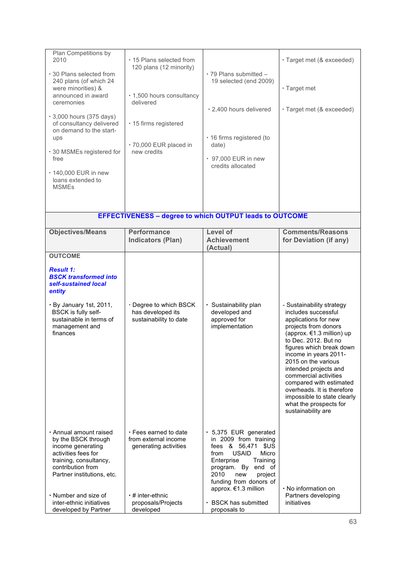| Plan Competitions by<br>2010<br>• 30 Plans selected from<br>240 plans (of which 24<br>were minorities) &<br>announced in award<br>ceremonies<br>• 3,000 hours (375 days)<br>of consultancy delivered<br>on demand to the start-<br>ups<br>· 30 MSMEs registered for | ⋅ 15 Plans selected from<br>120 plans (12 minority)<br>· 1,500 hours consultancy<br>delivered<br>· 15 firms registered<br>· 70,000 EUR placed in<br>new credits | $\cdot$ 79 Plans submitted $-$<br>19 selected (end 2009)<br>· 2,400 hours delivered<br>· 16 firms registered (to<br>date)                                                                                                                                                    | · Target met (& exceeded)<br>· Target met<br>· Target met (& exceeded)                                                                                                                                                                                                                                                                                                                                                      |
|---------------------------------------------------------------------------------------------------------------------------------------------------------------------------------------------------------------------------------------------------------------------|-----------------------------------------------------------------------------------------------------------------------------------------------------------------|------------------------------------------------------------------------------------------------------------------------------------------------------------------------------------------------------------------------------------------------------------------------------|-----------------------------------------------------------------------------------------------------------------------------------------------------------------------------------------------------------------------------------------------------------------------------------------------------------------------------------------------------------------------------------------------------------------------------|
| free<br>• 140,000 EUR in new<br>loans extended to<br><b>MSMEs</b>                                                                                                                                                                                                   |                                                                                                                                                                 | • 97,000 EUR in new<br>credits allocated                                                                                                                                                                                                                                     |                                                                                                                                                                                                                                                                                                                                                                                                                             |
|                                                                                                                                                                                                                                                                     | <b>EFFECTIVENESS - degree to which OUTPUT leads to OUTCOME</b>                                                                                                  |                                                                                                                                                                                                                                                                              |                                                                                                                                                                                                                                                                                                                                                                                                                             |
| <b>Objectives/Means</b>                                                                                                                                                                                                                                             | <b>Performance</b><br><b>Indicators (Plan)</b>                                                                                                                  | <b>Level of</b><br><b>Achievement</b><br>(Actual)                                                                                                                                                                                                                            | <b>Comments/Reasons</b><br>for Deviation (if any)                                                                                                                                                                                                                                                                                                                                                                           |
| <b>OUTCOME</b><br><b>Result 1:</b><br><b>BSCK transformed into</b><br>self-sustained local<br>entity<br>· By January 1st, 2011,<br>BSCK is fully self-<br>sustainable in terms of<br>management and<br>finances                                                     | Degree to which BSCK<br>has developed its<br>sustainability to date                                                                                             | · Sustainability plan<br>developed and<br>approved for<br>implementation                                                                                                                                                                                                     | - Sustainability strategy<br>includes successful<br>applications for new<br>projects from donors<br>(approx. €1.3 million) up<br>to Dec. 2012. But no<br>figures which break down<br>income in years 2011-<br>2015 on the various<br>intended projects and<br>commercial activities<br>compared with estimated<br>overheads. It is therefore<br>impossible to state clearly<br>what the prospects for<br>sustainability are |
| · Annual amount raised<br>by the BSCK through<br>income generating<br>activities fees for<br>training, consultancy,<br>contribution from<br>Partner institutions, etc.<br>$\cdot$ Number and size of<br>inter-ethnic initiatives<br>developed by Partner            | $\cdot$ Fees earned to date<br>from external income<br>generating activities<br>$\cdot$ # inter-ethnic<br>proposals/Projects<br>developed                       | · 5,375 EUR generated<br>in 2009 from training<br>fees & 56,471<br>\$US<br><b>USAID</b><br>Micro<br>from<br>Enterprise<br>Training<br>program. By end of<br>2010<br>new<br>project<br>funding from donors of<br>approx. €1.3 million<br>• BSCK has submitted<br>proposals to | $\cdot$ No information on $\,$<br>Partners developing<br>initiatives                                                                                                                                                                                                                                                                                                                                                        |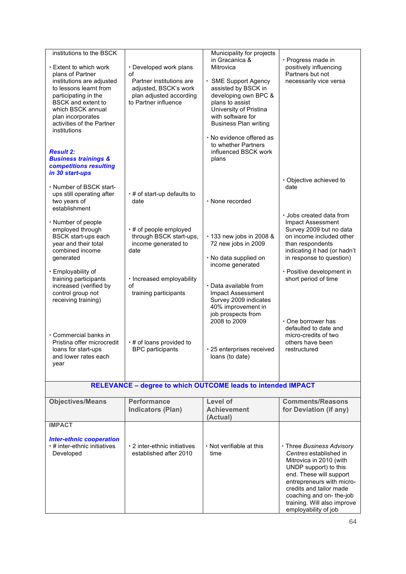| institutions to the BSCK<br>• Extent to which work<br>plans of Partner<br>institutions are adjusted<br>to lessons learnt from<br>participating in the<br><b>BSCK</b> and extent to<br>which BSCK annual<br>plan incorporates<br>activities of the Partner<br>institutions<br><b>Result 2:</b><br><b>Business trainings &amp;</b><br>competitions resulting<br>in 30 start-ups                                                                            | · Developed work plans<br>of<br>Partner institutions are<br>adjusted, BSCK's work<br>plan adjusted according<br>to Partner influence                                                                                                                         | Municipality for projects<br>in Gracanica &<br>Mitrovica<br>· SME Support Agency<br>assisted by BSCK in<br>developing own BPC &<br>plans to assist<br>University of Pristina<br>with software for<br><b>Business Plan writing</b><br>· No evidence offered as<br>to whether Partners<br>influenced BSCK work<br>plans | · Progress made in<br>positively influencing<br>Partners but not<br>necessarily vice versa                                                                                                                                                                                                                                                                                                    |
|----------------------------------------------------------------------------------------------------------------------------------------------------------------------------------------------------------------------------------------------------------------------------------------------------------------------------------------------------------------------------------------------------------------------------------------------------------|--------------------------------------------------------------------------------------------------------------------------------------------------------------------------------------------------------------------------------------------------------------|-----------------------------------------------------------------------------------------------------------------------------------------------------------------------------------------------------------------------------------------------------------------------------------------------------------------------|-----------------------------------------------------------------------------------------------------------------------------------------------------------------------------------------------------------------------------------------------------------------------------------------------------------------------------------------------------------------------------------------------|
| · Number of BSCK start-<br>ups still operating after<br>two years of<br>establishment<br>· Number of people<br>employed through<br><b>BSCK</b> start-ups each<br>year and their total<br>combined income<br>generated<br>· Employability of<br>training participants<br>increased (verified by<br>control group not<br>receiving training)<br>• Commercial banks in<br>Pristina offer microcredit<br>loans for start-ups<br>and lower rates each<br>year | $\cdot$ # of start-up defaults to<br>date<br>$\cdot$ # of people employed<br>through BSCK start-ups,<br>income generated to<br>date<br>· Increased employability<br>οf<br>training participants<br>$\cdot$ # of loans provided to<br><b>BPC</b> participants | $\cdot$ None recorded<br>· 133 new jobs in 2008 &<br>72 new jobs in 2009<br>· No data supplied on<br>income generated<br>· Data available from<br>Impact Assessment<br>Survey 2009 indicates<br>40% improvement in<br>job prospects from<br>2008 to 2009<br>· 25 enterprises received<br>loans (to date)              | · Objective achieved to<br>date<br>· Jobs created data from<br>Impact Assessment<br>Survey 2009 but no data<br>on income included other<br>than respondents<br>indicating it had (or hadn't<br>in response to question)<br>· Positive development in<br>short period of time<br>$\cdot$ One borrower has<br>defaulted to date and<br>micro-credits of two<br>others have been<br>restructured |
|                                                                                                                                                                                                                                                                                                                                                                                                                                                          | <b>RELEVANCE - degree to which OUTCOME leads to intended IMPACT</b>                                                                                                                                                                                          |                                                                                                                                                                                                                                                                                                                       |                                                                                                                                                                                                                                                                                                                                                                                               |
| <b>Objectives/Means</b>                                                                                                                                                                                                                                                                                                                                                                                                                                  | <b>Performance</b><br><b>Indicators (Plan)</b>                                                                                                                                                                                                               | Level of<br><b>Achievement</b><br>(Actual)                                                                                                                                                                                                                                                                            | <b>Comments/Reasons</b><br>for Deviation (if any)                                                                                                                                                                                                                                                                                                                                             |
| <b>IMPACT</b>                                                                                                                                                                                                                                                                                                                                                                                                                                            |                                                                                                                                                                                                                                                              |                                                                                                                                                                                                                                                                                                                       |                                                                                                                                                                                                                                                                                                                                                                                               |
| <b>Inter-ethnic cooperation</b><br>⋅ # inter-ethnic initiatives<br>Developed                                                                                                                                                                                                                                                                                                                                                                             | · 2 inter-ethnic initiatives<br>established after 2010                                                                                                                                                                                                       | $\cdot$ Not verifiable at this<br>time                                                                                                                                                                                                                                                                                | · Three Business Advisory<br>Centres established in<br>Mitrovica in 2010 (with<br>UNDP support) to this<br>end. These will support<br>entrepreneurs with micro-<br>credits and tailor made<br>coaching and on-the-job<br>training. Will also improve<br>employability of job                                                                                                                  |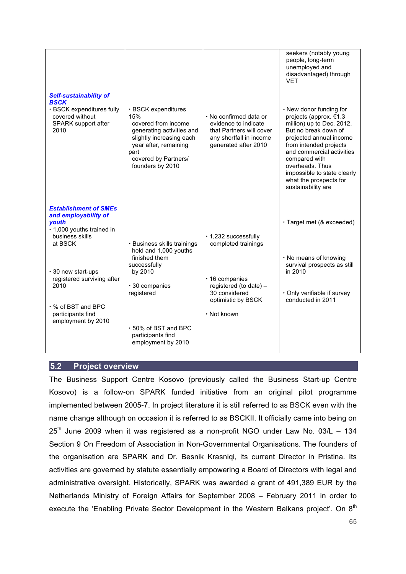| <b>Self-sustainability of</b>                                       |                                                                                     |                                                                                                       | seekers (notably young<br>people, long-term<br>unemployed and<br>disadvantaged) through<br><b>VET</b>           |
|---------------------------------------------------------------------|-------------------------------------------------------------------------------------|-------------------------------------------------------------------------------------------------------|-----------------------------------------------------------------------------------------------------------------|
| <b>BSCK</b><br>· BSCK expenditures fully                            | · BSCK expenditures                                                                 |                                                                                                       | - New donor funding for                                                                                         |
| covered without<br>SPARK support after<br>2010                      | 15%<br>covered from income<br>generating activities and<br>slightly increasing each | • No confirmed data or<br>evidence to indicate<br>that Partners will cover<br>any shortfall in income | projects (approx. €1.3<br>million) up to Dec. 2012.<br>But no break down of<br>projected annual income          |
|                                                                     | year after, remaining<br>part                                                       | generated after 2010                                                                                  | from intended projects<br>and commercial activities                                                             |
|                                                                     | covered by Partners/<br>founders by 2010                                            |                                                                                                       | compared with<br>overheads. Thus<br>impossible to state clearly<br>what the prospects for<br>sustainability are |
| <b>Establishment of SMEs</b>                                        |                                                                                     |                                                                                                       |                                                                                                                 |
| and employability of<br>youth                                       |                                                                                     |                                                                                                       | · Target met (& exceeded)                                                                                       |
| · 1,000 youths trained in<br>business skills                        |                                                                                     | · 1,232 successfully                                                                                  |                                                                                                                 |
| at BSCK                                                             | · Business skills trainings<br>held and 1,000 youths                                | completed trainings                                                                                   |                                                                                                                 |
|                                                                     | finished them<br>successfully                                                       |                                                                                                       | . No means of knowing<br>survival prospects as still                                                            |
| · 30 new start-ups<br>registered surviving after                    | by 2010                                                                             | $\cdot$ 16 companies                                                                                  | in 2010                                                                                                         |
| 2010                                                                | · 30 companies<br>registered                                                        | registered (to date) -<br>30 considered<br>optimistic by BSCK                                         | · Only verifiable if survey<br>conducted in 2011                                                                |
| $\cdot$ % of BST and BPC<br>participants find<br>employment by 2010 |                                                                                     | · Not known                                                                                           |                                                                                                                 |
|                                                                     | · 50% of BST and BPC<br>participants find                                           |                                                                                                       |                                                                                                                 |
|                                                                     | employment by 2010                                                                  |                                                                                                       |                                                                                                                 |
|                                                                     |                                                                                     |                                                                                                       |                                                                                                                 |

## **5.2 Project overview**

The Business Support Centre Kosovo (previously called the Business Start-up Centre Kosovo) is a follow-on SPARK funded initiative from an original pilot programme implemented between 2005-7. In project literature it is still referred to as BSCK even with the name change although on occasion it is referred to as BSCKII. It officially came into being on  $25<sup>th</sup>$  June 2009 when it was registered as a non-profit NGO under Law No. 03/L  $-$  134 Section 9 On Freedom of Association in Non-Governmental Organisations. The founders of the organisation are SPARK and Dr. Besnik Krasniqi, its current Director in Pristina. Its activities are governed by statute essentially empowering a Board of Directors with legal and administrative oversight. Historically, SPARK was awarded a grant of 491,389 EUR by the Netherlands Ministry of Foreign Affairs for September 2008 – February 2011 in order to execute the 'Enabling Private Sector Development in the Western Balkans project'. On 8<sup>th</sup>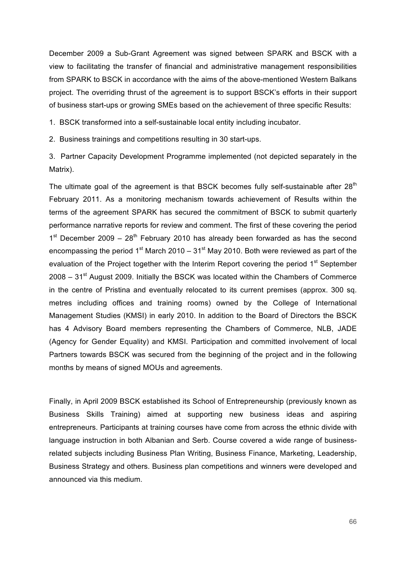December 2009 a Sub-Grant Agreement was signed between SPARK and BSCK with a view to facilitating the transfer of financial and administrative management responsibilities from SPARK to BSCK in accordance with the aims of the above-mentioned Western Balkans project. The overriding thrust of the agreement is to support BSCK's efforts in their support of business start-ups or growing SMEs based on the achievement of three specific Results:

1. BSCK transformed into a self-sustainable local entity including incubator.

2. Business trainings and competitions resulting in 30 start-ups.

3. Partner Capacity Development Programme implemented (not depicted separately in the Matrix).

The ultimate goal of the agreement is that BSCK becomes fully self-sustainable after  $28<sup>th</sup>$ February 2011. As a monitoring mechanism towards achievement of Results within the terms of the agreement SPARK has secured the commitment of BSCK to submit quarterly performance narrative reports for review and comment. The first of these covering the period  $1<sup>st</sup>$  December 2009 – 28<sup>th</sup> February 2010 has already been forwarded as has the second encompassing the period 1<sup>st</sup> March 2010 – 31<sup>st</sup> May 2010. Both were reviewed as part of the evaluation of the Project together with the Interim Report covering the period 1<sup>st</sup> September  $2008 - 31<sup>st</sup>$  August 2009. Initially the BSCK was located within the Chambers of Commerce in the centre of Pristina and eventually relocated to its current premises (approx. 300 sq. metres including offices and training rooms) owned by the College of International Management Studies (KMSI) in early 2010. In addition to the Board of Directors the BSCK has 4 Advisory Board members representing the Chambers of Commerce, NLB, JADE (Agency for Gender Equality) and KMSI. Participation and committed involvement of local Partners towards BSCK was secured from the beginning of the project and in the following months by means of signed MOUs and agreements.

Finally, in April 2009 BSCK established its School of Entrepreneurship (previously known as Business Skills Training) aimed at supporting new business ideas and aspiring entrepreneurs. Participants at training courses have come from across the ethnic divide with language instruction in both Albanian and Serb. Course covered a wide range of businessrelated subjects including Business Plan Writing, Business Finance, Marketing, Leadership, Business Strategy and others. Business plan competitions and winners were developed and announced via this medium.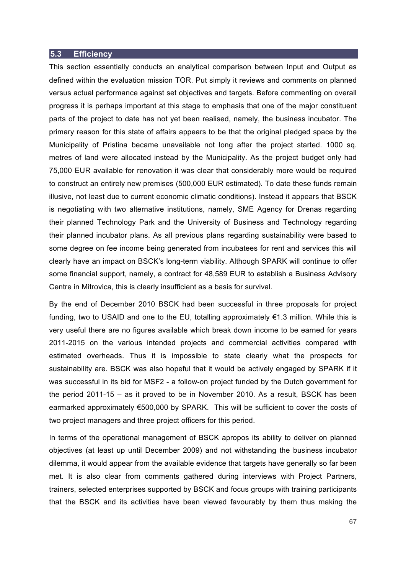#### **5.3 Efficiency**

This section essentially conducts an analytical comparison between Input and Output as defined within the evaluation mission TOR. Put simply it reviews and comments on planned versus actual performance against set objectives and targets. Before commenting on overall progress it is perhaps important at this stage to emphasis that one of the major constituent parts of the project to date has not yet been realised, namely, the business incubator. The primary reason for this state of affairs appears to be that the original pledged space by the Municipality of Pristina became unavailable not long after the project started. 1000 sq. metres of land were allocated instead by the Municipality. As the project budget only had 75,000 EUR available for renovation it was clear that considerably more would be required to construct an entirely new premises (500,000 EUR estimated). To date these funds remain illusive, not least due to current economic climatic conditions). Instead it appears that BSCK is negotiating with two alternative institutions, namely, SME Agency for Drenas regarding their planned Technology Park and the University of Business and Technology regarding their planned incubator plans. As all previous plans regarding sustainability were based to some degree on fee income being generated from incubatees for rent and services this will clearly have an impact on BSCK's long-term viability. Although SPARK will continue to offer some financial support, namely, a contract for 48,589 EUR to establish a Business Advisory Centre in Mitrovica, this is clearly insufficient as a basis for survival.

By the end of December 2010 BSCK had been successful in three proposals for project funding, two to USAID and one to the EU, totalling approximately €1.3 million. While this is very useful there are no figures available which break down income to be earned for years 2011-2015 on the various intended projects and commercial activities compared with estimated overheads. Thus it is impossible to state clearly what the prospects for sustainability are. BSCK was also hopeful that it would be actively engaged by SPARK if it was successful in its bid for MSF2 - a follow-on project funded by the Dutch government for the period 2011-15 – as it proved to be in November 2010. As a result, BSCK has been earmarked approximately €500,000 by SPARK. This will be sufficient to cover the costs of two project managers and three project officers for this period.

In terms of the operational management of BSCK apropos its ability to deliver on planned objectives (at least up until December 2009) and not withstanding the business incubator dilemma, it would appear from the available evidence that targets have generally so far been met. It is also clear from comments gathered during interviews with Project Partners, trainers, selected enterprises supported by BSCK and focus groups with training participants that the BSCK and its activities have been viewed favourably by them thus making the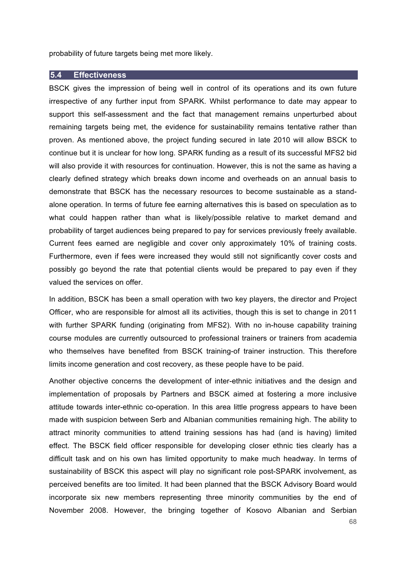probability of future targets being met more likely.

#### **5.4 Effectiveness**

BSCK gives the impression of being well in control of its operations and its own future irrespective of any further input from SPARK. Whilst performance to date may appear to support this self-assessment and the fact that management remains unperturbed about remaining targets being met, the evidence for sustainability remains tentative rather than proven. As mentioned above, the project funding secured in late 2010 will allow BSCK to continue but it is unclear for how long. SPARK funding as a result of its successful MFS2 bid will also provide it with resources for continuation. However, this is not the same as having a clearly defined strategy which breaks down income and overheads on an annual basis to demonstrate that BSCK has the necessary resources to become sustainable as a standalone operation. In terms of future fee earning alternatives this is based on speculation as to what could happen rather than what is likely/possible relative to market demand and probability of target audiences being prepared to pay for services previously freely available. Current fees earned are negligible and cover only approximately 10% of training costs. Furthermore, even if fees were increased they would still not significantly cover costs and possibly go beyond the rate that potential clients would be prepared to pay even if they valued the services on offer.

In addition, BSCK has been a small operation with two key players, the director and Project Officer, who are responsible for almost all its activities, though this is set to change in 2011 with further SPARK funding (originating from MFS2). With no in-house capability training course modules are currently outsourced to professional trainers or trainers from academia who themselves have benefited from BSCK training-of trainer instruction. This therefore limits income generation and cost recovery, as these people have to be paid.

Another objective concerns the development of inter-ethnic initiatives and the design and implementation of proposals by Partners and BSCK aimed at fostering a more inclusive attitude towards inter-ethnic co-operation. In this area little progress appears to have been made with suspicion between Serb and Albanian communities remaining high. The ability to attract minority communities to attend training sessions has had (and is having) limited effect. The BSCK field officer responsible for developing closer ethnic ties clearly has a difficult task and on his own has limited opportunity to make much headway. In terms of sustainability of BSCK this aspect will play no significant role post-SPARK involvement, as perceived benefits are too limited. It had been planned that the BSCK Advisory Board would incorporate six new members representing three minority communities by the end of November 2008. However, the bringing together of Kosovo Albanian and Serbian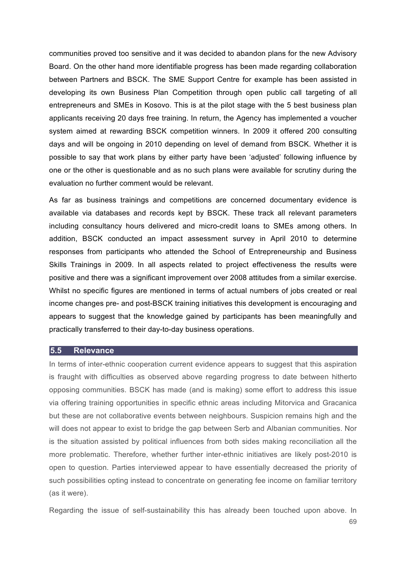communities proved too sensitive and it was decided to abandon plans for the new Advisory Board. On the other hand more identifiable progress has been made regarding collaboration between Partners and BSCK. The SME Support Centre for example has been assisted in developing its own Business Plan Competition through open public call targeting of all entrepreneurs and SMEs in Kosovo. This is at the pilot stage with the 5 best business plan applicants receiving 20 days free training. In return, the Agency has implemented a voucher system aimed at rewarding BSCK competition winners. In 2009 it offered 200 consulting days and will be ongoing in 2010 depending on level of demand from BSCK. Whether it is possible to say that work plans by either party have been 'adjusted' following influence by one or the other is questionable and as no such plans were available for scrutiny during the evaluation no further comment would be relevant.

As far as business trainings and competitions are concerned documentary evidence is available via databases and records kept by BSCK. These track all relevant parameters including consultancy hours delivered and micro-credit loans to SMEs among others. In addition, BSCK conducted an impact assessment survey in April 2010 to determine responses from participants who attended the School of Entrepreneurship and Business Skills Trainings in 2009. In all aspects related to project effectiveness the results were positive and there was a significant improvement over 2008 attitudes from a similar exercise. Whilst no specific figures are mentioned in terms of actual numbers of jobs created or real income changes pre- and post-BSCK training initiatives this development is encouraging and appears to suggest that the knowledge gained by participants has been meaningfully and practically transferred to their day-to-day business operations.

#### **5.5 Relevance**

In terms of inter-ethnic cooperation current evidence appears to suggest that this aspiration is fraught with difficulties as observed above regarding progress to date between hitherto opposing communities. BSCK has made (and is making) some effort to address this issue via offering training opportunities in specific ethnic areas including Mitorvica and Gracanica but these are not collaborative events between neighbours. Suspicion remains high and the will does not appear to exist to bridge the gap between Serb and Albanian communities. Nor is the situation assisted by political influences from both sides making reconciliation all the more problematic. Therefore, whether further inter-ethnic initiatives are likely post-2010 is open to question. Parties interviewed appear to have essentially decreased the priority of such possibilities opting instead to concentrate on generating fee income on familiar territory (as it were).

Regarding the issue of self-sustainability this has already been touched upon above. In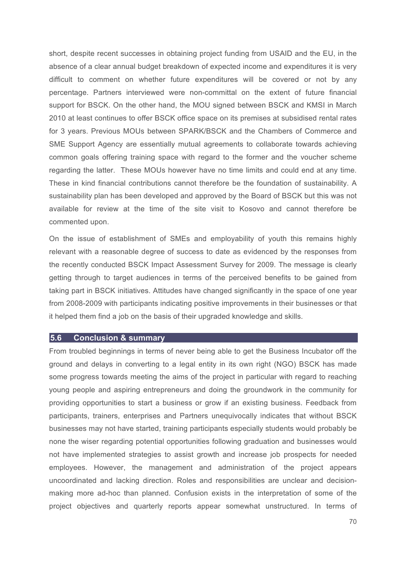short, despite recent successes in obtaining project funding from USAID and the EU, in the absence of a clear annual budget breakdown of expected income and expenditures it is very difficult to comment on whether future expenditures will be covered or not by any percentage. Partners interviewed were non-committal on the extent of future financial support for BSCK. On the other hand, the MOU signed between BSCK and KMSI in March 2010 at least continues to offer BSCK office space on its premises at subsidised rental rates for 3 years. Previous MOUs between SPARK/BSCK and the Chambers of Commerce and SME Support Agency are essentially mutual agreements to collaborate towards achieving common goals offering training space with regard to the former and the voucher scheme regarding the latter. These MOUs however have no time limits and could end at any time. These in kind financial contributions cannot therefore be the foundation of sustainability. A sustainability plan has been developed and approved by the Board of BSCK but this was not available for review at the time of the site visit to Kosovo and cannot therefore be commented upon.

On the issue of establishment of SMEs and employability of youth this remains highly relevant with a reasonable degree of success to date as evidenced by the responses from the recently conducted BSCK Impact Assessment Survey for 2009. The message is clearly getting through to target audiences in terms of the perceived benefits to be gained from taking part in BSCK initiatives. Attitudes have changed significantly in the space of one year from 2008-2009 with participants indicating positive improvements in their businesses or that it helped them find a job on the basis of their upgraded knowledge and skills.

#### **5.6 Conclusion & summary**

From troubled beginnings in terms of never being able to get the Business Incubator off the ground and delays in converting to a legal entity in its own right (NGO) BSCK has made some progress towards meeting the aims of the project in particular with regard to reaching young people and aspiring entrepreneurs and doing the groundwork in the community for providing opportunities to start a business or grow if an existing business. Feedback from participants, trainers, enterprises and Partners unequivocally indicates that without BSCK businesses may not have started, training participants especially students would probably be none the wiser regarding potential opportunities following graduation and businesses would not have implemented strategies to assist growth and increase job prospects for needed employees. However, the management and administration of the project appears uncoordinated and lacking direction. Roles and responsibilities are unclear and decisionmaking more ad-hoc than planned. Confusion exists in the interpretation of some of the project objectives and quarterly reports appear somewhat unstructured. In terms of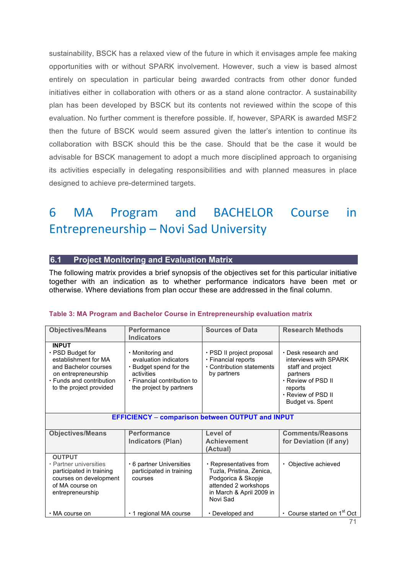sustainability, BSCK has a relaxed view of the future in which it envisages ample fee making opportunities with or without SPARK involvement. However, such a view is based almost entirely on speculation in particular being awarded contracts from other donor funded initiatives either in collaboration with others or as a stand alone contractor. A sustainability plan has been developed by BSCK but its contents not reviewed within the scope of this evaluation. No further comment is therefore possible. If, however, SPARK is awarded MSF2 then the future of BSCK would seem assured given the latter's intention to continue its collaboration with BSCK should this be the case. Should that be the case it would be advisable for BSCK management to adopt a much more disciplined approach to organising its activities especially in delegating responsibilities and with planned measures in place designed to achieve pre-determined targets.

# 6 MA Program and BACHELOR Course in Entrepreneurship – Novi Sad University

# **6.1 Project Monitoring and Evaluation Matrix**

The following matrix provides a brief synopsis of the objectives set for this particular initiative together with an indication as to whether performance indicators have been met or otherwise. Where deviations from plan occur these are addressed in the final column.

#### **Table 3: MA Program and Bachelor Course in Entrepreneurship evaluation matrix**

| <b>Objectives/Means</b>                                                                                                                                              | Performance<br>Indicators                                                                                                                         | <b>Sources of Data</b>                                                                                                                   | <b>Research Methods</b>                                                                                                                                        |  |  |  |  |
|----------------------------------------------------------------------------------------------------------------------------------------------------------------------|---------------------------------------------------------------------------------------------------------------------------------------------------|------------------------------------------------------------------------------------------------------------------------------------------|----------------------------------------------------------------------------------------------------------------------------------------------------------------|--|--|--|--|
| <b>INPUT</b><br>$\cdot$ PSD Budget for<br>establishment for MA<br>and Bachelor courses<br>on entrepreneurship<br>· Funds and contribution<br>to the project provided | $\cdot$ Monitoring and<br>evaluation indicators<br>• Budget spend for the<br>activities<br>• Financial contribution to<br>the project by partners | · PSD II project proposal<br>· Financial reports<br>• Contribution statements<br>by partners                                             | $\cdot$ Desk research and<br>interviews with SPARK<br>staff and project<br>partners<br>⋅ Review of PSD II<br>reports<br>· Review of PSD II<br>Budget vs. Spent |  |  |  |  |
|                                                                                                                                                                      | <b>EFFICIENCY - comparison between OUTPUT and INPUT</b>                                                                                           |                                                                                                                                          |                                                                                                                                                                |  |  |  |  |
| <b>Objectives/Means</b>                                                                                                                                              | <b>Performance</b><br>Indicators (Plan)                                                                                                           | Level of<br><b>Achievement</b><br>(Actual)                                                                                               | <b>Comments/Reasons</b><br>for Deviation (if any)                                                                                                              |  |  |  |  |
| <b>OUTPUT</b><br>• Partner universities<br>participated in training<br>courses on development<br>of MA course on<br>entrepreneurship                                 | • 6 partner Universities<br>participated in training<br>courses                                                                                   | • Representatives from<br>Tuzla, Pristina, Zenica,<br>Podgorica & Skopje<br>attended 2 workshops<br>in March & April 2009 in<br>Novi Sad | • Objective achieved                                                                                                                                           |  |  |  |  |
| • MA course on                                                                                                                                                       | $\cdot$ 1 regional MA course                                                                                                                      | $\cdot$ Developed and                                                                                                                    | • Course started on 1 <sup>st</sup> Oct                                                                                                                        |  |  |  |  |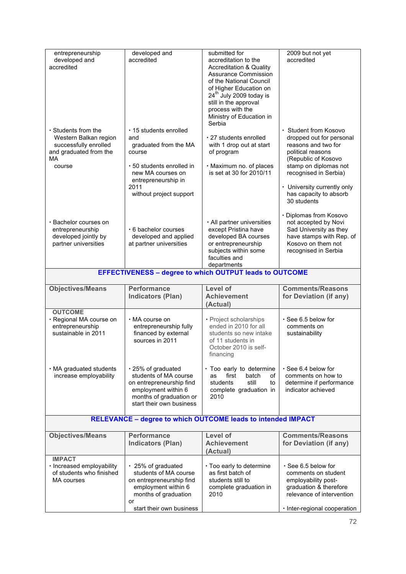| entrepreneurship<br>developed and<br>accredited                                                                       | developed and<br>accredited                                                                                                                                                        | submitted for<br>accreditation to the<br><b>Accreditation &amp; Quality</b><br><b>Assurance Commission</b><br>of the National Council<br>of Higher Education on<br>24 <sup>th</sup> July 2009 today is<br>still in the approval<br>process with the<br>Ministry of Education in<br>Serbia | 2009 but not yet<br>accredited                                                                                                                                                                                                                 |
|-----------------------------------------------------------------------------------------------------------------------|------------------------------------------------------------------------------------------------------------------------------------------------------------------------------------|-------------------------------------------------------------------------------------------------------------------------------------------------------------------------------------------------------------------------------------------------------------------------------------------|------------------------------------------------------------------------------------------------------------------------------------------------------------------------------------------------------------------------------------------------|
| $\cdot$ Students from the<br>Western Balkan region<br>successfully enrolled<br>and graduated from the<br>МA<br>course | $\cdot$ 15 students enrolled<br>and<br>graduated from the MA<br>course<br>• 50 students enrolled in<br>new MA courses on<br>entrepreneurship in<br>2011<br>without project support | · 27 students enrolled<br>with 1 drop out at start<br>of program<br>· Maximum no. of places<br>is set at 30 for 2010/11                                                                                                                                                                   | · Student from Kosovo<br>dropped out for personal<br>reasons and two for<br>political reasons<br>(Republic of Kosovo<br>stamp on diplomas not<br>recognised in Serbia)<br>• University currently only<br>has capacity to absorb<br>30 students |
| · Bachelor courses on<br>entrepreneurship<br>developed jointly by<br>partner universities                             | . 6 bachelor courses<br>developed and applied<br>at partner universities                                                                                                           | · All partner universities<br>except Pristina have<br>developed BA courses<br>or entrepreneurship<br>subjects within some<br>faculties and<br>departments                                                                                                                                 | · Diplomas from Kosovo<br>not accepted by Novi<br>Sad University as they<br>have stamps with Rep. of<br>Kosovo on them not<br>recognised in Serbia                                                                                             |
|                                                                                                                       | <b>EFFECTIVENESS - degree to which OUTPUT leads to OUTCOME</b>                                                                                                                     |                                                                                                                                                                                                                                                                                           |                                                                                                                                                                                                                                                |
| <b>Objectives/Means</b>                                                                                               | <b>Performance</b><br><b>Indicators (Plan)</b>                                                                                                                                     | Level of<br><b>Achievement</b><br>(Actual)                                                                                                                                                                                                                                                | <b>Comments/Reasons</b><br>for Deviation (if any)                                                                                                                                                                                              |
| <b>OUTCOME</b><br>· Regional MA course on<br>entrepreneurship<br>sustainable in 2011                                  | • MA course on<br>entrepreneurship fully<br>financed by external<br>sources in 2011                                                                                                | • Project scholarships<br>ended in 2010 for all<br>students so new intake<br>of 11 students in<br>October 2010 is self-<br>tinancing                                                                                                                                                      | · See 6.5 below for<br>comments on<br>sustainability                                                                                                                                                                                           |
| . MA graduated students<br>increase employability                                                                     | $\cdot$ 25% of graduated<br>students of MA course<br>on entrepreneurship find<br>employment within 6<br>months of graduation or<br>start their own business                        | · Too early to determine<br>first<br>batch<br>οf<br>as<br>students<br>still<br>to<br>complete graduation in<br>2010                                                                                                                                                                       | $\cdot$ See 6.4 below for<br>comments on how to<br>determine if performance<br>indicator achieved                                                                                                                                              |
|                                                                                                                       | <b>RELEVANCE - degree to which OUTCOME leads to intended IMPACT</b>                                                                                                                |                                                                                                                                                                                                                                                                                           |                                                                                                                                                                                                                                                |
| <b>Objectives/Means</b>                                                                                               | <b>Performance</b><br><b>Indicators (Plan)</b>                                                                                                                                     | Level of<br><b>Achievement</b><br>(Actual)                                                                                                                                                                                                                                                | <b>Comments/Reasons</b><br>for Deviation (if any)                                                                                                                                                                                              |
| <b>IMPACT</b><br>· Increased employability<br>of students who finished<br><b>MA</b> courses                           | · 25% of graduated<br>students of MA course<br>on entrepreneurship find<br>employment within 6<br>months of graduation<br>or<br>start their own business                           | · Too early to determine<br>as first batch of<br>students still to<br>complete graduation in<br>2010                                                                                                                                                                                      | $\cdot$ See 6.5 below for<br>comments on student<br>employability post-<br>graduation & therefore<br>relevance of intervention<br>· Inter-regional cooperation                                                                                 |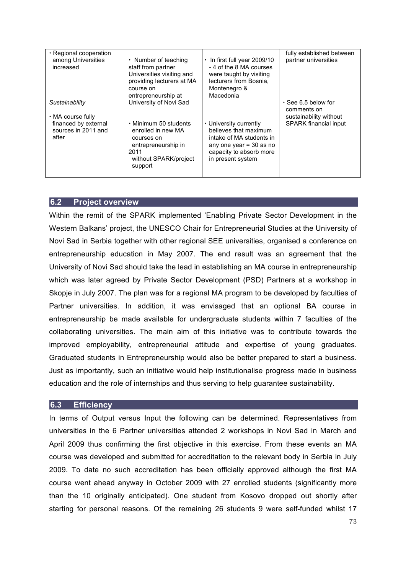| $\cdot$ Regional cooperation<br>among Universities<br>increased                             | $\cdot$ Number of teaching<br>staff from partner<br>Universities visiting and<br>providing lecturers at MA<br>course on<br>entrepreneurship at         | $\cdot$ In first full year 2009/10<br>-4 of the 8 MA courses<br>were taught by visiting<br>lecturers from Bosnia.<br>Montenegro &<br>Macedonia           | fully established between<br>partner universities                                                  |
|---------------------------------------------------------------------------------------------|--------------------------------------------------------------------------------------------------------------------------------------------------------|----------------------------------------------------------------------------------------------------------------------------------------------------------|----------------------------------------------------------------------------------------------------|
| Sustainability<br>• MA course fully<br>financed by external<br>sources in 2011 and<br>after | University of Novi Sad<br>• Minimum 50 students<br>enrolled in new MA<br>courses on<br>entrepreneurship in<br>2011<br>without SPARK/project<br>support | • University currently<br>believes that maximum<br>intake of MA students in<br>any one year $=$ 30 as no<br>capacity to absorb more<br>in present system | $\cdot$ See 6.5 below for<br>comments on<br>sustainability without<br><b>SPARK</b> financial input |

## **6.2 Project overview**

Within the remit of the SPARK implemented 'Enabling Private Sector Development in the Western Balkans' project, the UNESCO Chair for Entrepreneurial Studies at the University of Novi Sad in Serbia together with other regional SEE universities, organised a conference on entrepreneurship education in May 2007. The end result was an agreement that the University of Novi Sad should take the lead in establishing an MA course in entrepreneurship which was later agreed by Private Sector Development (PSD) Partners at a workshop in Skopje in July 2007. The plan was for a regional MA program to be developed by faculties of Partner universities. In addition, it was envisaged that an optional BA course in entrepreneurship be made available for undergraduate students within 7 faculties of the collaborating universities. The main aim of this initiative was to contribute towards the improved employability, entrepreneurial attitude and expertise of young graduates. Graduated students in Entrepreneurship would also be better prepared to start a business. Just as importantly, such an initiative would help institutionalise progress made in business education and the role of internships and thus serving to help guarantee sustainability.

## **6.3 Efficiency**

In terms of Output versus Input the following can be determined. Representatives from universities in the 6 Partner universities attended 2 workshops in Novi Sad in March and April 2009 thus confirming the first objective in this exercise. From these events an MA course was developed and submitted for accreditation to the relevant body in Serbia in July 2009. To date no such accreditation has been officially approved although the first MA course went ahead anyway in October 2009 with 27 enrolled students (significantly more than the 10 originally anticipated). One student from Kosovo dropped out shortly after starting for personal reasons. Of the remaining 26 students 9 were self-funded whilst 17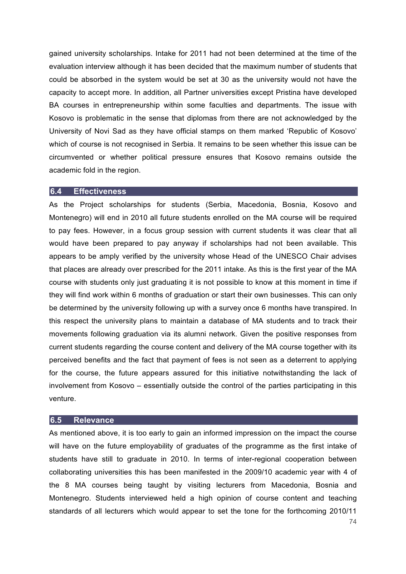gained university scholarships. Intake for 2011 had not been determined at the time of the evaluation interview although it has been decided that the maximum number of students that could be absorbed in the system would be set at 30 as the university would not have the capacity to accept more. In addition, all Partner universities except Pristina have developed BA courses in entrepreneurship within some faculties and departments. The issue with Kosovo is problematic in the sense that diplomas from there are not acknowledged by the University of Novi Sad as they have official stamps on them marked 'Republic of Kosovo' which of course is not recognised in Serbia. It remains to be seen whether this issue can be circumvented or whether political pressure ensures that Kosovo remains outside the academic fold in the region.

#### **6.4 Effectiveness**

As the Project scholarships for students (Serbia, Macedonia, Bosnia, Kosovo and Montenegro) will end in 2010 all future students enrolled on the MA course will be required to pay fees. However, in a focus group session with current students it was clear that all would have been prepared to pay anyway if scholarships had not been available. This appears to be amply verified by the university whose Head of the UNESCO Chair advises that places are already over prescribed for the 2011 intake. As this is the first year of the MA course with students only just graduating it is not possible to know at this moment in time if they will find work within 6 months of graduation or start their own businesses. This can only be determined by the university following up with a survey once 6 months have transpired. In this respect the university plans to maintain a database of MA students and to track their movements following graduation via its alumni network. Given the positive responses from current students regarding the course content and delivery of the MA course together with its perceived benefits and the fact that payment of fees is not seen as a deterrent to applying for the course, the future appears assured for this initiative notwithstanding the lack of involvement from Kosovo – essentially outside the control of the parties participating in this venture.

#### **6.5 Relevance**

As mentioned above, it is too early to gain an informed impression on the impact the course will have on the future employability of graduates of the programme as the first intake of students have still to graduate in 2010. In terms of inter-regional cooperation between collaborating universities this has been manifested in the 2009/10 academic year with 4 of the 8 MA courses being taught by visiting lecturers from Macedonia, Bosnia and Montenegro. Students interviewed held a high opinion of course content and teaching standards of all lecturers which would appear to set the tone for the forthcoming 2010/11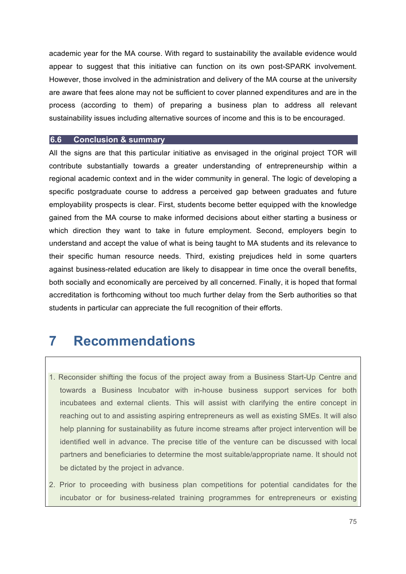academic year for the MA course. With regard to sustainability the available evidence would appear to suggest that this initiative can function on its own post-SPARK involvement. However, those involved in the administration and delivery of the MA course at the university are aware that fees alone may not be sufficient to cover planned expenditures and are in the process (according to them) of preparing a business plan to address all relevant sustainability issues including alternative sources of income and this is to be encouraged.

#### **6.6 Conclusion & summary**

All the signs are that this particular initiative as envisaged in the original project TOR will contribute substantially towards a greater understanding of entrepreneurship within a regional academic context and in the wider community in general. The logic of developing a specific postgraduate course to address a perceived gap between graduates and future employability prospects is clear. First, students become better equipped with the knowledge gained from the MA course to make informed decisions about either starting a business or which direction they want to take in future employment. Second, employers begin to understand and accept the value of what is being taught to MA students and its relevance to their specific human resource needs. Third, existing prejudices held in some quarters against business-related education are likely to disappear in time once the overall benefits, both socially and economically are perceived by all concerned. Finally, it is hoped that formal accreditation is forthcoming without too much further delay from the Serb authorities so that students in particular can appreciate the full recognition of their efforts.

# **7 Recommendations**

- 1. Reconsider shifting the focus of the project away from a Business Start-Up Centre and towards a Business Incubator with in-house business support services for both incubatees and external clients. This will assist with clarifying the entire concept in reaching out to and assisting aspiring entrepreneurs as well as existing SMEs. It will also help planning for sustainability as future income streams after project intervention will be identified well in advance. The precise title of the venture can be discussed with local partners and beneficiaries to determine the most suitable/appropriate name. It should not be dictated by the project in advance.
- 2. Prior to proceeding with business plan competitions for potential candidates for the incubator or for business-related training programmes for entrepreneurs or existing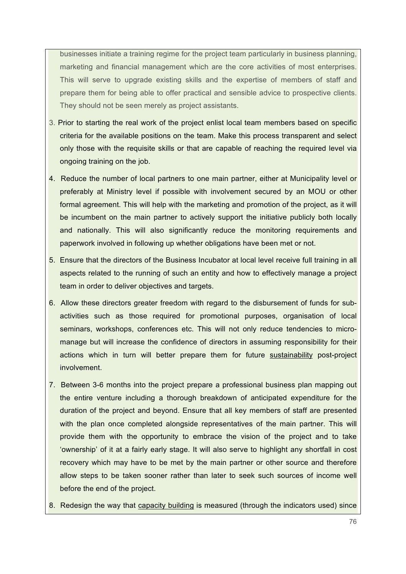businesses initiate a training regime for the project team particularly in business planning, marketing and financial management which are the core activities of most enterprises. This will serve to upgrade existing skills and the expertise of members of staff and prepare them for being able to offer practical and sensible advice to prospective clients. They should not be seen merely as project assistants.

- 3. Prior to starting the real work of the project enlist local team members based on specific criteria for the available positions on the team. Make this process transparent and select only those with the requisite skills or that are capable of reaching the required level via ongoing training on the job.
- 4. Reduce the number of local partners to one main partner, either at Municipality level or preferably at Ministry level if possible with involvement secured by an MOU or other formal agreement. This will help with the marketing and promotion of the project, as it will be incumbent on the main partner to actively support the initiative publicly both locally and nationally. This will also significantly reduce the monitoring requirements and paperwork involved in following up whether obligations have been met or not.
- 5. Ensure that the directors of the Business Incubator at local level receive full training in all aspects related to the running of such an entity and how to effectively manage a project team in order to deliver objectives and targets.
- 6. Allow these directors greater freedom with regard to the disbursement of funds for subactivities such as those required for promotional purposes, organisation of local seminars, workshops, conferences etc. This will not only reduce tendencies to micromanage but will increase the confidence of directors in assuming responsibility for their actions which in turn will better prepare them for future sustainability post-project involvement.
- 7. Between 3-6 months into the project prepare a professional business plan mapping out the entire venture including a thorough breakdown of anticipated expenditure for the duration of the project and beyond. Ensure that all key members of staff are presented with the plan once completed alongside representatives of the main partner. This will provide them with the opportunity to embrace the vision of the project and to take 'ownership' of it at a fairly early stage. It will also serve to highlight any shortfall in cost recovery which may have to be met by the main partner or other source and therefore allow steps to be taken sooner rather than later to seek such sources of income well before the end of the project.
- 8. Redesign the way that capacity building is measured (through the indicators used) since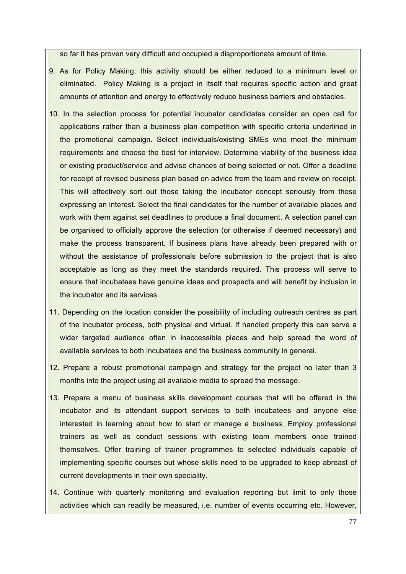so far it has proven very difficult and occupied a disproportionate amount of time.

- 9. As for Policy Making, this activity should be either reduced to a minimum level or eliminated. Policy Making is a project in itself that requires specific action and great amounts of attention and energy to effectively reduce business barriers and obstacles.
- 10. In the selection process for potential incubator candidates consider an open call for applications rather than a business plan competition with specific criteria underlined in the promotional campaign. Select individuals/existing SMEs who meet the minimum requirements and choose the best for interview. Determine viability of the business idea or existing product/service and advise chances of being selected or not. Offer a deadline for receipt of revised business plan based on advice from the team and review on receipt. This will effectively sort out those taking the incubator concept seriously from those expressing an interest. Select the final candidates for the number of available places and work with them against set deadlines to produce a final document. A selection panel can be organised to officially approve the selection (or otherwise if deemed necessary) and make the process transparent. If business plans have already been prepared with or without the assistance of professionals before submission to the project that is also acceptable as long as they meet the standards required. This process will serve to ensure that incubatees have genuine ideas and prospects and will benefit by inclusion in the incubator and its services.
- 11. Depending on the location consider the possibility of including outreach centres as part of the incubator process, both physical and virtual. If handled properly this can serve a wider targeted audience often in inaccessible places and help spread the word of available services to both incubatees and the business community in general.
- 12. Prepare a robust promotional campaign and strategy for the project no later than 3 months into the project using all available media to spread the message.
- 13. Prepare a menu of business skills development courses that will be offered in the incubator and its attendant support services to both incubatees and anyone else interested in learning about how to start or manage a business. Employ professional trainers as well as conduct sessions with existing team members once trained themselves. Offer training of trainer programmes to selected individuals capable of implementing specific courses but whose skills need to be upgraded to keep abreast of current developments in their own speciality.
- 14. Continue with quarterly monitoring and evaluation reporting but limit to only those activities which can readily be measured, i.e. number of events occurring etc. However,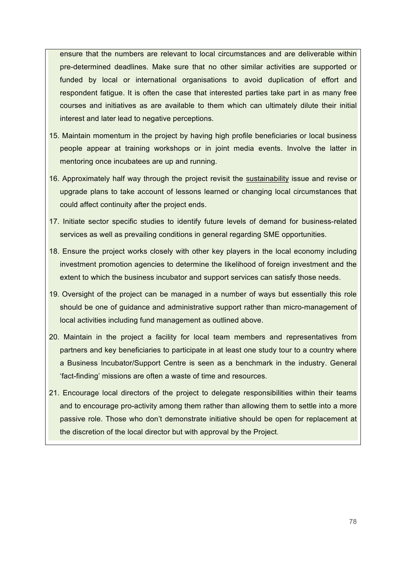ensure that the numbers are relevant to local circumstances and are deliverable within pre-determined deadlines. Make sure that no other similar activities are supported or funded by local or international organisations to avoid duplication of effort and respondent fatigue. It is often the case that interested parties take part in as many free courses and initiatives as are available to them which can ultimately dilute their initial interest and later lead to negative perceptions.

- 15. Maintain momentum in the project by having high profile beneficiaries or local business people appear at training workshops or in joint media events. Involve the latter in mentoring once incubatees are up and running.
- 16. Approximately half way through the project revisit the sustainability issue and revise or upgrade plans to take account of lessons learned or changing local circumstances that could affect continuity after the project ends.
- 17. Initiate sector specific studies to identify future levels of demand for business-related services as well as prevailing conditions in general regarding SME opportunities.
- 18. Ensure the project works closely with other key players in the local economy including investment promotion agencies to determine the likelihood of foreign investment and the extent to which the business incubator and support services can satisfy those needs.
- 19. Oversight of the project can be managed in a number of ways but essentially this role should be one of guidance and administrative support rather than micro-management of local activities including fund management as outlined above.
- 20. Maintain in the project a facility for local team members and representatives from partners and key beneficiaries to participate in at least one study tour to a country where a Business Incubator/Support Centre is seen as a benchmark in the industry. General 'fact-finding' missions are often a waste of time and resources.
- 21. Encourage local directors of the project to delegate responsibilities within their teams and to encourage pro-activity among them rather than allowing them to settle into a more passive role. Those who don't demonstrate initiative should be open for replacement at the discretion of the local director but with approval by the Project.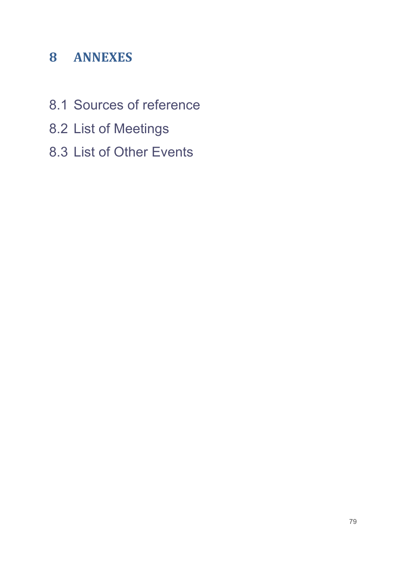# **8 ANNEXES**

- 8.1 Sources of reference
- 8.2 List of Meetings
- 8.3 List of Other Events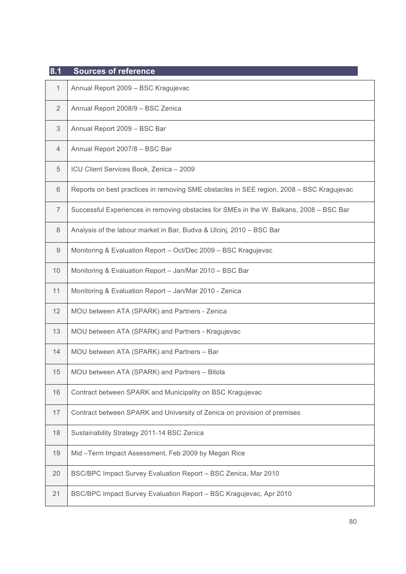| 8.1            | <b>Sources of reference</b>                                                              |
|----------------|------------------------------------------------------------------------------------------|
| 1              | Annual Report 2009 - BSC Kragujevac                                                      |
| 2              | Annual Report 2008/9 - BSC Zenica                                                        |
| 3              | Annual Report 2009 - BSC Bar                                                             |
| $\overline{4}$ | Annual Report 2007/8 - BSC Bar                                                           |
| 5              | ICU Client Services Book, Zenica - 2009                                                  |
| 6              | Reports on best practices in removing SME obstacles in SEE region, 2008 - BSC Kragujevac |
| $\overline{7}$ | Successful Experiences in removing obstacles for SMEs in the W. Balkans, 2008 - BSC Bar  |
| $\,8\,$        | Analysis of the labour market in Bar, Budva & Ulcinj, 2010 - BSC Bar                     |
| 9              | Monitoring & Evaluation Report - Oct/Dec 2009 - BSC Kragujevac                           |
| 10             | Monitoring & Evaluation Report - Jan/Mar 2010 - BSC Bar                                  |
| 11             | Monitoring & Evaluation Report - Jan/Mar 2010 - Zenica                                   |
| 12             | MOU between ATA (SPARK) and Partners - Zenica                                            |
| 13             | MOU between ATA (SPARK) and Partners - Kragujevac                                        |
| 14             | MOU between ATA (SPARK) and Partners - Bar                                               |
| 15             | MOU between ATA (SPARK) and Partners - Bitola                                            |
| 16             | Contract between SPARK and Municipality on BSC Kragujevac                                |
| 17             | Contract between SPARK and University of Zenica on provision of premises                 |
| 18             | Sustainability Strategy 2011-14 BSC Zenica                                               |
| 19             | Mid-Term Impact Assessment, Feb 2009 by Megan Rice                                       |
| 20             | BSC/BPC Impact Survey Evaluation Report - BSC Zenica, Mar 2010                           |
| 21             | BSC/BPC Impact Survey Evaluation Report - BSC Kragujevac, Apr 2010                       |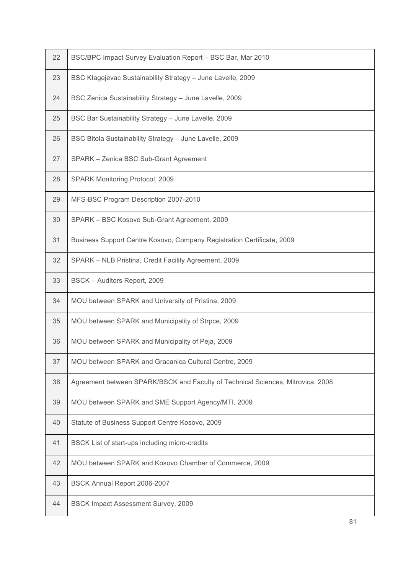| 22 | BSC/BPC Impact Survey Evaluation Report - BSC Bar, Mar 2010                     |
|----|---------------------------------------------------------------------------------|
| 23 | BSC Ktagejevac Sustainability Strategy - June Lavelle, 2009                     |
| 24 | BSC Zenica Sustainability Strategy - June Lavelle, 2009                         |
| 25 | BSC Bar Sustainability Strategy - June Lavelle, 2009                            |
| 26 | BSC Bitola Sustainability Strategy - June Lavelle, 2009                         |
| 27 | SPARK - Zenica BSC Sub-Grant Agreement                                          |
| 28 | SPARK Monitoring Protocol, 2009                                                 |
| 29 | MFS-BSC Program Description 2007-2010                                           |
| 30 | SPARK - BSC Kosovo Sub-Grant Agreement, 2009                                    |
| 31 | Business Support Centre Kosovo, Company Registration Certificate, 2009          |
| 32 | SPARK - NLB Pristina, Credit Facility Agreement, 2009                           |
| 33 | BSCK - Auditors Report, 2009                                                    |
| 34 | MOU between SPARK and University of Pristina, 2009                              |
| 35 | MOU between SPARK and Municipality of Strpce, 2009                              |
| 36 | MOU between SPARK and Municipality of Peja, 2009                                |
| 37 | MOU between SPARK and Gracanica Cultural Centre, 2009                           |
| 38 | Agreement between SPARK/BSCK and Faculty of Technical Sciences, Mitrovica, 2008 |
| 39 | MOU between SPARK and SME Support Agency/MTI, 2009                              |
| 40 | Statute of Business Support Centre Kosovo, 2009                                 |
| 41 | BSCK List of start-ups including micro-credits                                  |
| 42 | MOU between SPARK and Kosovo Chamber of Commerce, 2009                          |
| 43 | BSCK Annual Report 2006-2007                                                    |
| 44 | <b>BSCK Impact Assessment Survey, 2009</b>                                      |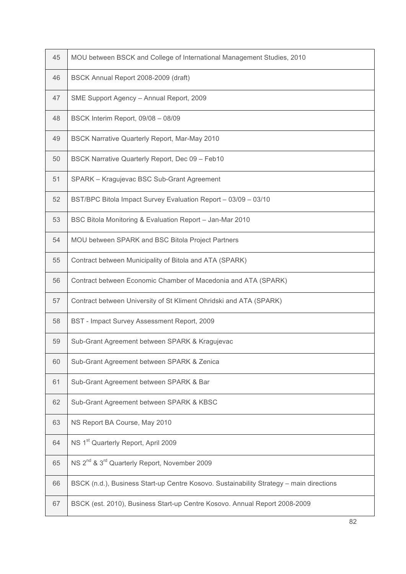| 45 | MOU between BSCK and College of International Management Studies, 2010                  |
|----|-----------------------------------------------------------------------------------------|
| 46 | BSCK Annual Report 2008-2009 (draft)                                                    |
| 47 | SME Support Agency - Annual Report, 2009                                                |
| 48 | BSCK Interim Report, 09/08 - 08/09                                                      |
| 49 | <b>BSCK Narrative Quarterly Report, Mar-May 2010</b>                                    |
| 50 | BSCK Narrative Quarterly Report, Dec 09 - Feb10                                         |
| 51 | SPARK - Kragujevac BSC Sub-Grant Agreement                                              |
| 52 | BST/BPC Bitola Impact Survey Evaluation Report - 03/09 - 03/10                          |
| 53 | BSC Bitola Monitoring & Evaluation Report - Jan-Mar 2010                                |
| 54 | MOU between SPARK and BSC Bitola Project Partners                                       |
| 55 | Contract between Municipality of Bitola and ATA (SPARK)                                 |
| 56 | Contract between Economic Chamber of Macedonia and ATA (SPARK)                          |
| 57 | Contract between University of St Kliment Ohridski and ATA (SPARK)                      |
| 58 | BST - Impact Survey Assessment Report, 2009                                             |
| 59 | Sub-Grant Agreement between SPARK & Kragujevac                                          |
| 60 | Sub-Grant Agreement between SPARK & Zenica                                              |
| 61 | Sub-Grant Agreement between SPARK & Bar                                                 |
| 62 | Sub-Grant Agreement between SPARK & KBSC                                                |
| 63 | NS Report BA Course, May 2010                                                           |
| 64 | NS 1 <sup>st</sup> Quarterly Report, April 2009                                         |
| 65 | NS 2 <sup>nd</sup> & 3 <sup>rd</sup> Quarterly Report, November 2009                    |
| 66 | BSCK (n.d.), Business Start-up Centre Kosovo. Sustainability Strategy - main directions |
| 67 | BSCK (est. 2010), Business Start-up Centre Kosovo. Annual Report 2008-2009              |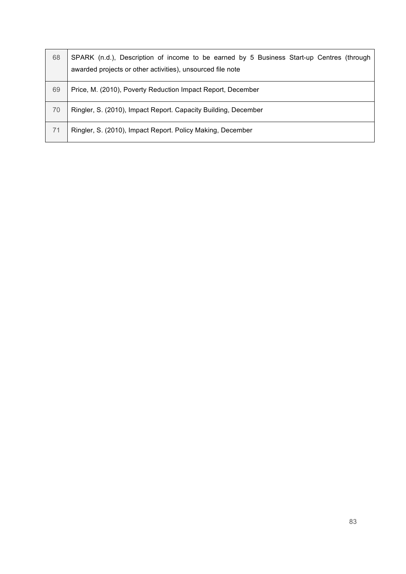| 68 | SPARK (n.d.), Description of income to be earned by 5 Business Start-up Centres (through<br>awarded projects or other activities), unsourced file note |
|----|--------------------------------------------------------------------------------------------------------------------------------------------------------|
| 69 | Price, M. (2010), Poverty Reduction Impact Report, December                                                                                            |
| 70 | Ringler, S. (2010), Impact Report. Capacity Building, December                                                                                         |
| 71 | Ringler, S. (2010), Impact Report. Policy Making, December                                                                                             |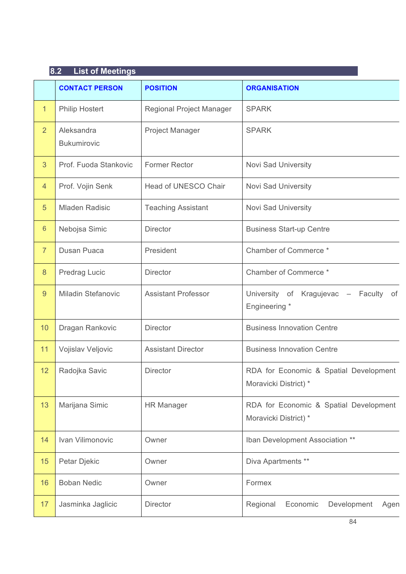|                 | 8.2<br><b>List of Meetings</b>   |                            |                                                                 |  |
|-----------------|----------------------------------|----------------------------|-----------------------------------------------------------------|--|
|                 | <b>CONTACT PERSON</b>            | <b>POSITION</b>            | <b>ORGANISATION</b>                                             |  |
| 1               | <b>Philip Hostert</b>            | Regional Project Manager   | <b>SPARK</b>                                                    |  |
| $\overline{2}$  | Aleksandra<br><b>Bukumirovic</b> | <b>Project Manager</b>     | <b>SPARK</b>                                                    |  |
| 3               | Prof. Fuoda Stankovic            | <b>Former Rector</b>       | Novi Sad University                                             |  |
| $\overline{4}$  | Prof. Vojin Senk                 | Head of UNESCO Chair       | Novi Sad University                                             |  |
| 5               | <b>Mladen Radisic</b>            | <b>Teaching Assistant</b>  | Novi Sad University                                             |  |
| $6\phantom{1}6$ | Nebojsa Simic                    | <b>Director</b>            | <b>Business Start-up Centre</b>                                 |  |
| $\overline{7}$  | Dusan Puaca                      | President                  | Chamber of Commerce *                                           |  |
| 8               | Predrag Lucic                    | <b>Director</b>            | Chamber of Commerce *                                           |  |
| 9               | <b>Miladin Stefanovic</b>        | <b>Assistant Professor</b> | University of Kragujevac -<br>Faculty of<br>Engineering *       |  |
| 10              | Dragan Rankovic                  | <b>Director</b>            | <b>Business Innovation Centre</b>                               |  |
| 11              | Vojislav Veljovic                | <b>Assistant Director</b>  | <b>Business Innovation Centre</b>                               |  |
| 12 <sup>2</sup> | Radojka Savic                    | Director                   | RDA for Economic & Spatial Development<br>Moravicki District) * |  |
| 13              | Marijana Simic                   | <b>HR Manager</b>          | RDA for Economic & Spatial Development<br>Moravicki District) * |  |
| 14              | Ivan Vilimonovic                 | Owner                      | Iban Development Association **                                 |  |
| 15              | Petar Djekic                     | Owner                      | Diva Apartments **                                              |  |
| 16              | <b>Boban Nedic</b>               | Owner                      | Formex                                                          |  |
| 17              | Jasminka Jaglicic                | <b>Director</b>            | Economic<br>Development<br>Regional<br>Agen                     |  |
|                 |                                  |                            | 84                                                              |  |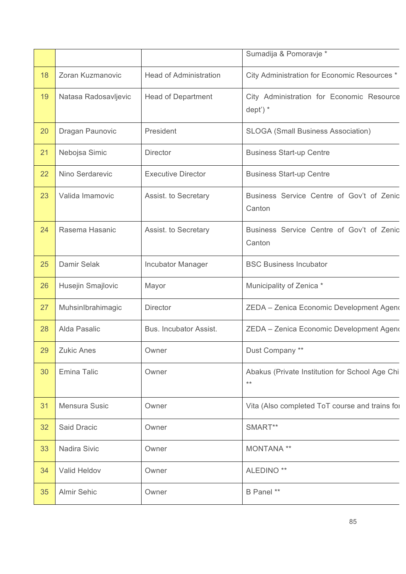|    |                      |                               | Sumadija & Pomoravje *                                  |
|----|----------------------|-------------------------------|---------------------------------------------------------|
| 18 | Zoran Kuzmanovic     | <b>Head of Administration</b> | City Administration for Economic Resources *            |
| 19 | Natasa Radosavljevic | <b>Head of Department</b>     | City Administration for Economic Resource<br>$dept$ ) * |
| 20 | Dragan Paunovic      | President                     | <b>SLOGA (Small Business Association)</b>               |
| 21 | Nebojsa Simic        | <b>Director</b>               | <b>Business Start-up Centre</b>                         |
| 22 | Nino Serdarevic      | <b>Executive Director</b>     | <b>Business Start-up Centre</b>                         |
| 23 | Valida Imamovic      | Assist. to Secretary          | Business Service Centre of Gov't of Zenic<br>Canton     |
| 24 | Rasema Hasanic       | Assist. to Secretary          | Business Service Centre of Gov't of Zenic<br>Canton     |
| 25 | Damir Selak          | <b>Incubator Manager</b>      | <b>BSC Business Incubator</b>                           |
| 26 | Husejin Smajlovic    | Mayor                         | Municipality of Zenica *                                |
| 27 | MuhsinIbrahimagic    | <b>Director</b>               | ZEDA - Zenica Economic Development Ageno                |
| 28 | Alda Pasalic         | Bus. Incubator Assist.        | ZEDA - Zenica Economic Development Ageno                |
| 29 | <b>Zukic Anes</b>    | Owner                         | Dust Company **                                         |
| 30 | Emina Talic          | Owner                         | Abakus (Private Institution for School Age Chi<br>$***$ |
| 31 | Mensura Susic        | Owner                         | Vita (Also completed ToT course and trains for          |
| 32 | Said Dracic          | Owner                         | SMART**                                                 |
| 33 | Nadira Sivic         | Owner                         | MONTANA **                                              |
| 34 | Valid Heldov         | Owner                         | ALEDINO <sup>**</sup>                                   |
| 35 | <b>Almir Sehic</b>   | Owner                         | B Panel **                                              |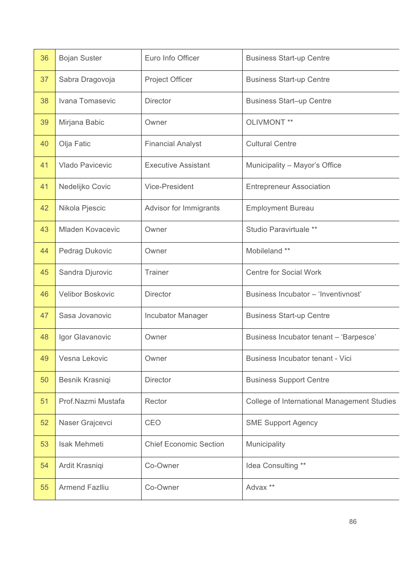| 36 | <b>Bojan Suster</b>     | Euro Info Officer             | <b>Business Start-up Centre</b>                    |
|----|-------------------------|-------------------------------|----------------------------------------------------|
| 37 | Sabra Dragovoja         | <b>Project Officer</b>        | <b>Business Start-up Centre</b>                    |
| 38 | Ivana Tomasevic         | <b>Director</b>               | <b>Business Start-up Centre</b>                    |
| 39 | Mirjana Babic           | Owner                         | OLIVMONT **                                        |
| 40 | Olja Fatic              | <b>Financial Analyst</b>      | <b>Cultural Centre</b>                             |
| 41 | Vlado Pavicevic         | <b>Executive Assistant</b>    | Municipality - Mayor's Office                      |
| 41 | Nedelijko Covic         | <b>Vice-President</b>         | <b>Entrepreneur Association</b>                    |
| 42 | Nikola Pjescic          | Advisor for Immigrants        | <b>Employment Bureau</b>                           |
| 43 | <b>Mladen Kovacevic</b> | Owner                         | Studio Paravirtuale **                             |
| 44 | Pedrag Dukovic          | Owner                         | Mobileland **                                      |
| 45 | Sandra Djurovic         | Trainer                       | <b>Centre for Social Work</b>                      |
| 46 | Velibor Boskovic        | <b>Director</b>               | Business Incubator - 'Inventivnost'                |
| 47 | Sasa Jovanovic          | Incubator Manager             | <b>Business Start-up Centre</b>                    |
| 48 | Igor Glavanovic         | Owner                         | Business Incubator tenant - 'Barpesce'             |
| 49 | Vesna Lekovic           | Owner                         | Business Incubator tenant - Vici                   |
| 50 | Besnik Krasniqi         | <b>Director</b>               | <b>Business Support Centre</b>                     |
| 51 | Prof.Nazmi Mustafa      | Rector                        | <b>College of International Management Studies</b> |
| 52 | Naser Grajcevci         | CEO                           | <b>SME Support Agency</b>                          |
| 53 | Isak Mehmeti            | <b>Chief Economic Section</b> | Municipality                                       |
| 54 | Ardit Krasniqi          | Co-Owner                      | Idea Consulting **                                 |
| 55 | <b>Armend Fazlliu</b>   | Co-Owner                      | Advax **                                           |
|    |                         |                               |                                                    |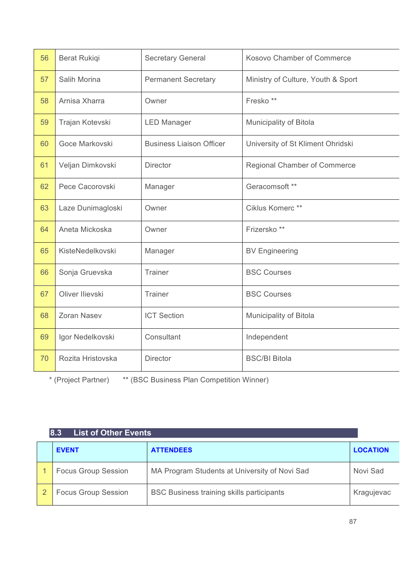| 56 | <b>Berat Rukiqi</b> | <b>Secretary General</b>        | Kosovo Chamber of Commerce          |
|----|---------------------|---------------------------------|-------------------------------------|
| 57 | Salih Morina        | <b>Permanent Secretary</b>      | Ministry of Culture, Youth & Sport  |
| 58 | Arnisa Xharra       | Owner                           | Fresko**                            |
| 59 | Trajan Kotevski     | <b>LED Manager</b>              | Municipality of Bitola              |
| 60 | Goce Markovski      | <b>Business Liaison Officer</b> | University of St Kliment Ohridski   |
| 61 | Veljan Dimkovski    | <b>Director</b>                 | <b>Regional Chamber of Commerce</b> |
| 62 | Pece Cacorovski     | Manager                         | Geracomsoft **                      |
| 63 | Laze Dunimagloski   | Owner                           | Ciklus Komerc **                    |
| 64 | Aneta Mickoska      | Owner                           | Frizersko**                         |
| 65 | KisteNedelkovski    | Manager                         | <b>BV Engineering</b>               |
| 66 | Sonja Gruevska      | Trainer                         | <b>BSC Courses</b>                  |
| 67 | Oliver Ilievski     | Trainer                         | <b>BSC Courses</b>                  |
| 68 | Zoran Nasev         | <b>ICT Section</b>              | Municipality of Bitola              |
| 69 | Igor Nedelkovski    | Consultant                      | Independent                         |
| 70 | Rozita Hristovska   | <b>Director</b>                 | <b>BSC/BI Bitola</b>                |

\* (Project Partner) \*\* (BSC Business Plan Competition Winner)

| <b>List of Other Events</b><br>8.3 |                                               |                 |  |  |
|------------------------------------|-----------------------------------------------|-----------------|--|--|
| <b>EVENT</b>                       | <b>ATTENDEES</b>                              | <b>LOCATION</b> |  |  |
| <b>Focus Group Session</b>         | MA Program Students at University of Novi Sad | Novi Sad        |  |  |
| <b>Focus Group Session</b>         | BSC Business training skills participants     | Kragujevac      |  |  |